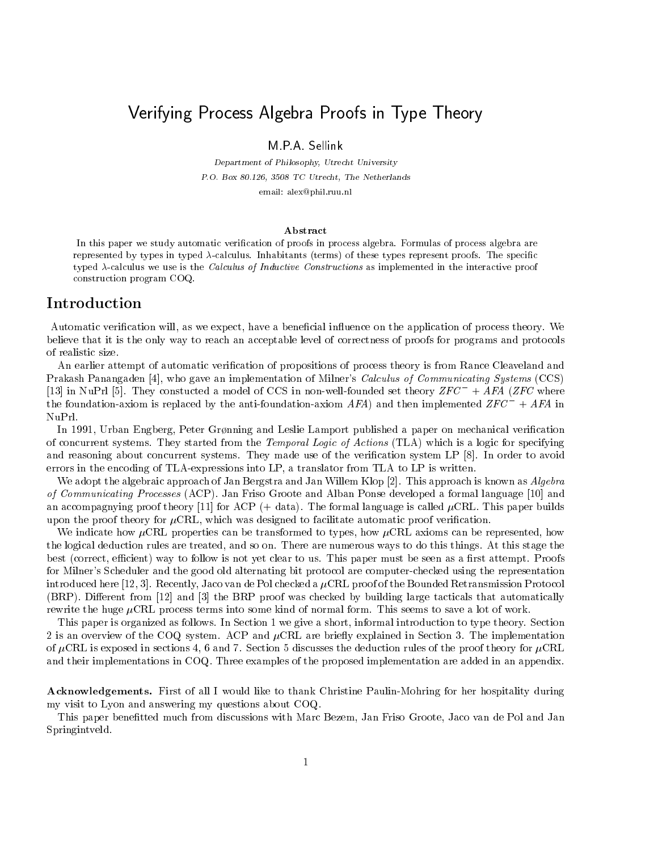# Verifying Process Algebra Proofs in Type Theory

Department of Philosophy- Utrecht University PO Box - TC Utrecht- The Netherlands

 $\epsilon$ illean  $\epsilon$  on  $\epsilon$  and  $\epsilon$  and  $\epsilon$ 

### Abstract

In this dadel we study automatic verification of ditous in diouess algebra. Formulas of diouess algebra are represented by types in typed  $\lambda$ -calculus. Thilabitants (terms) of these types represent proofs. The specific typed  $\lambda$ -calculus we use is the Calculus of Inductive Constructions as implemented in the interactive proof construction program COQ

## Introduction

Automatic veri-cation will as we expect have a bene-cial inuence on the application of process theory We believe that it is the only way to reach an acceptable level of correctness of proofs for programs and protocols of realistic size

cation attempt to automatic verification of propositions of propositions of and Rance Cleaveland and Rance Cle Promotive Panangalation in its gave an implementation of Milner of Calculus of Communicating Systems (COM) [13] In NuPrl [5]. They constucted a model of UUS in non-well-founded set theory  $ZFC\ + AFA$  ( $ZFC$  where the foundation-axiom is replaced by the anti-foundation-axiom AFA) and then implemented  $ZFC^{-} + AFA$  in NuPrl

 $\Box$ of concurrent systems They started from the Temporal Logic of Actions TLA which is a logic for specifying and reasoning about concurrent systems They made use of the veri-cation system LP In order to avoid errors in the encoding of TLA-expressions into LP, a translator from TLA to LP is written.

We adopt the algebraic approach of Jan Bergstra and Jan Willem Klop  $[2]$ . This approach is known as  $Algebra$ of communicating Processes (PPOP ), A me Ponse developed and Alban Ponse developed a formal language (PP) and M and accompagnying proof theory  $\vert$  for ACP  $\vert$  , and  $\vert$  for all the formal language is called CRL This paper builds upon the proof theory for CRL which was designed to facilitate automatic proof veri-cation

We indicate how  $\mu$ CRL properties can be transformed to types, how  $\mu$ CRL axioms can be represented, how the logical deduction rules are treated, and so on. There are numerous ways to do this things. At this stage the best correct ecient way to follow is not yet clear to us This paper must be seen as a -rst attempt Proofs for Milner's Scheduler and the good old alternating bit protocol are computer-checked using the representation introduced here [12, 3]. Recently, Jaco van de Pol checked a  $\mu$ CRL proof of the Bounded Retransmission Protocol  $\mathcal{L} = \{ \mathcal{L} = \{ \mathcal{L} \mid \mathcal{L} = \{ \mathcal{L} \mid \mathcal{L} = \mathcal{L} \mid \mathcal{L} = \{ \mathcal{L} \mid \mathcal{L} = \mathcal{L} \mid \mathcal{L} = \{ \mathcal{L} \mid \mathcal{L} = \{ \mathcal{L} \mid \mathcal{L} = \{ \mathcal{L} \mid \mathcal{L} = \{ \mathcal{L} \mid \mathcal{L} = \{ \mathcal{L} \mid \mathcal{L} = \{ \mathcal{L} \mid \mathcal{L} = \{ \mathcal{L} \mid \mathcal{L} = \{ \math$ rewrite the huge  $\mu$ CRL process terms into some kind of normal form. This seems to save a lot of work.

This paper is organized as follows. In Section 1 we give a short, informal introduction to type theory. Section 2 is an overview of the COQ system. ACP and  $\mu$ CRL are briefly explained in Section 3. The implementation of  $\mu$ CRL is exposed in sections 4, 6 and 7. Section 5 discusses the deduction rules of the proof theory for  $\mu$ CRL and their implementations in COQ Three examples of the proposed implementation are added in an appendix

Acknowledgements- First of all I would like to thank Christine PaulinMohring for her hospitality during my visit to Lyon and answering my questions about COQ

This paper bene-tted much from discussions with Marc Bezem Jan Friso Groote Jaco van de Pol and Jan Springintveld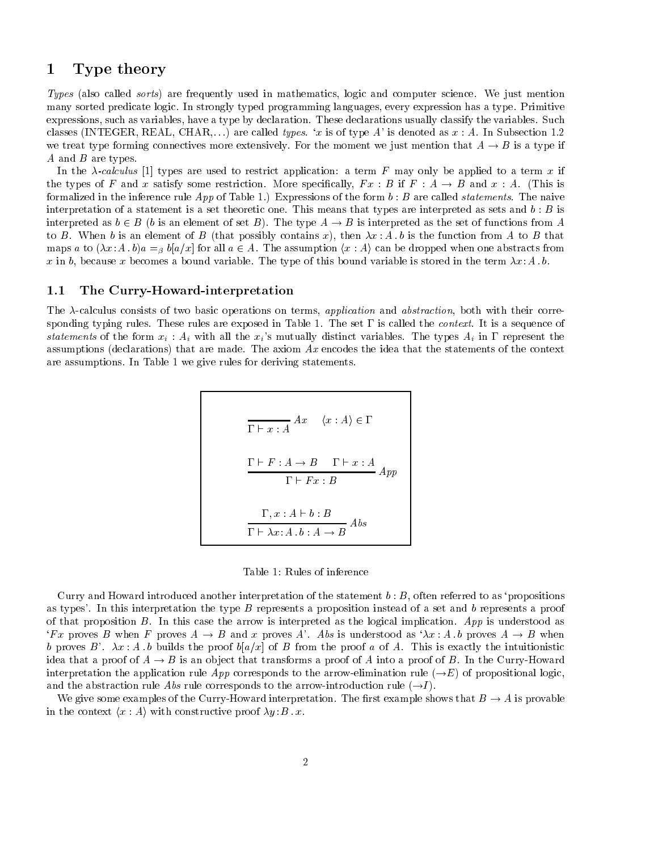### $\mathbf 1$ Type theory

Types also called sorts are frequently used in mathematics logic and computer science We just mention many sorted predicate logic. In strongly typed programming languages, every expression has a type. Primitive expressions, such as variables, have a type by declaration. These declarations usually classify the variables. Such classes INTEGER REAL CHAR--- are called types x is of type A is denoted as x A In Subsection  we treat type forming connectives more extensively. For the moment we just mention that  $A \rightarrow B$  is a type if  $A$  and  $B$  are types.

In the -calculus  types are used to restrict application a term F may only be applied to <sup>a</sup> term <sup>x</sup> if the types of F and x satisfy some restriction. More specifically,  $F x : B$  if  $F : A \rightarrow B$  and  $x : A$  (This is formalized in the inference rule  $App$  of Table 1.) Expressions of the form  $b : B$  are called *statements*. The naive interpretation of a statement is a set theoretic one. This means that types are interpreted as sets and  $b : B$  is interpreted as  $b \in B$  (b is an element of set B). The type  $A \to B$  is interpreted as the set of functions from A to B when a contains  $\alpha$  is the function from  $\alpha$  the function  $\alpha$  then  $\alpha$  then  $\alpha$  then  $\alpha$  that  $\alpha$ maps a to  $(\lambda x : A \cdot b)a =_\beta b [a/x]$  for all  $a \in A$ . The assumption  $\langle x : A \rangle$  can be dropped when one abstracts from x in b, because x becomes a bound variable. The type of this bound variable is stored in the term  $\lambda x:A$ .

# b-1.1 The Curry-Howard-interpretation  $1.1$

The  $\lambda$ -calculus consists of two basic operations on terms, application and abstraction, both with their corresponding typing rules. These rules are exposed in Table 1. The set  $\Gamma$  is called the *context*. It is a sequence of statements of the form  $x_i$ :  $A_i$  with all the  $x_i$ 's mutually distinct variables. The types  $A_i$  in  $\Gamma$  represent the assumptions that are made that are made The axiom Axiom Axiom Axiom Axiom Axiom Axiometers of the context. are assumptions. In Table 1 we give rules for deriving statements.

$$
\Gamma \vdash x : A \quad \langle x : A \rangle \in \Gamma
$$
\n
$$
\Gamma \vdash F : A \to B \quad \Gamma \vdash x : A
$$
\n
$$
\Gamma \vdash Fx : B
$$
\n
$$
\Gamma, x : A \vdash b : B
$$
\n
$$
\Gamma \vdash \lambda x : A \cdot b : A \to B \quad \text{Abs}
$$

Table 1: Rules of inference

Curry and Howard introduced another interpretation of the statement  $b : B$ , often referred to as 'propositions as types'. In this interpretation the type  $B$  represents a proposition instead of a set and  $b$  represents a proof of that proposition  $B$ . In this case the arrow is interpreted as the logical implication. App is understood as F x proves B when F proves  $A \to B$  and x proves A . Abs is understood as  $\lambda x : A$  b proves  $A \to B$  when b proves B x A-<sup>b</sup> builds the proof bax of <sup>B</sup> from the proof <sup>a</sup> of A This is exactly the intuitionistic idea that a proof of  $A \to B$  is an object that transforms a proof of A into a proof of B. In the Curry-Howard interpretation the application rule App corresponds to the arrow-elimination rule ( $\rightarrow$ E) of propositional logic, and the abstraction rule *Abs* rule corresponds to the arrow-introduction rule (  $\rightarrow$  ).

We give some examples of the Curry-Howard interpretation. The first example shows that  $B\to A$  is provable in the context  $\langle x : A \rangle$  with constructive proof  $\lambda y$   $B$  .  $x$ .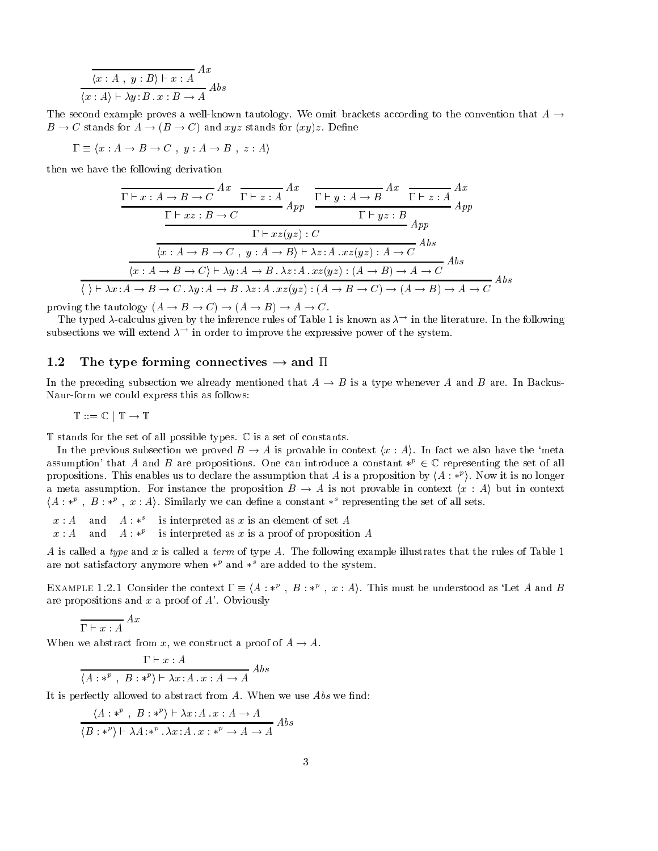$$
\frac{\langle x:A \; , \; y:B \rangle \vdash x:A}{\langle x:A \rangle \vdash \lambda y:B \; . \; x:B \rightarrow A} As
$$

The second example proves a well-known tautology. We omit brackets according to the convention that  $A \rightarrow$  $B\to C$  stands for  $A\to (B\to C)$  and  $xyz$  stands for  $(xy)z$ . Define

$$
\Gamma \equiv \langle x : A \to B \to C , y : A \to B , z : A \rangle
$$

then we have the following derivation

$$
\frac{\Gamma\vdash x:A\to B\to C}{\Gamma\vdash x:A\to B\to C} \frac{Ax}{\Gamma\vdash z:A} \frac{\Gamma\vdash y:A\to B}{App} \frac{Ax}{\Gamma\vdash y:A\to B} \frac{\Gamma\vdash z:A}{App} \frac{Ax}{App}
$$
\n
$$
\frac{\Gamma\vdash xz:B\to C}{\Gamma\vdash xz(yz):C} \frac{\Gamma\vdash xz:B\to C}{App}
$$
\n
$$
\frac{\Gamma\vdash xz(yz):C}{\langle x:A\to B\to C, y:A\to B\rangle\vdash \lambda z:A. xz(yz):A\to C} \frac{Abs}{As}
$$
\n
$$
\frac{\Gamma\vdash x:A\to B\to C, \lambda y:A\to B.\lambda z:A. xz(yz): (A\to B)\to A\to C}{\langle x:A\to B\to C.\lambda y:A\to B.\lambda z:A. xz(yz): (A\to B\to C)\to (A\to B)\to A\to C} \frac{Abs}{As}
$$

proving the tautology  $(A \to B \to C) \to (A \to B) \to A \to C$ .

The typed  $\lambda$ -calculus given by the inference rules of Table I is known as  $\lambda$  - in the fiterature. In the following subsections we will extend  $\lambda$  - in order to improve the expressive power of the system.

### The type forming connectives  $\rightarrow$  and  $\Pi$

In the preceding subsection we already mentioned that  $A \to B$  is a type whenever A and B are. In Backus-Naur-form we could express this as follows:

$$
\mathbb{T}::=\mathbb{C}\,\mid\,\mathbb{T}\rightarrow\mathbb{T}
$$

 $T$  stands for the set of all possible types.  $C$  is a set of constants.

In the previous subsection we proved  $B \to A$  is provable in context  $\langle x : A \rangle$ . In fact we also have the 'meta assumption' that A and B are propositions. One can introduce a constant  $*^p \in \mathbb{C}$  representing the set of all propositions. This enables us to declare the assumption that  $A$  is a proposition by  $\langle A : *^p \rangle$ . Now it is no longer a meta assumption. For instance the proposition  $B \to A$  is not provable in context  $\langle x : A \rangle$  but in context  $\langle A : *^{p} \, , \, B : *^{p} \, , \, x : A \rangle.$  Similarly we can define a constant  $*^{s}$  representing the set of all sets.

- $x : A$  and  $A : *^s$ is interpreted as  $x$  is an element of set  $A$
- $x:A$  and  $A: *^{\nu}$  is interpreted as x is a proof of proposition A

A is called a type and x is called a term of type A. The following example illustrates that the rules of Table 1 are not satisfactory anymore when  $*^p$  and  $*^s$  are added to the system.

EXAMPLE 1.2.1 Consider the context  $\Gamma \equiv \langle A: *^{p} \text{ , } B: *^{p} \text{ , } x:A \rangle$ . This must be understood as 'Let A and B are propositions and x a proof of  $A'$ . Obviously

$$
\overline{\Gamma \vdash x : A} \; A x
$$

When we abstract from x, we construct a proof of  $A \to A$ .

$$
\frac{\Gamma \vdash x : A}{\langle A : *^p , B : *^p \rangle \vdash \lambda x : A . x : A \rightarrow A} \; Abs
$$

It is perfectly allowed to abstract from A When we use Abs we -nd

$$
\frac{\langle A : *^{p}, B : *^{p} \rangle \vdash \lambda x : A \cdot x : A \to A}{\langle B : *^{p} \rangle \vdash \lambda A : *^{p} \cdot \lambda x : A \cdot x : *^{p} \to A \to A} \; Abs
$$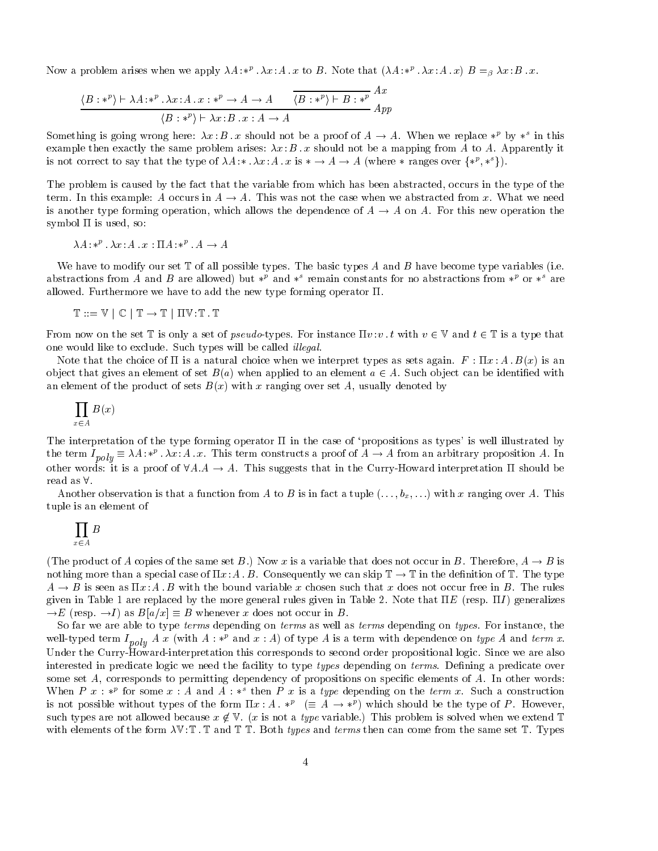Now a problem arises when we apply  $\lambda A$ :  $*^{\mu}$  .  $\lambda x$ : A x to B. Note that  $(\lambda A\cdot *^{\mu} \cdot \lambda x \cdot A\cdot x)$   $B =_{\beta} \lambda x \cdot B \cdot x$ .

$$
\frac{\langle B: *^{p} \rangle \vdash \lambda A: *^{p} \cdot \lambda x:A \cdot x: *^{p} \to A \to A \qquad \overline{\langle B: *^{p} \rangle \vdash B: *^{p}} \stackrel{Ax}{\longrightarrow} A}{\langle B: *^{p} \rangle \vdash \lambda x:B \cdot x:A \to A}
$$

Something is going wrong here:  $\lambda x$   $B$   $\ldots x$  should not be a proof of  $A \to A$ . When we replace  $*^{\rho}$  by  $*^{\circ}$  in this example then exactly the same problem arises x B -x should not be a mapping from A to A Apparently it is not correct to say that the type of  $\lambda A: \lambda x:A \cdot x$  is  $* \to A \to A$  (where  $*$  ranges over  $\{*^p, *^s\}$ ).

The problem is caused by the fact that the variable from which has been abstracted, occurs in the type of the term. In this example: A occurs in  $A \to A$ . This was not the case when we abstracted from x. What we need is another type forming operation, which allows the dependence of  $A \to A$  on A. For this new operation the symbol  $\Pi$  is used, so:

$$
\lambda A: *^p \cdot \lambda x:A \cdot x: \Pi A: *^p \cdot A \to A
$$

we have to have the group set T of the possible types The basic types A and B have become type variables (Prec abstractions from A and B are allowed) but  $*^p$  and  $*^s$  remain constants for no abstractions from  $*^p$  or  $*^s$  are allowed. Furthermore we have to add the new type forming operator  $\Pi$ .

$$
\mathbb{T}::=\mathbb{V}\,\mid\,\mathbb{C}\,\mid\,\mathbb{T}\rightarrow\mathbb{T}\,\mid\,\Pi\mathbb{V}:\mathbb{T}\,.\,\mathbb{T}
$$

From now on the set T is only a set of pseudo-types. For instance  $\Pi v : v \cdot t$  with  $v \in V$  and  $t \in T$  is a type that one would like to exclude. Such types will be called *illegal*.

Note that the choice of is a natural choice when we interpret types as sets again F x A-B x is an object that gives an element of set  $B(a)$  when applied to an element  $a \in A$ . Such object can be identified with and the product of sets B  $\mathcal{M}$  ranging over sets B usually denoted by ranging over set  $\mathcal{M}$ 

$$
\prod_{x \in A} B(x)
$$

The interpretation of the type forming operator  $\Pi$  in the case of 'propositions as types' is well illustrated by the term  $I_{poly} \equiv \lambda A$ :  $*^{\nu}$  .  $\lambda x$ : A  $x$ . This term constructs a proof of  $A \to A$  from an arbitrary proposition A. In other words: it is a proof of  $\forall A.A \to A$ . This suggests that in the Curry-Howard interpretation  $\Pi$  should be read as  $\forall$ .

Another observation is that a function from A to B is in fact a tuple ---bx--- with x ranging over A This tuple is an element of

$$
\prod_{x\in A} B
$$

(The product of A copies of the same set B ) Now x is a variable that does not occur in B Therefore,  $A \to B$  is nothing more than a special case of  $\Pi x$ : A-B-Consequently we can skip  $\mathbb{I}\to\mathbb{I}$  in the definition of  $\mathbb{I}$ . The type  $A \to B$  is seen as  $\Pi x:A$  . By with the bound variable  $x$  chosen such that  $x$  does not occur free in  $B$  . The rules  $\alpha$  . The more responsive by the more general  $\beta$  can more forms in Table 1 and E  $\beta$  , we can expect that  $\rightarrow E$  (resp.  $\rightarrow I$ ) as  $B|a/x| \equiv B$  whenever x does not occur in B.

So far we are able to type *terms* depending on *terms* as well as *terms* depending on *types*. For instance, the well-typed term  $I_{poly}$  A x (with A : \*" and  $x : A$ ) of type A is a term with dependence on type A and term x. Under the Curry-Howard-interpretation this corresponds to second order propositional logic. Since we are also interested in predicate logic we need the facility to type types depending on terms De-ning a predicate over some set A corresponds to permitting dependency of propositions on speci-c elements of A In other words When P  $x : *^p$  for some  $x : A$  and  $A : *^p$  then P  $x$  is a type depending on the term  $x$ . Such a construction is not possible without types of the form  $\Pi x:A$   $\ast^{\nu}$  ( $\equiv A \rightarrow \ast^{\nu}$ ) which should be the type of  $P$ . However, such types are not allowed because  $x \not\in \mathbb{V}$ . (x is not a *type* variable.) This problem is solved when we extend T  $m_{\rm T}$  and  $m_{\rm T}$  and  $m_{\rm T}$  and  $m_{\rm T}$  then  $m_{\rm T}$  terms then can come from the same set  $T$  types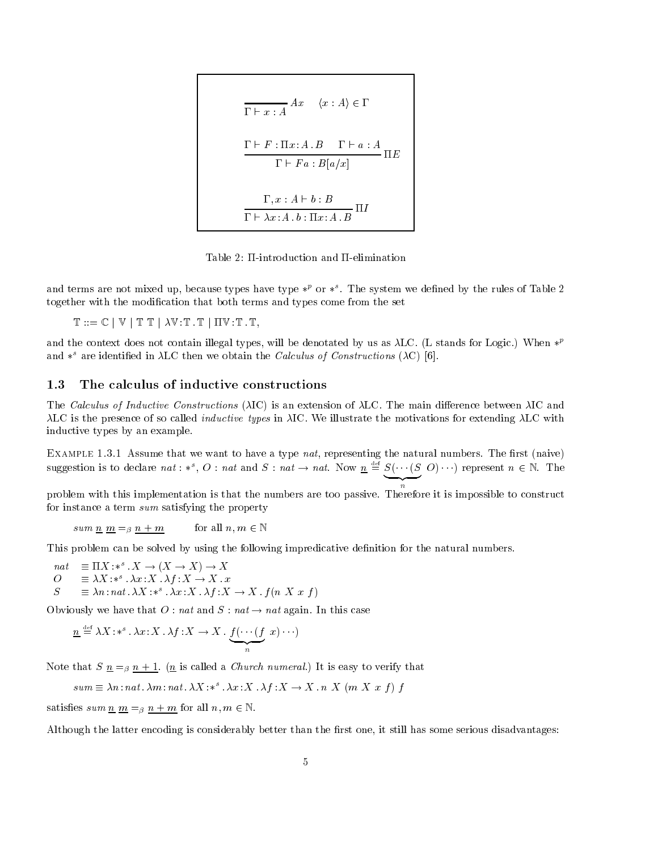$$
\Gamma \vdash x : A \quad \langle x : A \rangle \in \Gamma
$$
\n
$$
\Gamma \vdash F : \Pi x : A . B \quad \Gamma \vdash a : A
$$
\n
$$
\Gamma \vdash Fa : B[a/x]
$$
\n
$$
\Gamma, x : A \vdash b : B
$$
\n
$$
\Gamma \vdash \lambda x : A . b : \Pi x : A . B \quad \Pi I
$$

Table 2:  $\Pi$ -introduction and  $\Pi$ -elimination

and terms are not mixed up, because types have type  $\ast^\nu$  or  $\ast^\circ$ . The system we defined by the rules of Table 2 together with the modi-cation that both terms and types come from the set

 $\mathbb{T} ::= \mathbb{C} \mid \mathbb{V} \mid \mathbb{T} \mathbb{T} \mid \lambda \mathbb{V} : \mathbb{T} \cdot \mathbb{T} \mid \Pi \mathbb{V} : \mathbb{T} \cdot \mathbb{T},$ 

and the context does not contain illegal types, will be denotated by us as  $\lambda$ LC. (L stands for Logic.) When  $*^{\nu}$ and  $*^{\circ}$  are identified in  $\lambda$ LC then we obtain the *Calculus of Constructions* ( $\lambda$ C) [6].

#### -The calculus of inductive constructions

The Calculus of Inductive Constructions IC is an extension of LC The main dierence between IC and  $\lambda$ LC is the presence of so called *inductive types* in  $\lambda$ IC. We illustrate the motivations for extending  $\lambda$ LC with inductive types by an example

 $\Xi$ iniiii is fioti thought that we want to have a type naty representing the natural numbers  $\pm$  net  $\pm$  near to  $\pm$ suggestion is to declare nat: \*, O: nat and S: nat  $\rightarrow$  nat. Now  $\underline{n} \equiv \underbrace{S(\cdots(S\ O)\cdots)}_{n}$  represent  $n \in \mathbb{N}$ . The

z

problem with this implementation is that the numbers are too passive Therefore it is impossible to construct for instance a term sum satisfying the property

$$
sum \underline{n} \underline{m} =_{\beta} \underline{n} + \underline{m} \qquad \text{for all } n, m \in \mathbb{N}
$$

This problem can be solved by using the following impredicative de-nition for the natural numbers

nat  $\equiv$  11X  $*^{\circ}$   $\colon$   $X \to (X \to X) \to X$  $\mathcal{O} \equiv \lambda \Lambda^* * \lambda x \Lambda \Lambda \Lambda^* \Lambda \to \Lambda^* x$  $S = \exists \lambda n : n \in \lambda X : *^{\circ} \lambda x : X \lambda t : X \rightarrow X \ t(n \lambda x t)$ 

Obviously we have that  $O : nat$  and  $S : nat \rightarrow nat$  again. In this case

$$
\underline{n} \stackrel{\text{def}}{=} \lambda X : *^s \cdot \lambda x : X \cdot \lambda f : X \to X \cdot \underbrace{f(\cdots(f)}_{n} x) \cdots)
$$

note that S  $\Delta$  and  $\Delta$  is the S note that S is easy to verify that  $\Delta$  is easy to verify that  $\Delta$ 

$$
sum \equiv \lambda n : nat.\ \lambda m : nat.\ \lambda X : *^s.\ \lambda x : X.\ \lambda f : X \rightarrow X.\ n \ X \ (m \ X \ x \ f) \ f
$$

satisfies sum  $\underline{n} \equiv_{\beta} n + m$  for all  $n, m \in \mathbb{N}$ .

 $\mathbf{A}$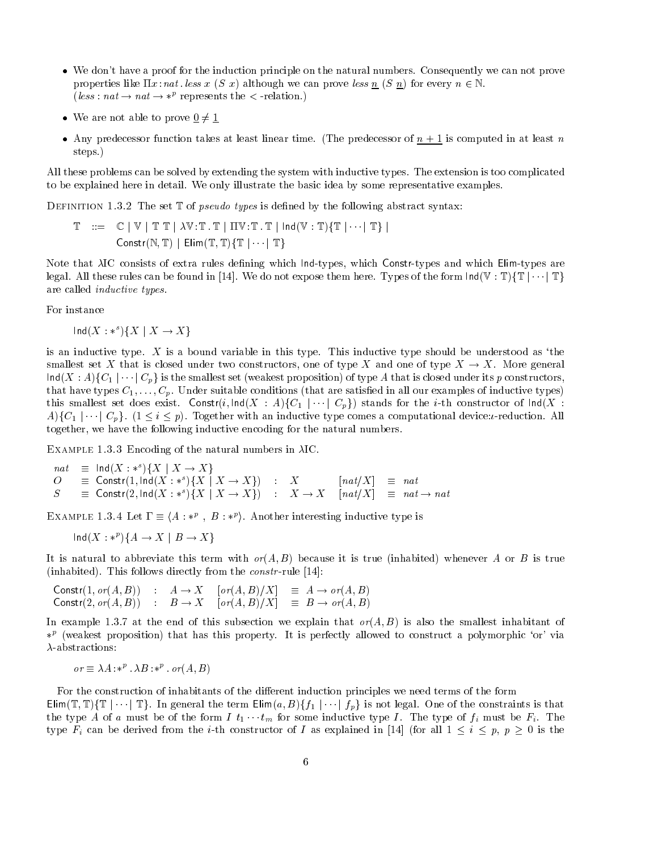- $\bullet$  We don't have a proof for the induction principle on the natural numbers. Consequently we can not prove properties like  $\Pi x : nat.$  less x (S x) although we can prove less n (S n) for every  $n \in \mathbb{N}$ . (less:  $nat \rightarrow nat \rightarrow *^p$  represents the  $\lt$  -relation.)
- $\bullet\,$  We are not able to prove  $\underline{0}\neq\underline{1}$
- $\bullet$  Any predecessor function takes at least linear time. (The predecessor of  $n+1$  is computed in at least  $n$ steps.)

All these problems can be solved by extending the system with inductive types The extension is too complicated to be explained here in detail We only illustrate the basic idea by some representative examples

 $D$  in matrix  $T$  of  $T$  of  $T$  of  $T$  of  $T$  or  $T$  of  $T$  of  $T$  absorption in  $T$  absorption in  $T$ 

$$
\mathbb{T} \quad ::= \quad \mathbb{C} \mid \mathbb{V} \mid \mathbb{T} \mathbb{T} \mid \lambda \mathbb{V} : \mathbb{T} \cdot \mathbb{T} \mid \Pi \mathbb{V} : \mathbb{T} \cdot \mathbb{T} \mid \text{Ind}(\mathbb{V} : \mathbb{T}) \{ \mathbb{T} \mid \cdots \mid \mathbb{T} \} \mid \\ \text{Construct}(N, \mathbb{T}) \mid \text{Elim}(\mathbb{T}, \mathbb{T}) \{ \mathbb{T} \mid \cdots \mid \mathbb{T} \}
$$

Note that IC consists of extra rules de-ning which Indtypes which Constrtypes and which Elimtypes are legal. All these rules can be found in [14]. We do not expose them here. Types of the form lnd(V : T){T  $|\cdots|$  T} are called inductive types

For instance

 $\textsf{Ind}(X: *^s)\{X \mid X \to X\}$ 

is an inductive type.  $X$  is a bound variable in this type. This inductive type should be understood as 'the smallest set X that is closed under two constructors, one of type X and one of type  $X \to X$ . More general  $\textsf{Ind}(X:A)\{C_1\mid \cdots \mid C_p\}$  is the smallest set (weakest proposition) of type  $A$  that is closed under its  $p$  constructors, that have types C---Cp Under suitable conditions that are satis-ed in all our examples of inductive types this smallest set does exist. Constr( $i$ ,  $\textsf{Ind}(X:A)\{C_1\mid \cdots \mid C_p\}$ ) stands for the  $i$ -th constructor of  $\textsf{Ind}(X):$  $A\$ C\_1\mid \cdots \mid C\_p.  $(1 \leq i \leq p)$ . Together with an inductive type comes a computational device: *t*-reduction. All together, we have the following inductive encoding for the natural numbers.

Extrain be rioto Encoding of the natural numbers in Arctical

$$
nat \equiv \ln d(X : *^s) \{X \mid X \to X\}
$$
  
\n
$$
O \equiv \text{Constr}(1, \ln d(X : *^s) \{X \mid X \to X\}) : X \qquad [nat/X] \equiv nat
$$
  
\n
$$
S \equiv \text{Constr}(2, \ln d(X : *^s) \{X \mid X \to X\}) : X \to X \qquad [nat/X] \equiv nat \to nat
$$

EXAMPLE 1.3.4 Let  $\Gamma \equiv \langle A : *^{p}, B : *^{p} \rangle$ . Another interesting inductive type is

$$
Ind(X: *^p)\{A \to X \mid B \to X\}
$$

 $\mathcal{N}$  abbreviate this term with order  $\mathcal{N}$  and  $\mathcal{N}$  is true  $\mathcal{N}$  is true  $\mathcal{N}$ inhabited This follows directly from the constraints of  $\mathbf{r}_i$ 

Constr( 1,  $or(A, B)$ ) :  $A \to X$   $or(A, B)/X$   $\equiv$   $A \to or(A, B)$ Constr(2,  $or(A, B)$ ) :  $B \to X$   $or(A, B)/X$   $\equiv$   $B \to or(A, B)$ 

In this subsection we explain that the end of this subsection we explain that or the smallest inhabitant of th  $\ast^p$  (weakest proposition) that has this property. It is perfectly allowed to construct a polymorphic 'or' via  $\lambda$ -abstractions:

$$
or \equiv \lambda A : *^p \cdot \lambda B : *^p \cdot or(A, B)
$$

For the construction of inhabitants of the different induction principles we need terms of the form Elim(T, T){T|...|T}. In general the term  $\textsf{Elim}(a, B)$ { $f_1$ |...| $f_p$ } is not legal. One of the constraints is that the type A of a must be of the form  $I$   $t_1 \cdots t_m$  for some inductive type I. The type of  $f_i$  must be  $F_i$ . The type  $F_i$  can be derived from the *i*-th constructor of I as explained in [14] (for all  $1 \leq i \leq p, p \geq 0$  is the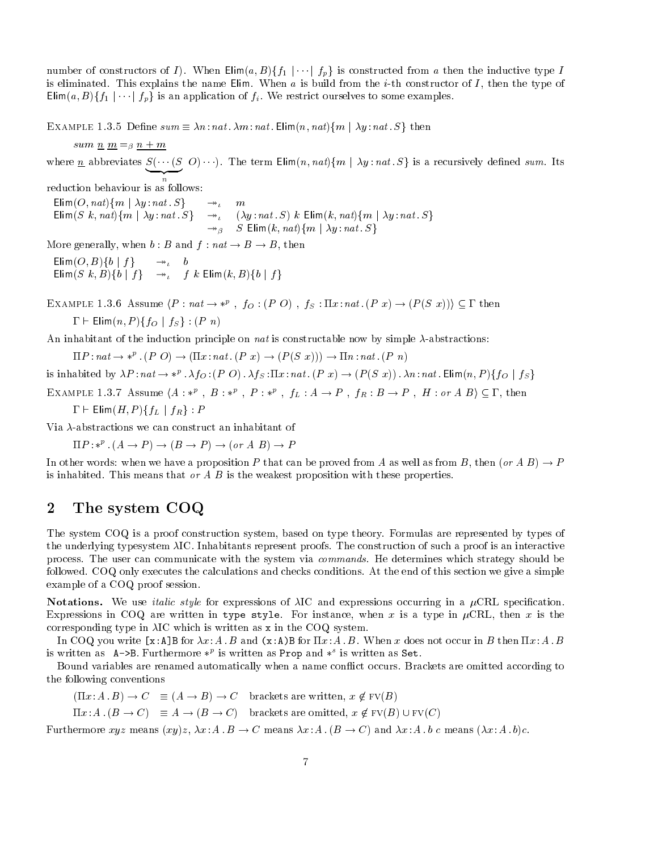$\lim_{u \to 0}$  of constructors of T). When  $\lim_{u \to 0} (u, D)$   $\{f\}$  is constructed from a then the multiple type T is eliminated. This explains the name Elim. When a is build from the  $i$ -th constructor of I, then the type of Elima- B-ff j---j fp<sup>g</sup> is an application of fi We restrict ourselves to some examples

 $E$  and  $E$  is the sum  $i = 0$  sum  $i = 0$  individual  $\sum_{i=1}^n E_i$  in  $i = 0$  in  $i = 1, 0, 0$  in the sum  $i = 0$ 

sum n m m  $\omega$  . The mass of the mass  $\omega$  is the mass of the mass  $\omega$ where <u>n</u> abbreviates  $S(\cdots(S \cup S))$ . The term  $\Box$  $m(n, nay)$  $m \mid \Delta y$ ,  $nab$ ,  $S_f$  is a recursively denied sum. Its reduction behaviour is as follows  $\mathsf{E}_{\text{min}}(\mathcal{O}, \mathit{new})$  in  $\mathcal{O}_{\mathcal{G}}$  is a natural  $\mathcal{O}_{\mathcal{G}}$  in  $\mathcal{O}_{\mathcal{G}}$ ElimS k- nat-fm <sup>j</sup> y nat S<sup>g</sup> y nat S- k Elimk- nat-fm <sup>j</sup> y nat S<sup>g</sup>  $\rightarrow$   $\beta$   $\rightarrow$   $\blacksquare$   $\blacksquare$   $\blacksquare$   $\blacksquare$   $\blacksquare$   $\blacksquare$   $\blacksquare$   $\blacksquare$   $\blacksquare$   $\blacksquare$   $\blacksquare$   $\blacksquare$   $\blacksquare$   $\blacksquare$   $\blacksquare$   $\blacksquare$   $\blacksquare$   $\blacksquare$   $\blacksquare$   $\blacksquare$   $\blacksquare$   $\blacksquare$   $\blacksquare$   $\blacksquare$   $\blacksquare$   $\blacksquare$   $\blacksquare$   $\blacksquare$   $\blacksquare$   $\bl$ More generally, when  $b : B$  and  $f : nat \rightarrow B \rightarrow B$ , then  $\mathsf{E}$ [iiii]( $\mathcal{O}, \mathcal{D}$ ) j $\mathcal{O}$   $\mathcal{F}$   $\mathcal{F}$   $\mathcal{F}$   $\mathcal{F}$   $\mathcal{F}$   $\mathcal{F}$   $\mathcal{F}$   $\mathcal{F}$   $\mathcal{F}$   $\mathcal{F}$   $\mathcal{F}$   $\mathcal{F}$   $\mathcal{F}$   $\mathcal{F}$   $\mathcal{F}$   $\mathcal{F}$   $\mathcal{F}$   $\mathcal{F}$   $\mathcal{F}$   $\mathcal{F}$   $\mathsf{E}\left[\min(\mathcal{Q} \mid \mathcal{N}, \mathcal{D})\right]$  of  $\mathcal{Q} \mid f \in \mathbb{R}$  ,  $f \in \mathcal{N}$  . Let  $\mathcal{Q} \mid f$  be  $\mathcal{Q} \mid f$  of  $f$ EXAMPLE 1.3.6 Assume  $\langle P : \textit{nat} \rightarrow *^{p} \ , \ f_O : (P \ O) \ , \ f_S : \Pi x : \textit{nat} \ . \ (P \ x) \rightarrow (P(S \ x))) \subseteq \Gamma$  then  Elimn- P -ffO <sup>j</sup> fS <sup>g</sup> P n-An inhabitant of the induction principle on *nat* is constructable now by simple  $\lambda$ -abstractions:

habitant of the induction principle on *nat* is constructable now by simple  $\lambda$ -abs<br> $\Pi P : nat \rightarrow *^{p}$  . (P O)  $\rightarrow (\Pi x : nat$  . (P x)  $\rightarrow (P(S\,\,x))) \rightarrow \Pi n : nat$  . (P n)

 $\Pi P : nat \to *^p \cdot (P \cup) \to (\Pi x : nat \cdot (P \ x) \to (P(S \ x))) \to \Pi n : nat \cdot (P \ n)$ <br>is inhabited by  $\lambda P : nat \to *^p \cdot \lambda f_O : (P \ O) \cdot \lambda f_S : \Pi x : nat \cdot (P \ x) \to (P(S \ x)) \cdot \lambda n : nat \cdot \text{Elim}(n, P) \{f_O \mid f_S\}$ 

is innabited by  $\lambda P : \textit{nat} \to *^p$ .  $\lambda f_O : (P \cup A)$ ,  $\lambda f_S : \textit{Ext} : \textit{nat}$  ,  $(P \mid x) \to (P(S \mid x))$ .  $\lambda n : \textit{nat}$  . Elim $(n, P) \{f_O \mid Is\}$ <br>EXAMPLE 1.3.7 Assume  $\langle A : *^p \rangle$ ,  $B : *^p \rangle$ ,  $P : *^p \rangle$ ,  $f_L : A \to P$ ,  $f_R : B \to P$ ,  $H : \textit{or } A$   $B \rangle \$ 

$$
\Gamma \vdash \mathsf{Elim}(H, P)\{f_L ~|~ f_R\} : P
$$

Via  $\lambda$ -abstractions we can construct an inhabitant of

$$
\Pi P: *^p (A \to P) \to (B \to P) \to (or A \ B) \to P
$$

In other words, when we have a proposition F that can be proved from A as well as from  $D$ , then (b)  $A \, D$   $) \rightarrow I$ is inhabited. This means that or  $A \, B$  is the weakest proposition with these properties.

### $\overline{2}$ The system COQ

The system COQ is a proof construction system, based on type theory. Formulas are represented by types of the underlying typesystem  $\lambda$ IC. Inhabitants represent proofs. The construction of such a proof is an interactive process. The user can communicate with the system via *commands*. He determines which strategy should be followed. COQ only executes the calculations and checks conditions. At the end of this section we give a simple example of a COQ proof session

Notations- We use italic style for expressions of IC and expressions occurring in a CRL specication Expressions in COQ are written in type style. For instance, when x is a type in  $\mu$ CRL, then x is the corresponding type in  $\lambda$ IC which is written as x in the COQ system.

In COQ you write -xAB for x AB and xAB for x AB When <sup>x</sup> does not occur in <sup>B</sup> then x AB is written as  $A \rightarrow D$ . Furthermore \* is written as Prop and \* is written as Set.

Bound variables are renamed automatically when a name conflict occurs. Brackets are omitted according to the following conventions

 $\lim_{\alpha \to 0} \alpha + D = \alpha \to D + D \to \mathbb{C}$  brackets are written,  $x \notin \Gamma$  (D)

 $\lim_{\alpha \to \infty} A \cdot (D \to C) = A \to (D \to C)$  blackets are omitted,  $x \notin \Gamma$  (D) Or  $\Gamma$  (C)

Furthermore  $\omega y z$  ineans  $\langle xy/z, \Delta x, \Delta z \rangle \rightarrow \mathbb{C}$  means  $\Delta x, \Delta z \rangle \rightarrow \mathbb{C}$  and  $\Delta x, \Delta z \rangle \rightarrow \mathbb{C}$  means  $(\Delta x, \Delta z)$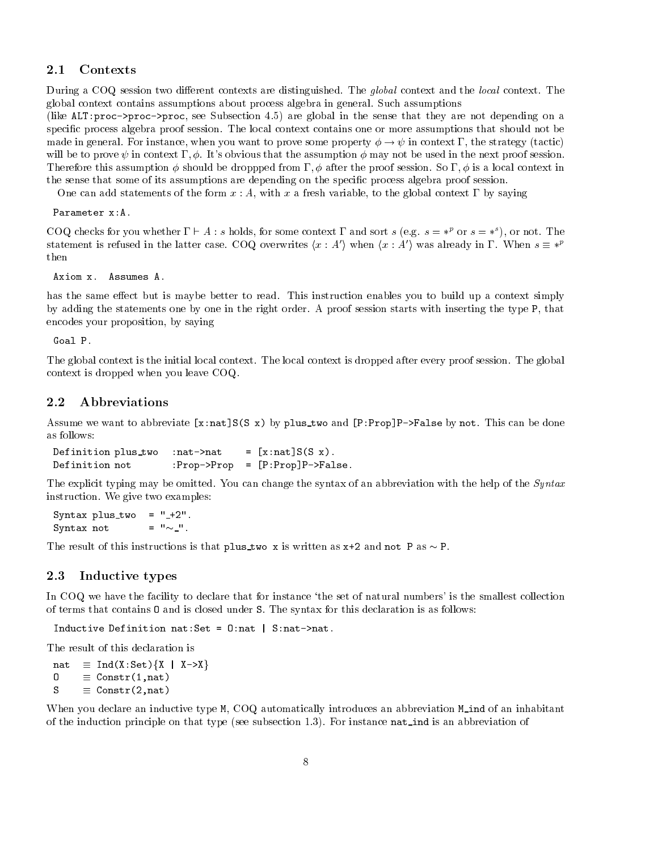During a COQ session two different contexts are distinguished. The *global* context and the *local* context. The global context contains assumptions about process algebra in general Such assumptions

like alternation - are global in the sense that the sense that the sense that the sense that the sense of the sense of the sense of the sense of the sense of the sense of the sense of the sense of the sense of the sense of specific process algebra proof session. The local context contains one or more assumptions that should not be made in general. For instance, when you want to prove some property  $\phi \to \psi$  in context  $\Gamma$ , the strategy (tactic) will be to prove the assumption of the assumption of the assumption of the next proof session in the next proof Therefore this assumption should be droppped from - after the proof session So - is a local context in the sense that some of its assumptions are depending on the specific process algebra proof session.

One can add statements of the form  $x : A$ , with x a fresh variable, to the global context  $\Gamma$  by saying

Parameter x:A.

COQ checks for you whether  $1 \in A$  ; s holds, for some context I and sort s (e.g.  $s = *^r$  or  $s = *^r$  ), or not The COQ checks for you whether  $\Gamma \vdash A$ : s holds, for some context  $\Gamma$  and sort s (e.g.  $s = *^p$  or  $s = *^s$ ), or not. The statement is refused in the latter case. COQ overwrites  $\langle x : A' \rangle$  when  $\langle x : A' \rangle$  was already in  $\Gamma$ .

Axiom x. Assumes A.

has the same effect but is maybe better to read. This instruction enables you to build up a context simply by adding the statements one by one in the right order. A proof session starts with inserting the type P, that encodes your proposition, by saying

Goal P.

The global context is the initial local context. The local context is dropped after every proof session. The global context is dropped when you leave COQ

### 2.2 Abbreviations

assume we want to abbreviate property ty ny plus two property and property is and - and - and - and - and - and as follows

```
Definition plus_two :nat->nat
                                 \blacksquare xnats \blacksquareDefinition not PropProp 
 -
PPropPFalse
```
The explicit typing may be omitted. You can change the syntax of an abbreviation with the help of the Syntax instruction. We give two examples:

syntax plus two controls of the control of the syntax plus two controls of the control of the syntax plus two Syntax not  $=$   $" \sim$   $"$ .

The result of this instructions is that plus two x is written as  $x+2$  and not P as  $\sim P$ .

### 2.3 Inductive types

In COQ we have the facility to declare that for instance 'the set of natural numbers' is the smallest collection of terms that contains O and is closed under S The syntax for this declaration is as follows

Inductive Definition nat: Set =  $0$ : nat | S: nat-> nat. Onat Snatna ta 1980 haqida ta 1980 haqida ta 1980 haqida ta 1980 haqida ta 1980 haqida ta 1980 haqida ta 1980

The result of this declaration is

 $nat \equiv Ind(X:Set)\{X \mid X->X\}$  $0 \equiv$  Constr(1, nat)  $S \equiv$  Constr(2, nat)

When you declare an inductive type M, COQ automatically introduces an abbreviation M ind of an inhabitant of the induction principle on that type seeds for its and indicated material in the induction of the seeds of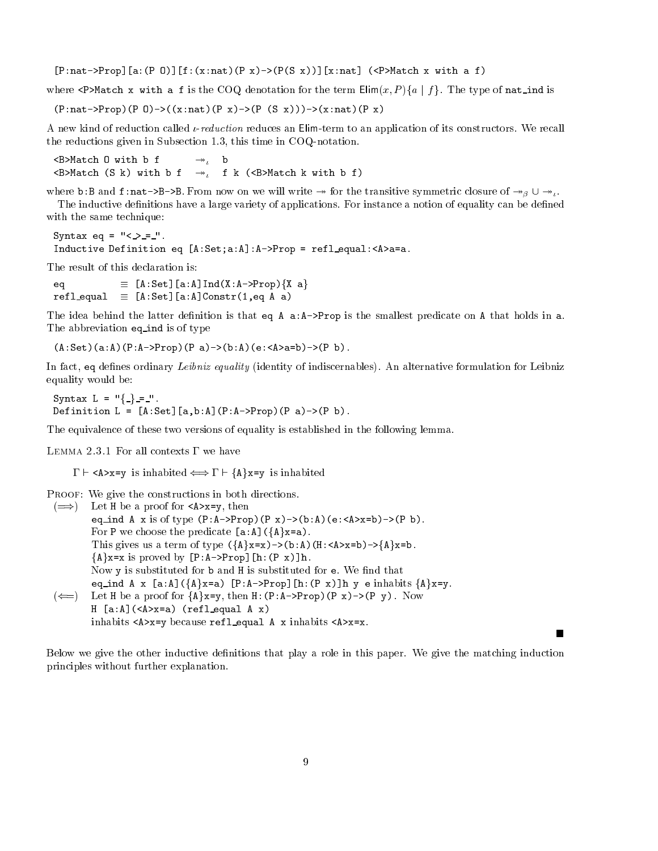-PnatProp-aP O-fxnatP xPS x-xnat PMatch x with a f

where  $\lambda$   $\lambda$  match  $\lambda$  with a f is the COQ denotation for the term Elim $\left(x, T\right)$  of  $T$  . The type of nat ind is

 $(P.\texttt{nat->Prop} (P \cup \texttt{O}>((x.\texttt{nat} (P \times y)\rightarrow (P \times (S \times))) - \rightarrow (x.\texttt{nat} (P \times))$ 

A new kind of reduction called  $\iota$ -reduction reduces an Elim-term to an application of its constructors. We recall the reductions given in Subsection  $1.3$ , this time in COQ-notation.

 $\langle B \rangle$ Match  $0$  with  $b$  f  $\rightarrow$ , b  $\langle B \rangle$ Match (S k) with b f  $\rightarrow$  f k ( $\langle B \rangle$ Match k with b f)

where b.b and **f**. Hat- $\lambda$ b- $\lambda$ b. From now on we will write  $\rightarrow$  for the transitive symmetric closure of  $\rightarrow$ <sub>B</sub>  $\cup$   $\rightarrow$ <sub>B</sub>. The inductive definitions have a large variety of applications. For instance a notion of equality can be defined with the same technique

```
Syntax eq 

Inductive Definition equal Aastro Definition equal Aastro Definition equal Aastro Definition equal Aastro Definition equal Aastro Definition equal Aastro Definition equal Aastro Definition equal Aastro Definition equal Aas
```
The result of this declaration is

eq -ASet-aAIndXAPropfX ag  $r = \lfloor r \cdot \log r \rfloor$  and  $r \cdot \log r$  and  $r \cdot \log r$  and  $r \cdot \log r$  and  $r \cdot \log r$ 

The idea behind the latter definition is that eq A  $a:A$ ->Prop is the smallest predicate on A that holds in  $a$ . The abbreviation eq ind is of type

Associated abandones abandones are abandones abandones abandones abandones abandones abandones abandones aband

In fact eq denes ordinary Leibniz equality identity of indiscernables- An alternative formulation for Leibniz equality would be

 $S$ yntax  $L = 1 - f - f - f$ . Definition L -ASet-abAPAPropP aP b 

The equivalence of these two versions of equality is established in the following lemma

LEMMA 2.3.1 For all contexts  $\Gamma$  we have

 $\Gamma \vdash \langle A \rangle x = y$  is inhabited  $\iff \Gamma \vdash \{A\}x = y$  is inhabited

PROOF: We give the constructions in both directions.

 $\sqrt{2}$  Let  $\pi$  be a proof for  $\sqrt{2}$ x- $\gamma$ , then eq\_ind A x is of type  $(P:A->Prop)$   $(P \times) \rightarrow (b:A)$   $(e:\langle A \rangle \times b) \rightarrow (P \times b)$ .  $\text{For } P \text{ we choose the predicate } [\texttt{a}:A] (\{A\} \texttt{x=a}).$ I HIS gives us a term of type  $\binom{A-A}{A}$   $\geq$   $\binom{D}{B}$ ,  $\binom{A}{A}$ ,  $\geq$   $\geq$   $\geq$   $\geq$   $\geq$ h xhp proved by Lr. A 210pj Lin. (F A) jin. Now  $y$  is substituted for  $b$  and  $H$  is substituted for  $e$ . We find that eq ind A x [a.n] \ \ n (x-a) [f .n / f lop] [n . \ f x ) ] ii y e innabits \ n (x-y.  $(\overline{\mathcal{L}})$  for it be a proof for  $\mathcal{M}(\mathcal{L}=\mathcal{N})$ , then H,  $(\mathcal{L} \cdot \mathcal{M})$  and  $(\mathcal{L} \cdot \mathcal{M})$  yields the proof for  $\mathcal{N}$ a reflective and a reflect the contract of the contract of the contract of the contract of the contract of the

inhabits are provided a calculated to discuss and an axis are  $\sim$ 

Below we give the other inductive definitions that play a role in this paper. We give the matching induction principles without further explanation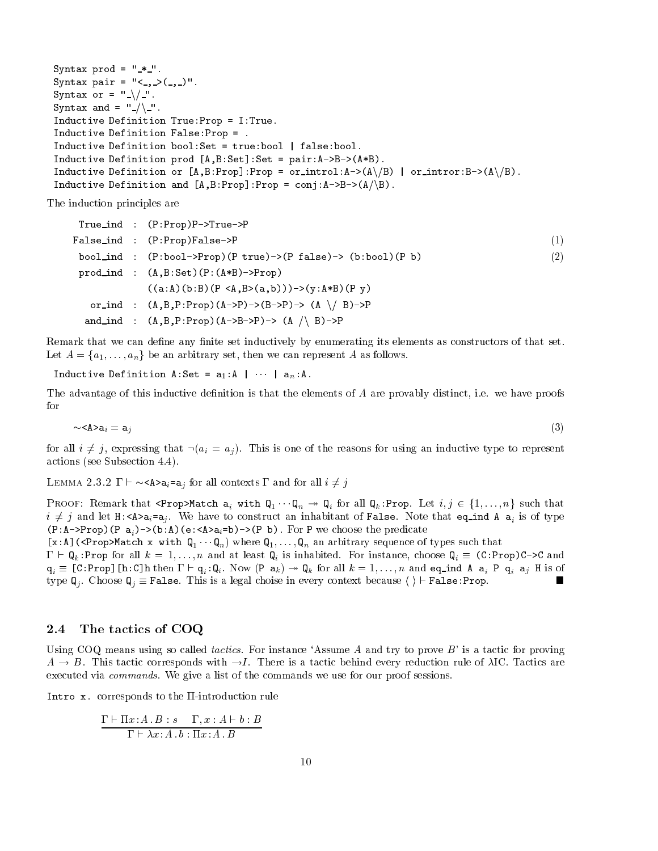```
syntax products and syntax products and syntax products are all the syntax products of the syntax products of 
syntax pairs and the syntax of the syntax of the syntax of the syntax of the syntax of the syntax of the syntax
Syntax or - \sqrt{2}.
Syntax and - \frac{1}{2} .
Inductive Definition TrueProp Proposition TrueProp Proposition TrueProposition TrueProposition TrueProposition
Inductive Definition FalseProp 

Inductive Definition books and the problem of the problem of the problem of the problem of the problem of the
inductive definition productive production of the production of the production of the production of the production of the production of the production of the production of the production of the production of the production
INQUESTAG DEFINITION OF [W'D'LION]'LION - OFTHANOI'N-\(W/\D) | OFTHANOI'D-\(W/\D)'
Inductive Definition and \left[ a, D. Flop \left[ . Conj, R-\left/ D \right] \left/ \left( \right) \left/
```
The induction principles are

True ind PPropPTrueP False ind PPropFalseP bool ind PboolPropP trueP false bboolP b prod ind ABSetPABProp aAbBP ABabyABP y or ind ABPPropAPBP A n BP and ind ABPPropABP A n BP

Remark that we can define any finite set inductively by enumerating its elements as constructors of that set. Let  $A = \{a_1, \ldots, a_n\}$  be an arbitrary set, then we can represent A as follows.

Inductive Definition R.Det -  $a_1$ .R | | |  $a_n$ .R.

The advantage of this inductive definition is that the elements of  $A$  are provably distinct, i.e. we have proofs for

$$
\sim\!\mathsf{A}\mathsf{a}_i=\mathtt{a}_j\tag{3}
$$

for all  $i \neq j$ , expressing that  $(a_i = a_j)$ . This is one of the reasons for using an inductive type to represent actions see Subsection - Subsection - Subsection - Subsection - Subsection - Subsection - Subsection - Subsect

detions (see Subsection 4.4).<br>LEMMA 2.3.2  $\Gamma \vdash \sim$ <A>a<sub>i</sub>=a<sub>i</sub> for all contexts  $\Gamma$  and for all  $i \neq j$ 

I KOOF. INCHIAIK that SPIOP A about  $\mathsf{a}_i$  with  $\mathsf{Q}_1 \cdots \mathsf{Q}_n \twoheadrightarrow \mathsf{Q}_i$  for an  $\mathsf{Q}_k$ . Fiop. Let  $i, j \in \{1, \ldots, n\}$  such that  $\ell \neq j$  and let  $\mu$ . As  $a_i - a_j$ . We have to construct an immabitant of False. Tote that eq\_lime A  $a_i$  is of type  $\mathbf{P}$  is a proportion of predicate the predicate the predicate the predicate the predicate  $\mathbf{P}$ 

 $\mathsf{L}_{\mathsf{A}}$ . Is a proportional  $\mathsf{A}_1$  with  $\mathsf{A}_n$  where  $\mathsf{A}_1, \ldots, \mathsf{A}_n$  and arbitrary sequence of types such that  $1 + Q_k$ . Five for all  $k = 1, ..., n$  and at least  $Q_i$  is inhabited. For instance, choose  $Q_i = (0.110p)$   $\vee$  and  $\mathbf{q}_i = \mathbf{r} \cdot \mathbf{r} + \mathbf{r} \cdot \mathbf{r}$  and  $\mathbf{r} \cdot \mathbf{r}$  and  $\mathbf{r} \cdot \mathbf{r}$  and  $\mathbf{r} \cdot \mathbf{r}$  and  $\mathbf{r} \cdot \mathbf{r}$  and  $\mathbf{r} \cdot \mathbf{r}$  and  $\mathbf{r} \cdot \mathbf{r}$  and  $\mathbf{r} \cdot \mathbf{r}$  and  $\mathbf{r} \cdot \mathbf{r}$  and  $\mathbf{r} \cdot$ type  $\mathbb{Q}_i$ . Choose  $\mathbb{Q}_i \equiv$  False. This is a legal choise in every context because  $\langle \rangle$  False: Prop.

#### $2.4$ The tactics of COQ

Using COQ means using so called *tactics*. For instance 'Assume A and try to prove  $B'$  is a tactic for proving  $A \rightarrow B$ . This tactic corresponds with  $\rightarrow I$ . There is a tactic behind every reduction rule of  $\lambda$ IC. Tactics are executed via *commands*. We give a list of the commands we use for our proof sessions.

Intro  $x$ . corresponds to the  $\Pi$ -introduction rule

$$
\frac{\Gamma \vdash \Pi x:A.B:s \quad \Gamma, x:A \vdash b:B}{\Gamma \vdash \lambda x:A.b:\Pi x:A.B}
$$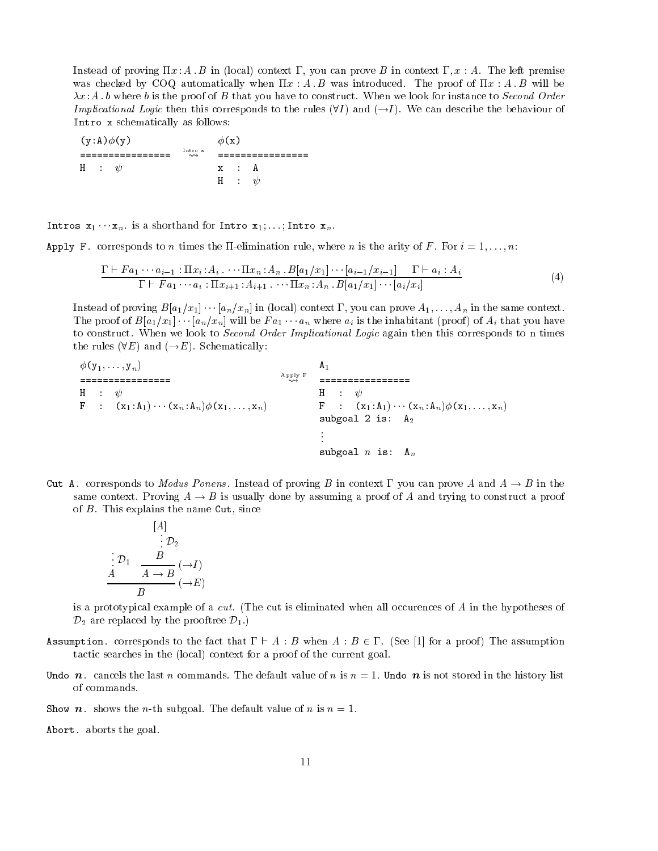. In the set  $\alpha$  is a set of  $\alpha$  in local-left province  $\alpha$  in the left prove B in the left prove  $\alpha$ was checked by COQ automatically when  $\Pi x : A \cdot B$  was introduced. The proof of  $\Pi x : A \cdot B$  will be  $\lambda x:A$  b where b is the proof of B that you have to construct. When we look for instance to Second Order *Implicational Logic* then this corresponds to the rules  $(91)$  and  $(\rightarrow I)$ . We can describe the behaviour of Intro x schematically as follows

 $(y:A)\phi(y)$   $\phi(x)$  Intro x  $x : A$ h and a strong and a strong and a strong and a strong and a strong and a strong and a strong and a strong and H :  $\psi$ 

INCLUS  $X_1 \cdots X_n$ .

Apply F. corresponds to *n* times the II-elimination rule, where *n* is the arity of *F*. For  $i = 1, ..., n$ :

$$
\frac{\Gamma \vdash F a_1 \cdots a_{i-1} : \Pi x_i : A_i \cdots \Pi x_n : A_n \cdot B[a_1/x_1] \cdots [a_{i-1}/x_{i-1}] \quad \Gamma \vdash a_i : A_i}{\Gamma \vdash F a_1 \cdots a_i : \Pi x_{i+1} : A_{i+1} \cdots \Pi x_n : A_n \cdot B[a_1/x_1] \cdots [a_i/x_i]} \tag{4}
$$

 $\max$  in the same context. The proof of  $B[u]/[x]$   $\cdots$   $\lfloor u_n/u_n \rfloor$  will be  $I[u]$   $\cdots$   $\lfloor u_n \rfloor$  where  $u_i$  is the inhabitant (proof) of  $A_i$  that you have to construct. When we look to Second Order Implicational Logic again then this corresponds to n times the rules  $(VE)$  and  $(\neg E)$ . Denematically.

 $\mathcal{F} \rightarrow \mathcal{F}$  is a set of  $\mathcal{F}$  in the set of  $\mathcal{F}$  is a set of  $\mathcal{F}$  is a set of  $\mathcal{F}$  is a set of  $\mathcal{F}$  is a set of  $\mathcal{F}$  is a set of  $\mathcal{F}$  is a set of  $\mathcal{F}$  is a set of  $\mathcal{F}$  is a set of Apply F Here is a set of the set of the set of the set of the set of the set of the set of the set of the set of the set of the set of the set of the set of the set of the set of the set of the set of the set of the set of the se  $\Gamma$  .  $\lambda_1, \lambda_1, \cdots, \lambda_n, \lambda_n, \mu \in \mathbb{R}$  ,  $\lambda_1, \ldots, \lambda_n, \lambda_1, \ldots, \lambda_n$ subgroup is  $\sim$   $\sim$   $\sim$   $\sim$   $\sim$   $\sim$   $\sim$ All the state of the state subgoal  $n$  is:  $A_n$ 

Cut A. corresponds to Modus Ponens. Instead of proving B in context  $\Gamma$  you can prove A and  $A \rightarrow B$  in the same context. Proving  $A \rightarrow B$  is usually done by assuming a proof of A and trying to construct a proof of  $B$ . This explains the name Cut, since

$$
[A] \n\vdots D_2 \n\vdots D_1 \quad B \n\frac{B}{A \to B} (\to I) \nB \quad (\to E)
$$

is a prototypical example of a *cut*. (The cut is eliminated when all occurences of  $A$  in the hypotheses of  $\nu_2$  are replaced by the prooftree  $\nu_1$ .

- $A$ ssumption. Corresponds to the fact that  $1 + A + B$  when  $A + B \in I$ . (See [1] for a proof) file assumption tactic searches in the local-dependent goal-dependent goal-dependent goal-dependent goal-dependent goal-dependent goal-
- Undo n. cancels the last n commands. The default value of n is  $n = 1$ . Undo n is not stored in the history list of commands
- Show n. shows the n-th subgoal. The default value of n is  $n = 1$ .
- Abort. aborts the goal.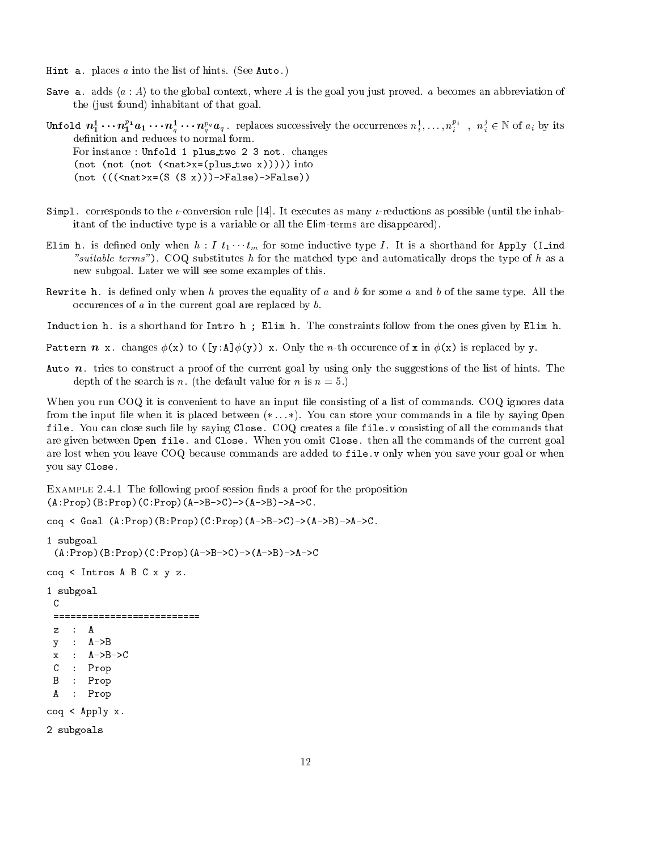Hint a. places  $a$  into the list of hints. (See Auto.)

Save a. adds  $\langle a : A \rangle$  to the global context, where A is the goal you just proved. a becomes an abbreviation of the just found-dimensional polynomial  $\mathcal{L}$  in  $\mathcal{L}$ 

Unfold  $n_1^*\cdots n_1^c\cdot a_1\cdots n_q^a\cdot\cdot\cdot n_q^a a_q$ . replaces successively the occurrences  $n_i^*\ldots,n_i^c$  ,  $n_i^c\in\mathbb{N}$  of  $a_i$  by its  $\mathbf{q}$  and  $\mathbf{q}$  are the set of  $\mathbf{q}$ For instance : Unfold 1 plus\_two 2 3 not. changes not not not natx plus two x into not natx S S xFalseFalse

- Simpl. corresponds to the *t*-conversion rule  $[14]$ . It executes as many *t*-reductions as possible (until the inhabitant of the inductive type is a variable or all the Elimterms are disappeared-
- EIT is defined only when  $h$  . I  $t_1 \cdots t_m$  for some inductive type I. It is a shorthand for Apply (I ind -suitable terms- COQ substitutes h for the matched type and automatically drops the type of h as a new subgoal. Later we will see some examples of this.
- Rewrite h. is defined only when h proves the equality of a and b for some a and b of the same type. All the occurences of  $a$  in the current goal are replaced by  $b$ .
- Induction h. is a shorthand for Intro h; Elim h. The constraints follow from the ones given by Elim h.

pattern in an incomplete the new theory is the new order that is replaced by your properties of the new state

Auto  $n$ , tries to construct a proof of the current goal by using only the suggestions of the list of hints. The depth of the search is n. (the default value for n is  $n = 5$ .)

When you run COQ it is convenient to have an input file consisting of a list of commands. COQ ignores data from the input le when it is placed between - You can store your commands in a le by saying Open file. You can close such file by saying Close. COQ creates a file file v consisting of all the commands that are given between Open file. and Close. When you omit Close. then all the commands of the current goal are lost when you leave COQ because commands are added to file v only when you save your goal or when you say Close 

 $\Xi$  in following proof session nasal a proof is a proof for the proposition  $(A:Prop)(B:Prop)(C:Prop)(A->B->C)\rightarrow(A->B)\rightarrow A->C$ .

```
coq < Goal (A:Prop)(B:Prop)(C:Prop)(A->B->C)-(A->B)\rightarrow A->C.
```

```
1 subgoal
 (A:Prop)(B:Prop)(C:Prop)(A->B->C)\rightarrow(A->B)\rightarrow A->C\text{cog} < Intros A B C x y z.
 subgoal
 C
 ===========================
 z : Ay : A->Bx : A->B->CC : Prop
 B : Prop
 A : Prop
\text{cog} < \text{Apply } x.2 subgoals
```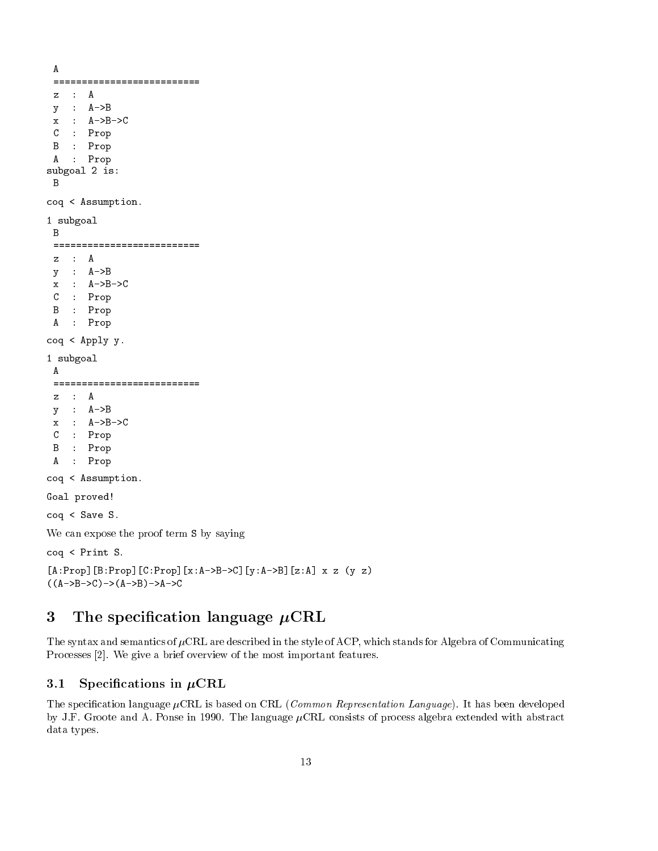```
A
 z : Ay : A->Bx : A->B->CC : Prop
 B : Prop
 A : Prop
subgoal 2 is:
\texttt{coq} < Assumption.
1 subgoal
 B
 ===========================
 y : A->Bx : A->B->CC : Prop
 B : Prop
 A : Prop
\texttt{coq} < Apply y.
1 subgoal
 ==========================
 z : Ay : A->Bx : A->B->C: Prop
 \mathcal{C}B : Prop
 A : Prop
coq < Assumption.
Goal proved
\text{cog} < Save S.
We can expose the proof term S by saying
coq < Print S.
```
## -AProp-BProp-CProp-xABC-yAB-zA x z y z  $(A->B->C")->(A->B")->A->C$

### 3 The specification language  $\mu$ CRL

The syntax and semantics of  $\mu$ CRL are described in the style of ACP, which stands for Algebra of Communicating Processes [2]. We give a brief overview of the most important features.

### 3.1 Specifications in  $\mu$ CRL

The specication language CRL is based on CRL Common Representation Language- It has been developed by J.F. Groote and A. Ponse in 1990. The language  $\mu$ CRL consists of process algebra extended with abstract data types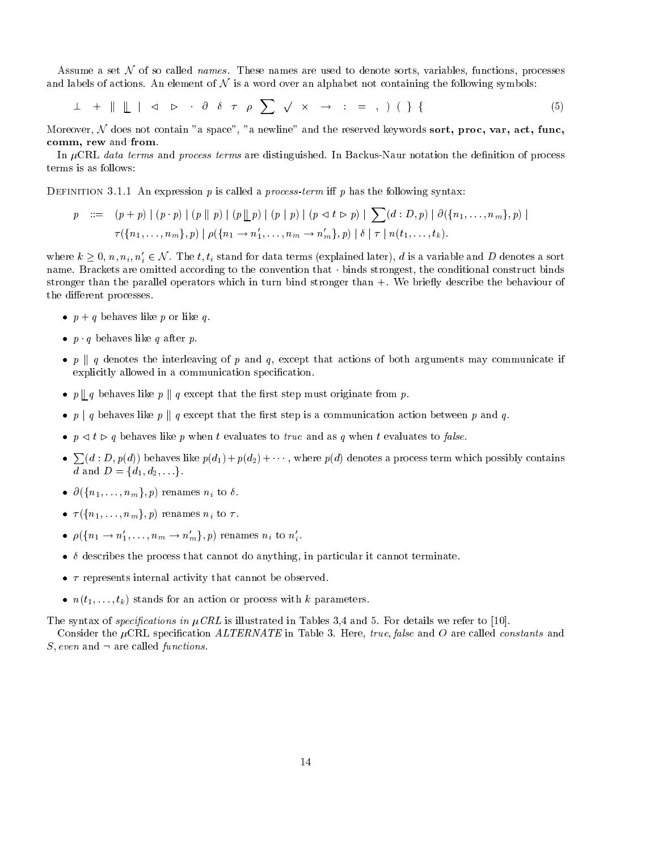Assume a set  $\mathcal N$  of so called *names*. These names are used to denote sorts, variables, functions, processes and labels of actions. An element of  $N$  is a word over an alphabet not containing the following symbols:

 $\perp$  +  $\parallel$   $\parallel$   $\parallel$   $\triangle$   $\triangleright$   $\theta$   $\delta$   $\tau$   $\rho$   $\sum$   $\sqrt{x}$   $\rightarrow$  : = , ) ( } { (5)

Moreover,  $\mathcal N$  does not contain "a space", "a newline" and the reserved keywords sort, proc, var, act, func, comm, rew and from.

In  $\mu$ CRL data terms and process terms are distinguished. In Backus-Naur notation the definition of process terms is as follows

 $D$  is interested as a proposition  $p$  is called a process form in  $p$  has the following syntaxity

$$
p ::= (p + p) | (p \cdot p) | (p || p) | (p || p) | (p | p) | (p \cdot b) | (p \cdot b) | \sum(d : D, p) | \partial(\{n_1, ..., n_m\}, p) |
$$
  

$$
\tau(\{n_1, ..., n_m\}, p) | \rho(\{n_1 \rightarrow n'_1, ..., n_m \rightarrow n'_m\}, p) | \delta | \tau | n(t_1, ..., t_k).
$$

where  $k \geq 0$ ,  $n, n_i, n'_i \in \mathcal{N}$ . The  $t, t_i$  stand for data terms (explained later), d is a variable and D denotes a sort name Brackets are omitted according to the convention that - binds strongest the conditional construct binds stronger than the parallel operators which in turn bind stronger than We brie
y describe the behaviour of the different processes.

- $\bullet$   $p \uparrow q$  behaves like p or like q.
- $\bullet$   $p$   $q$  behaves like q after  $p$ .
- $\bullet$   $p$   $\parallel$   $a$  denotes the interleaving of  $p$  and  $q$ , except that actions of both arguments may communicate if explicitly allowed in a communication specification.
- $\bullet$  p  $\parallel$  q behaves like p  $\parallel$  q except that the first step must originate from p.
- $\bullet$   $p$   $\uparrow$   $q$  behaves like  $p$   $\uparrow$   $q$  except that the rist step is a communication action between  $p$  and  $q$ .
- $\bullet$   $\mu$   $\prec$   $\iota$   $\mu$   $\mu$  behaves like  $\mu$  when  $\iota$  evaluates to false to  $\iota$  when  $\iota$  evaluates to factor.
- $\sum (d : D, p(d))$  behaves like  $p(d_1) + p(d_2) + \cdots$ , where  $p(d)$  denotes a process term which possibly contains  $a$  and  $D = \{u_1, u_2, \ldots \}$
- $\bullet$   $\sigma$ ( $\sigma$ ) $n_1$ ,..., $n_m$  $\sigma$ , $\sigma$ ) renames  $n_i$  to  $\sigma$ .
- $\bullet$   $\iota$ <sub>(1</sub> $\iota$ <sub>1</sub>, $\ldots$ ,  $\iota$ <sub>m</sub> $\iota$ <sub>n</sub> $\iota$ ) renames  $\iota$ <sub>i</sub> to  $\iota$ .
- $\rho_{\langle \{n_1 \rightarrow n_1, \ldots, n_m \rightarrow n_m\}, \nu \rangle}$  renames  $n_i$  to  $n_i$ .
- describes the process that cannot do anything in particular it cannot terminate
- $\bullet$  represents internal activity that cannot be observed.
- $\bullet$   $n(v_1, \ldots, v_k)$  stands for an action or process with  $\kappa$  parameters.

The syntax of specifications in  $\mu$ CRL is illustrated in Tables 3,4 and 5. For details we refer to [10].

Consider the CRL specication ALTERNATE in Table Here true- false and O are called constants and  $\omega$ , even and  $\tau$  are called *functions*.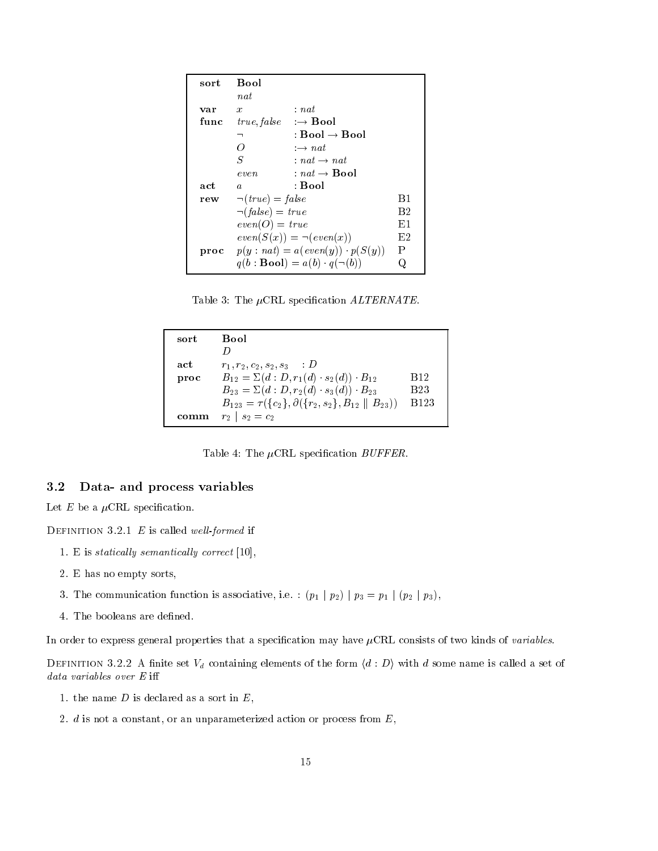| sort | <b>Bool</b>                                  |                                                              |                |
|------|----------------------------------------------|--------------------------------------------------------------|----------------|
|      | $n$ <i>at</i>                                |                                                              |                |
| var  | $\boldsymbol{x}$                             | : nat                                                        |                |
| func | <i>true, false</i> $\rightarrow$ <b>Bool</b> |                                                              |                |
|      | ┑                                            | : Bool $\rightarrow$ Bool                                    |                |
|      | O)                                           | $\rightarrow$ nat                                            |                |
|      | S                                            | $:nat \rightarrow nat$                                       |                |
|      | even                                         | $nat \rightarrow \textbf{Bool}$                              |                |
| act  | $\boldsymbol{a}$                             | : Bool                                                       |                |
| rew  | $\neg (true) = false$                        |                                                              | B1             |
|      | $\neg(false) = true$                         |                                                              | B <sub>2</sub> |
|      | $even(O) = true$                             |                                                              | E1             |
|      |                                              | $even(S(x)) = \neg(even(x))$                                 | E2             |
|      |                                              | <b>proc</b> $p(y \text{ : } nat) = a(even(y)) \cdot p(S(y))$ | P              |
|      |                                              | $q(b : \textbf{Bool}) = a(b) \cdot q(\neg(b))$               |                |

Table 3: The  $\mu$ CRL specification  $ALTERNATE$ .

| sort | Bool                                                                   |                        |  |
|------|------------------------------------------------------------------------|------------------------|--|
|      |                                                                        |                        |  |
| act  | $r_1, r_2, c_2, s_2, s_3$ D                                            |                        |  |
| proc | $B_{12} = \Sigma(d : D, r_1(d) \cdot s_2(d)) \cdot B_{12}$             | <b>B</b> <sub>12</sub> |  |
|      | $B_{23} = \Sigma(d : D, r_2(d) \cdot s_3(d)) \cdot B_{23}$             | <b>B23</b>             |  |
|      | $B_{123} = \tau({c_2}, \partial({r_2}, s_2), B_{12} \parallel B_{23})$ | <b>B</b> 123           |  |
|      | $r_2$   $s_2 = c_2$                                                    |                        |  |

Table 4: The  $\mu$ CRL specification *BUFFER*.

#### 3.2 Data- and process variables

Let  $E$  be a  $\mu$ CRL specification.

 $\mathbf{B}$  is the finition of  $\mathbf{E}$  is called well formed if

- 1. E is statically semantically correct  $[10]$ ,
- E has no empty sorts
- $\sigma$ . The communication function is associative, i.e.  $\left( p_1 + p_2 \right) + p_3 = p_1 + (p_2 + p_3)$ ,
- 4. The booleans are defined.

In order to express general properties that a specification may have  $\mu$ CRL consists of two kinds of variables.

DEFINITION 3.2.2 A finite set  $V_d$  containing elements of the form  $\langle d : D \rangle$  with d some name is called a set of data variables over E i

- 1. the name  $D$  is declared as a sort in  $E$ ,
- 2.  $d$  is not a constant, or an unparameterized action or process from  $E$ ,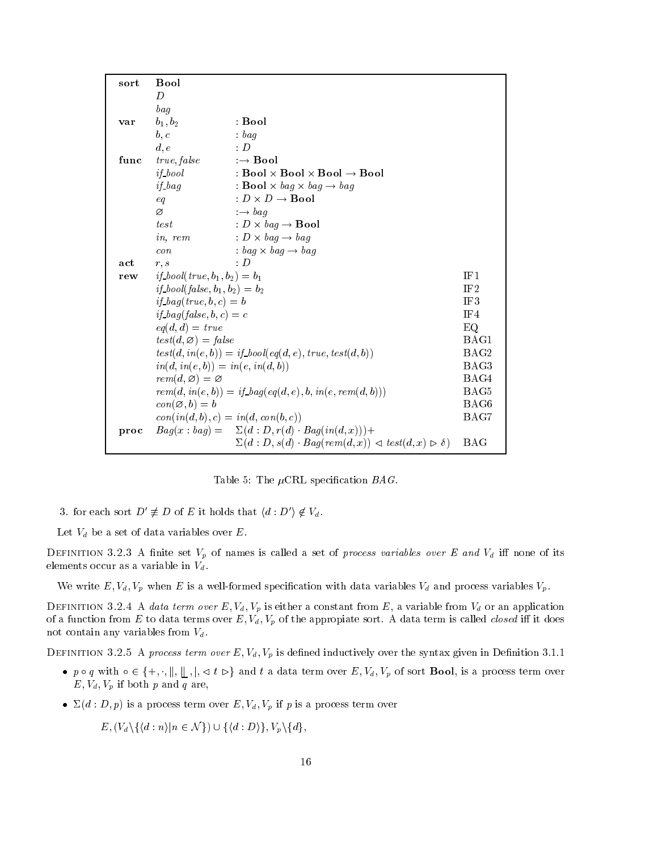| sort | <b>Bool</b>                                            |                                                                                           |                  |
|------|--------------------------------------------------------|-------------------------------------------------------------------------------------------|------------------|
|      | D                                                      |                                                                                           |                  |
|      | bag                                                    |                                                                                           |                  |
| var  | $b_1, b_2$                                             | : Bool                                                                                    |                  |
|      | b, c                                                   | $:$ bag                                                                                   |                  |
|      | d, e                                                   | $\cdot$ D                                                                                 |                  |
| func | true, false                                            | $\rightarrow$ Bool                                                                        |                  |
|      | $if_{\alpha}$                                          | $Bool \times Bool \times Bool \rightarrow Bool$                                           |                  |
|      | $if$ bag                                               | : <b>Bool</b> $\times$ bag $\times$ bag $\rightarrow$ bag                                 |                  |
|      | eq                                                     | $: D \times D \rightarrow \textbf{Bool}$                                                  |                  |
|      | Ø                                                      | $\rightarrow baq$                                                                         |                  |
|      | test                                                   | : $D \times bag \rightarrow$ <b>Bool</b>                                                  |                  |
|      | in, rem                                                | $D \times baq \rightarrow baq$                                                            |                  |
|      | $\cos$                                                 | $:$ bag $\times$ bag $\rightarrow$ bag                                                    |                  |
| act  | r, s                                                   | $\cdot$ D                                                                                 |                  |
| rew  | <i>if_bool</i> ( <i>true</i> , $b_1$ , $b_2$ ) = $b_1$ |                                                                                           | IF1              |
|      | <i>if</i> _bool(false, $b_1$ , $b_2$ ) = $b_2$         |                                                                                           | IF <sub>2</sub>  |
|      | <i>if</i> _bag(true, b, c) = b                         |                                                                                           | IF3              |
|      | <i>if</i> _bag(false, b, c) = c                        |                                                                                           | IF4              |
|      | $eq(d,d) = true$                                       |                                                                                           | EQ               |
|      | $test(d, \varnothing) = false$                         |                                                                                           | BAG1             |
|      |                                                        | $test(d, in(e, b)) = if\_bool(eq(d, e), true, test(d, b))$                                | BAG2             |
|      | $in(d, in(e, b)) = in(e, in(d, b))$                    |                                                                                           | BAG3             |
|      | $rem(d, \varnothing) = \varnothing$                    |                                                                                           | BAG4             |
|      |                                                        | $rem(d, in(e, b)) = if\_bag(eq(d, e), b, in(e, rem(d, b)))$                               | BAG5             |
|      | $con(\emptyset, b) = b$                                |                                                                                           | BAG <sub>6</sub> |
|      | $con(in(d, b), c) = in(d, con(b, c))$                  |                                                                                           | BAG7             |
| proc |                                                        | $Bag(x: bag) = \sum(d: D, r(d) \cdot Bag(in(d, x))) +$                                    |                  |
|      |                                                        | $\Sigma(d : D, s(d) \cdot Bag(rem(d, x)) \triangleleft test(d, x) \triangleright \delta)$ | BAG              |

Table 5: The  $\mu$ CRL specification BAG.

3. for each sort  $D' \neq D$  of E it holds that  $\langle d : D' \rangle \notin V_d$ .

Let  $V_d$  be a set of data variables over E.

DEFINITION 3.2.3 A finite set  $V_p$  of names is called a set of *process variables over E and*  $V_d$  iff none of its elements occur as a variable in  $V_d$ .

We write E- Vd- Vp when <sup>E</sup> is a wellformed specication with data variables Vd and process variables Vp

 $D$  different  $\sigma$  . The fraction  $\sigma$  is eight from  $\sigma$  constant from  $D$ ,  $\alpha$  radiable from  $\eta$  or an application  $\frac{1}{2}$  with the appropiate sort A data terms over  $\frac{1}{2}$  and  $\frac{1}{2}$ not contain any variables from  $V_d$ .

 $D$  definition  $\sigma$  is  $\sigma$  is a process term over  $B_{\{V\}}$  is defined inductively over the syntax given in Denition of it.

- $\bullet$   $p \circ q$  with  $\circ \in \{\top, \cdot, \parallel, \parallel, \cdot, \parallel, \vee \iota \vee \uparrow \text{ and } \iota \text{ a data term over } E, \mathsf{v}_d, \mathsf{v}_p$  of sort **Dool**, is a process term over  $\mathcal{L} = \{ \mathbf{v} \mid \mathbf{v} \mid \mathbf{v} \in \mathbb{R}^n : \mathbf{v} \in \mathbb{R}^n \mid \mathbf{v} \in \mathbb{R}^n \}$
- $\bullet$   $\Delta(a + D, p)$  is a process term over  $E, v_d, v_p$  if p is a process term over

 $E, (V_d \setminus \{(d : n) | n \in \mathcal{N}\}) \cup \{(d : D)\}, V_p \setminus \{d\},\$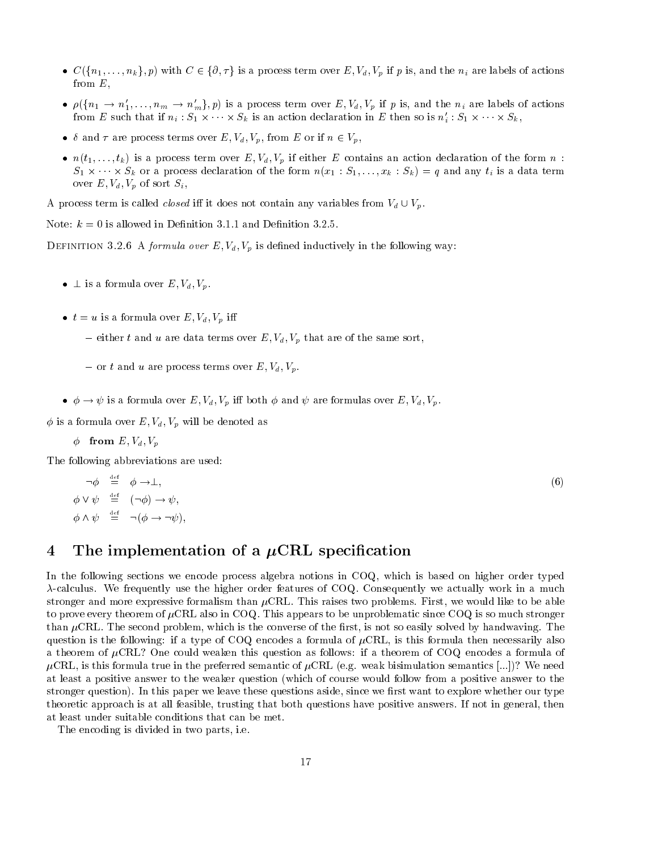- $C({n_1,\ldots,n_k},p)$  with  $C \in {\partial,\tau}$  is a process term over  $E, V_d, V_p$  if p is, and the  $n_i$  are labels of actions from  $E$ ,
- $\bullet$   $\rho(\{n_1 \to n_1, \ldots, n_m \to n_m\}, p)$  is a process term over E,  $v_d$ ,  $v_p$  if p is, and the  $n_i$  are labels of actions from E such that if  $n_i$ :  $S_1 \times \cdots \times S_k$  is an action declaration in E then so is  $n_i$ :  $S_1 \times \cdots \times S_k$ ,  $\{P, p\}$  is a process term over  $E, V_d, V_p$  if p is, and the  $n_i$  are laby  $\times \cdots \times S_k$  is an action declaration in E then so is  $n'_i : S_1 \times \cdots$
- $\bullet$  v and r are process terms over  $E$ ,  $V_d$ ,  $V_p$ , from E or if  $n \in V_p$ ,
- $\bullet$   $u(t_1,\ldots,t_k)$  is a process term over  $E, v_d, v_p$  if either E contains an action declaration of the form  $u$ .  $S_1 \wedge \cdots \wedge S_k$  or a process declaration of the form  $n(x_1 \wedge x_1, \dots, x_k \wedge x_k) = q$  and any  $i_1$  is a data term  $\frac{1}{x}$ ... over E-U over E-U over Single-U over Single-U over Single-U over Single-U over Single-U over Single-U over Single-U

A process term is called *closed* in it does not contain any variables from  $V_d \cup V_p$ .

Note:  $k = 0$  is allowed in Definition 3.1.1 and Definition 3.2.5.

 $\mathbf{D}_{\text{in}}$  is defined in the following way.

- $\bullet$   $\perp$  is a formula over  $E, v_d, v_p$ .
- $\bullet$   $\iota = u$  is a formula over  $E, v_d, v_p$  in
	- either t and u are data terms over  $\equiv$  ,  $\bm{u}$  ,  $\bm{v}$  , are of the same sorting  $\bm{\cdot}$
	- $\cdots$  to the second process terms over  $\cdots$  ,  $\cdots$  ,  $\cdots$
- $\bullet \phi \to \phi$  is a formula over  $E, v_d, v_p$  in both  $\phi$  and  $\phi$  are formulas over  $E, v_d, v_p$ .

is a formula over  $\mathcal{V}$  will be denoted as formula over E-I and  $\mathcal{V}$ 

from E- Vd- Vp

The following abbreviations are used

$$
\neg \phi \stackrel{\text{def}}{=} \phi \to \bot,
$$
  
\n
$$
\phi \lor \psi \stackrel{\text{def}}{=} (\neg \phi) \to \psi,
$$
  
\n
$$
\phi \land \psi \stackrel{\text{def}}{=} \neg (\phi \to \neg \psi),
$$

### experimental contracts and contracts are all the contracts of the contracts of the contracts of the contracts of the contracts of the contracts of the contracts of the contracts of the contracts of the contracts of the con

### $\overline{4}$ The implementation of a  $\mu$ CRL specification

In the following sections we encode process algebra notions in COQ, which is based on higher order typed  $\lambda$ -calculus. We frequently use the higher order features of COQ. Consequently we actually work in a much stronger and more expressive formalism than  $\mu$ CRL. This raises two problems. First, we would like to be able to prove every theorem of  $\mu$ CRL also in COQ. This appears to be unproblematic since COQ is so much stronger than  $\mu$ CRL. The second problem, which is the converse of the first, is not so easily solved by handwaving. The question is the following: if a type of COQ encodes a formula of  $\mu$ CRL, is this formula then necessarily also a theorem of  $\mu$ CRL? One could weaken this question as follows: if a theorem of COQ encodes a formula of CRL is this formula true in the preferred semantic of CRL eg weak bisimulation semantics - We need at least a positive answer to the weaker question which of course would follow from a positive answer to the stronger question- In this paper we leave these questions aside since we rst want to explore whether our type theoretic approach is at all feasible, trusting that both questions have positive answers. If not in general, then at least under suitable conditions that can be met

The encoding is divided in two parts, i.e.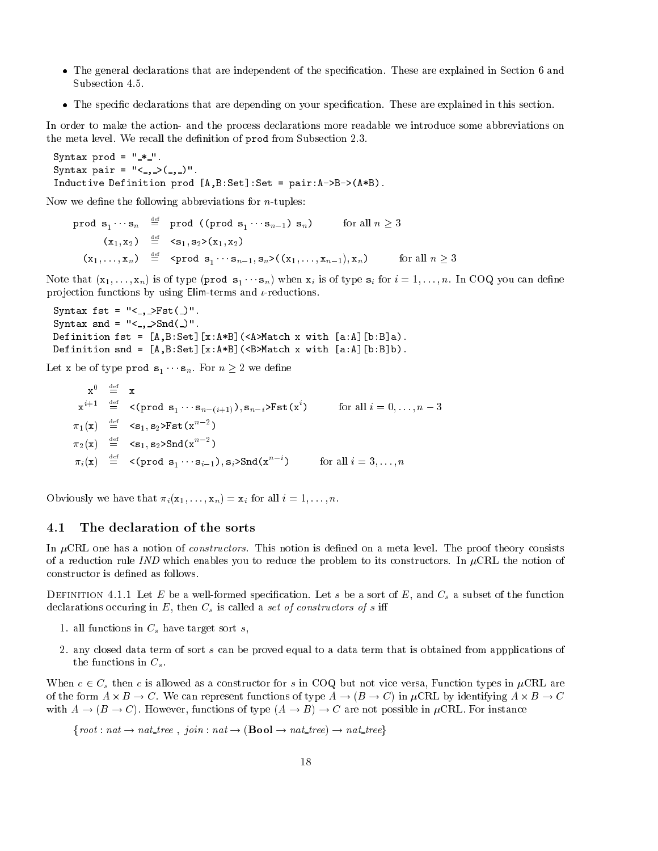- The general declarations that are independent of the speci-cation These are explained in Section and Subsection 4.5.
- The speci-c declarations that are depending on your speci-cation These are explained in this section

In order to make the action- and the process declarations more readable we introduce some abbreviations on the meta level We recall the de-nition of prod from Subsection 

```
Syntax prod -

Syntax pair -

Inductive Definition production production production production \mathbf{A} . As a pair \mathbf{A}
```
now we define the following abbreviations for new the following abbreviations for new terms for new terms of n

 $\verb|prod s|_1 \cdots s_n = \verb|prod (prod s_1 \cdots s_{n-1}) s_n)$ for all  $n \geq 3$  $(x_1, x_2) \equiv \langle s_1, s_2 \rangle (x_1, x_2)$  $(x_1,\ldots,x_n)$  =  $\text{Sprod } \mathbf{s}_1\cdots\mathbf{s}_{n-1}, \mathbf{s}_n$  >  $((x_1,\ldots,x_{n-1}),x_n)$  for all  $n\geq 3$ 

n is of the sound when you can be a special contract the second who can be considered to the sound contract co projection functions by using  $Elim-terms$  and  $\iota$ -reductions.

```
syntax for the syntax from the syntax for the syntax for the syntax for the syntax for the syntax for the syntax
Syntax snd -
   Snd	 

abset and the contract of the contract of the set of the set of the set of the set of the set of the set of th
\mathcal{L} and \mathcal{L} are a solution snd \mathcal{L} and \mathcal{L} are a solution snd \mathcal{L}
```
 $\mathcal{L}$  be of type produced by  $\mathcal{L}$  and  $\mathcal{L}$  are defined by  $\mathcal{L}$  . The sn Form  $\mathcal{L}$ 

 $\mathbf{x}^0$   $\stackrel{\text{def}}{=}$   $\mathbf{x}$  $\mathbf{x}^{s+1} = \mathbf{P}(\text{prod } \mathbf{s}_1 \cdots \mathbf{s}_{n-(i+1)}), \mathbf{s}_{n-i}$ >Fst $(\mathbf{x}^s)$  for all  $i = 0, \ldots, n-3$  $\pi_1(x)$  =  $\langle s_1, s_2 \rangle$ Fst $(x^{n-2})$  $\pi_2(x) \equiv \langle s_1, s_2 \rangle$ Snd $(x^{n-2})$  $\pi_i(\mathbf{x}) = \langle \text{ (prod } \mathbf{s}_1 \cdots \mathbf{s}_{i-1}), \mathbf{s}_i \rangle \text{Snd}(\mathbf{x}^n) \qquad \text{ for all } i = 3, \ldots, n$ 

Obviously we have the interest in the contract in the contract of the state of the state of the state of the s

#### 4.1 The declaration of the sorts

In CRL one has a notion of constructors This notion is de-ned on a meta level The proof theory consists of a reduction rule IND which enables you to reduce the problem to its constructors. In  $\mu$ CRL the notion of

 $D$  in metal  $\alpha$  and  $D$  be a solution specification. But a sort of  $D$  , and  $C$   $g$  a subset of the function declarations occuring in  $E$ , then  $C_s$  is called a set of constructors of s iff

- 1. all functions in  $C_s$  have target sort s,
- any closed data term of sort s can be proved equal to a data term that is obtained from appplications of the functions in  $C_s$ .

When  $c \in C_s$  then c is allowed as a constructor for s in COQ but not vice versa, Function types in  $\mu$ CRL are of the form  $A \times B \to C$ . We can represent functions of type  $A \to (B \to C)$  in  $\mu$ CRL by identifying  $A \times B \to C$ with  $A \to (B \to C)$ . However, functions of type  $(A \to B) \to C$  are not possible in  $\mu$ CRL. For instance

froot nat nat tree - join nat Bool nat tree nat treeg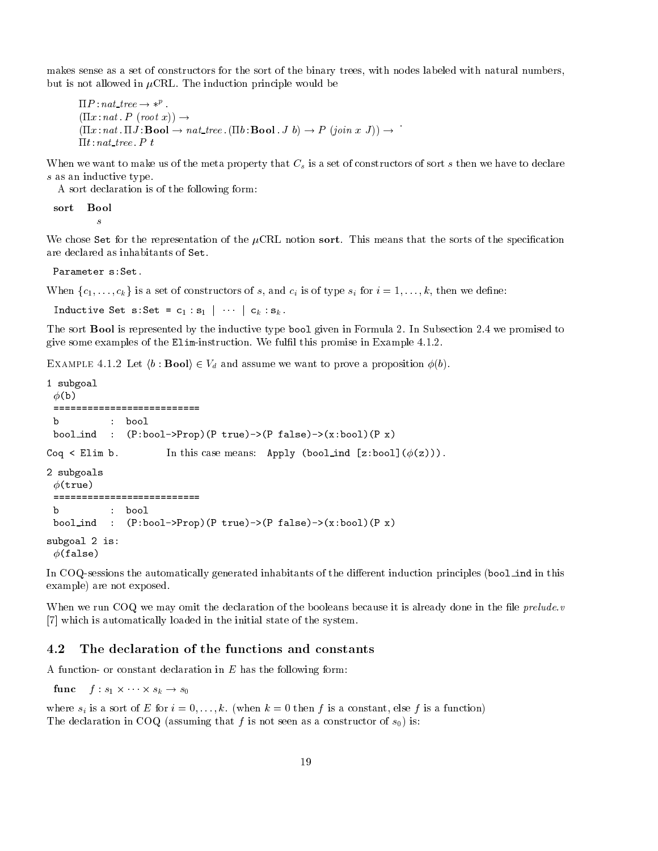makes sense as a set of constructors for the sort of the binary trees, with nodes labeled with natural numbers, but is not allowed in  $\mu$ CRL. The induction principle would be

```
P 
 nat tree  p
 \mathbf{r} is a proposition of \mathbf{r} is a proposition of \mathbf{r} is a proposition of \mathbf{r}(11x:nat. 11J: \textbf{Bool} \rightarrow nat\_tree. (11b: \textbf{Bool}, J b) \rightarrow P (join x J)) \rightarrowt 
 nat tree  P t
```
When we want to make us of the meta property that  $C_s$  is a set of constructors of sort s then we have to declare s as an inductive type.

A sort declaration is of the following form

sort **Bool** 

 $\mathcal{S}_{\mathcal{S}}$ 

we chose Set for the representation of the CRL notion sorts that means that the sorts of the specifical are declared as inhabitants of Set

Parameter s: Set.

when following the construction of the city of construction in the construction of the construction of the const

 $\frac{1}{1}$   $\frac{1}{1}$   $\frac{1}{1}$   $\frac{1}{1}$   $\frac{1}{1}$   $\frac{1}{1}$ 

The sort Bool is represented by the inductive type bool given in Formula 2. In Subsection 2.4 we promised to give some examples of the Eliminstruction We ful-l this promise in Example

 $\mathbf{B}$  is the good  $\mathbf{v}$  ,  $\mathbf{B}$  and assume we want to prove a proposition  $\mathbf{v}(\mathbf{v})$ .

```
 subgoal
  \phi(b)
  bool in the state of the state of the state of the state of the state of the state of the state of the state o
. This case is considered in this case means of the constant \mathbf{z} and \mathbf{z}2 subgoals
  \phi(true)
 ==========================
  b : bool
  \mathcal{P} is a set of the false of the false of the false of the false of the false of the false of the false of the false of the false of the false of the false of the false of the false of the false of the false of the f
subgoal 2 is:
  \phi(false)
```
In COQ-sessions the automatically generated inhabitants of the different induction principles (bool ind in this example) are not exposed.

when we run CoQ we may omit the declaration of the booleans because it is already done in the preludes [7] which is automatically loaded in the initial state of the system.

### The declaration of the functions and constants

A function- or constant declaration in  $E$  has the following form:

func f s- --- sk s

where signed where  $\alpha$  is a function is a function  $\alpha$  for a function  $\alpha$  for  $\alpha$  function  $\alpha$ The declaration in COQ (assuming that f is not seen as a constructor of  $s_0$ ) is: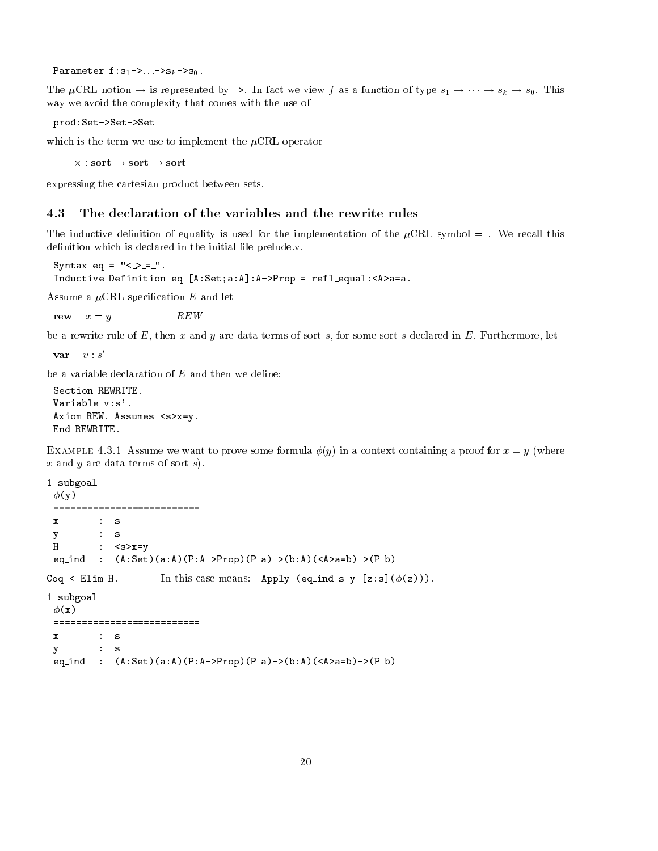e en en een meer wat werd was de mondere waard van de stelling van de stelling van de stelling van de stelling

the Cruis is the Cruis and the Cruis we view for the function of type s- and the state of type s- and type state of the state of the state of the state of the state of the state of the state of the state of the state of th way we avoid the complexity that comes with the use of

prod:Set->Set->Set

which is the term we use to implement the  $\mu$ CRL operator

 $\times$ : sort  $\rightarrow$  sort  $\rightarrow$  sort

expressing the cartesian product between sets

the inductive definition of the implementation of the implementation of the  $\mu$  value  $\sigma$  and  $\sigma$  recall this compo de-commentation which is defined in the initial order of the initial state  $\mu$  is definition to the initial order

Syntax equation in the syntax equation of the syntax equation of the syntax equation of the syntax equation of and the contract of the set of the contract of the contract of the contract of the contract of the contract of

Assume a CRL speci-cation E and let

rew  $x = y$  $REW$ 

be a rewrite rule of  $E$ , then x and y are data terms of sort s, for some sort s declared in  $E$ . Furthermore, let

 $var \quad v : s'$ 

```
Section REWRITE
Variable v:s'.
 \mathcal{A}^{\text{max}} assumes symmetric equations so \mathcal{A}^{\text{max}} assumes symmetric equations so \mathcal{A}^{\text{max}}End REWRITE
```
 $E_{\rm{ATIMI}}$  in the strategies in a context context context containing a proof for  $x = y + n$  here x and y are data terms of sort  $s$ ).

```
1 subgoal
    \phi(y)==========================
                             \therefore s
   \mathbf{x}\sim subsets the set of \sim set of \sim set of \sim set of \sim set of \sim set of \simH : \langle s \rangle x = vy y the contract of the contract of the contract of the contract of the contract of the contract of the contract of the contract of the contract of the contract of the contract of the contract of the contract of the contra
     \mathcal{L} . The contract of the contract of the contract of \mathcal{L} . In the contract of the contract of the contract of the contract of the contract of the contract of the contract of the contract of the contract of the 
 . This case means the contract of the contract of the contract of the contract of the contract of the contract of the contract of the contract of the contract of the contract of the contract of the contract of the contrac
 subgoal
```

```
\phi(x)\mathbf{x}\mathbf{S}\mathcal{L} such that the set of \mathcal{L} such that the set of \mathcal{L}\mathbb{P} . And a set of the set of the set of the set of the set of the set of the set of the set of the set of the set of the set of the set of the set of the set of the set of the set of the set of the set of the set of
```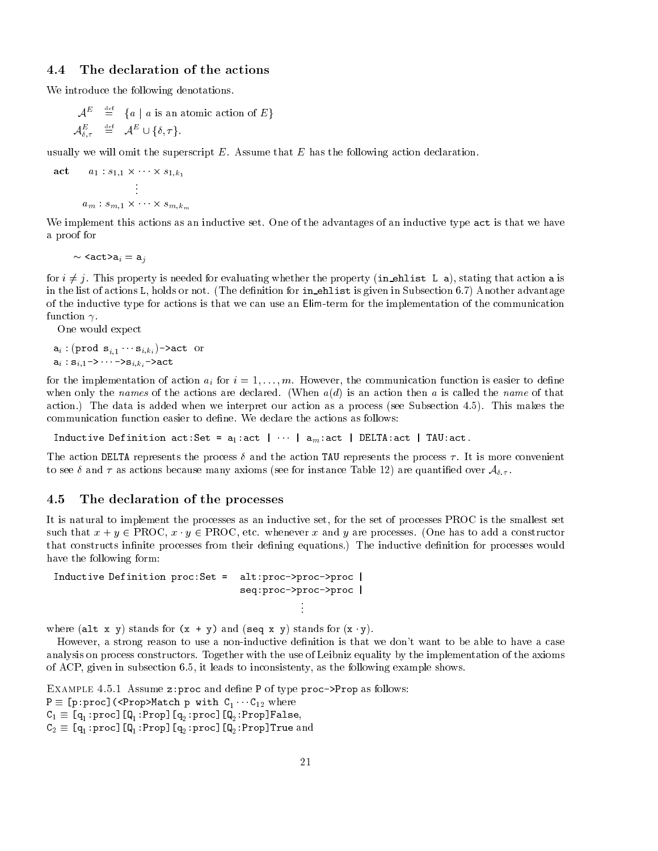### 4.4 The declaration of the actions

We introduce the following denotations.

$$
\mathcal{A}^E \stackrel{\text{def}}{=} \{a \mid a \text{ is an atomic action of } E\}
$$
  

$$
\mathcal{A}^E_{\delta,\tau} \stackrel{\text{def}}{=} \mathcal{A}^E \cup \{\delta,\tau\}.
$$

usually we will omit the superscript  $E$ . Assume that  $E$  has the following action declaration.

$$
\begin{array}{cc}\n\textbf{act} & a_1: s_{1,1} \times \cdots \times s_{1,k_1} \\
\vdots \\
a_m: s_{m,1} \times \cdots \times s_{m,k_m}\n\end{array}
$$

We implement this actions as an inductive set. One of the advantages of an inductive type act is that we have a proof for

actaire ann an comhann an chaidh an chaidh an chaidh an chaidh an chaidh an chaidh an chaidh an chaidh an chai

 $\mathbb{R}^2$ 

for  $i \neq j$ . This property is needed for evaluating whether the property (in ehlist L a), stating that action a is in the list of actions  $\mathbf{h}$  is given in Subsection in Subsection in Subsection in Subsection in Subsection in of the inductive type for actions is that we can use an Elimterm for the implementation of the communication function  $\gamma$ .

One would expect

and  $\ell$  ,  $\ell$  ,  $\ell$  ,  $\ell$  ,  $\ell$  ,  $\ell$  ,  $\ell$  ,  $\ell$  ,  $\ell$  ,  $\ell$  ,  $\ell$  ,  $\ell$  ,  $\ell$  ,  $\ell$  ,  $\ell$  ,  $\ell$  ,  $\ell$  ,  $\ell$  ,  $\ell$  ,  $\ell$  ,  $\ell$  ,  $\ell$  ,  $\ell$  ,  $\ell$  ,  $\ell$  ,  $\ell$  ,  $\ell$  ,  $\ell$  ,  $\ell$  ,  $\ell$  ,  $\ell$  , and  $\alpha$  ,  $\alpha$  ,  $\alpha$  ,  $\alpha$  ,  $\alpha$  ,  $\alpha$  ,  $\alpha$  ,  $\alpha$  ,  $\alpha$  ,  $\alpha$  ,  $\alpha$  ,  $\alpha$  ,  $\alpha$  ,  $\alpha$  ,  $\alpha$  ,  $\alpha$  ,  $\alpha$  ,  $\alpha$  ,  $\alpha$  ,  $\alpha$  ,  $\alpha$  ,  $\alpha$  ,  $\alpha$  ,  $\alpha$  ,  $\alpha$  ,  $\alpha$  ,  $\alpha$  ,  $\alpha$  ,  $\alpha$  ,  $\alpha$  ,  $\alpha$  ,

for the implementation of action ai for <sup>i</sup> --m However the communication function is easier to de-ne when only the names of the actions are declared. (When  $a(d)$  is an action then a is called the name of that action.) The data is added when we interpret our action as a process (see Subsection 4.5). This makes the

Inductive Definition actSet - a-act --- amact DELTAact TAUact

The action DELTA represents the process  $\delta$  and the action TAU represents the process  $\tau$ . It is more convenient to see for instance  $\mathcal{A}$  as a formulations because  $\mathcal{A}$  are quanti-distributions of  $\mathcal{A}$ 

#### $4.5$ The declaration of the processes

It is natural to implement the processes as an inductive set, for the set of processes PROC is the smallest set such that x y PROC x - y PROC etc whenever x and y are processes One has to add a constructor that constructs in-nite processes from their de-ning equations The inductive de-nition for processes would have the following form:

```
Inductive Definition processes and processes are processed by the processes of the processes of the processes o
                                                    seq:proc->proc->proc |
```
where  $\alpha$  is a standard for  $\alpha$  y and  $\alpha$  is a standard for  $\alpha$  y  $\beta$ 

However a strong reason to use a noninductive de-nition is that we dont want to be able to have a case analysis on process constructors Together with the use of Leibniz equality by the implementation of the axioms of ACP, given in subsection  $6.5$ , it leads to inconsistenty, as the following example shows.

Extrain in 1.0.1 Thousand 2.procedure define I of type processions as follows. r proportion of the property of the control of the control of the control of the control of the control of the  $\mathbf{1}$  , and  $\mathbf{1}$  are  $\mathbf{1}$  and  $\mathbf{1}$  are  $\mathbf{1}$  are  $\mathbf{1}$  and  $\mathbf{1}$  are  $\mathbf{1}$  and  $\mathbf{1}$  are  $\mathbf{1}$  and  $\mathbf{1}$  are  $\mathbf{1}$  and  $\mathbf{1}$  are  $\mathbf{1}$  and  $\mathbf{1}$  are  $\mathbf{1}$  and  $\mathbf{1}$  ar  $\mathbb{P}$  and  $\mathbb{P}$  are  $\mathbb{P}$  and  $\mathbb{P}$  are  $\mathbb{P}$  and  $\mathbb{P}$  and  $\mathbb{P}$  are  $\mathbb{P}$  and  $\mathbb{P}$  are  $\mathbb{P}$  and  $\mathbb{P}$  are  $\mathbb{P}$  and  $\mathbb{P}$  are  $\mathbb{P}$  and  $\mathbb{P}$  are  $\mathbb{P}$  are  $\mathbb{P}$  and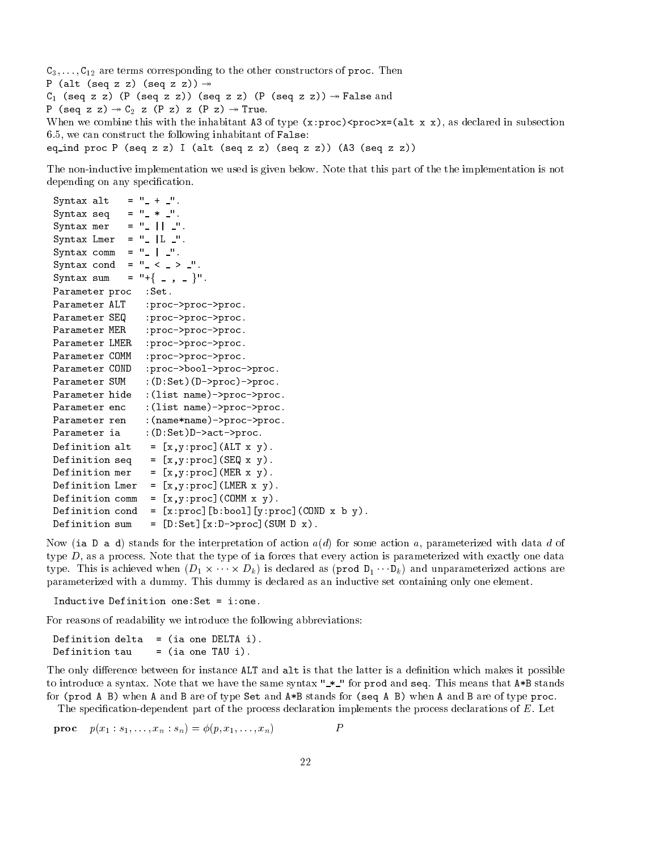corresponding to the corresponding to the other corresponding to the other construction of process and movement P alt seq z z seq z z  $\alpha$  is a sequence of  $\alpha$  and  $\alpha$  is a sequence of  $\alpha$  is a sequence of  $\alpha$  is a sequence of  $\alpha$ P seq z z C <sup>z</sup> <sup>P</sup> <sup>z</sup> z P z True when we compute this with the inhabitant  $\mathbf{r}$  ,  $\mathbf{r}$  ,  $\mathbf{r}$  ,  $\mathbf{r}$  ,  $\mathbf{r}$  ,  $\mathbf{r}$  ,  $\mathbf{r}$  ,  $\mathbf{r}$  ,  $\mathbf{r}$  ,  $\mathbf{r}$  ,  $\mathbf{r}$  ,  $\mathbf{r}$  ,  $\mathbf{r}$  ,  $\mathbf{r}$  ,  $\mathbf{r}$  ,  $\mathbf{r}$  ,  $\mathbf$  $6.5$ , we can construct the following inhabitant of False: equalize the process of the process of the process of the process of the process of the process of the process of the process of the process of the process of the process of the process of the process of the process of th

The non-inductive implementation we used is given below. Note that this part of the the implementation is not depending on any special control of the cation of the control of the control of the control of the control of the control of the control of the control of the control of the control of the control of the control of the con

```
Syntax alt
                       = \begin{array}{cc} 0 & + & 0 \\ -1 & -1 & -1 \end{array}.Syntax sequences in the syntax sequence of the syntax sequence in the syntax sequence of the syntax sequence in
Syntax mer
                       = \frac{1}{2} \frac{1}{2} \frac{1}{2}.
Syntax Lmer - Lmer - Lmer - Lmer - Lmer - Lmer - Lmer - Lmer - Lmer - Lmer - Lmer - Lmer - Lmer - Lmer - Lmer
syntax communication of the communication of the communication of the communication of the communication of the
Syntax cond -

Syntax sum
                       = \ ^{n} + \left\{ \begin{array}{ccc} & \\ - & \end{array} \right. , \quad \frac{1}{2} \ \right\} {}^{n} \ .Parameter proc : Set.
Parameter ALT : proc->proc->proc.
Parameter SEQ : proc->proc->proc.
Parameter MER : proc->proc->proc.
Parameter LMER : proc->proc->proc.
Parameter COMM : proc->proc->proc.
Parameter COND : proc->bool->proc->proc.
Parameter SUM
                                            	Dproc
proc
\mathbf{P} are the state in the state in the state in the state in the state in the state in the state in the state in the state in the state in the state in the state in the state in the state in the state in the state in 
Parameter enc
                             :(list name) ->proc->proc.
Parameter ren
                             :(name*name) ->proc->proc.
Parameter ia 	DSet
Dactproc
Definition alt
                                    xyproc
	ALT x y

Definition seq
                                   \blacksquare yrithmetric \blacksquare and \blacksquare and \blacksquare and \blacksquareDefinition mer
                                   \mathbf{v} , and \mathbf{v} is a set of \mathbf{v} , and \mathbf{v} , and \mathbf{v} , and \mathbf{v} , and \mathbf{v}Definition Lmer
                              = [x, y: proc] (LMER x y).
Definition comm -
 xyproc
	COMM x y
Definition cond -
 xproc
bbool
yproc
	COND x b y

Definition sum
                                   the set of the set of the set of the set of the set of the set of the set of the set of the set of the set of
```
Now (ia D a d) stands for the interpretation of action  $a(d)$  for some action a, parameterized with data d of type  $D$ , as a process. Note that the type of ia forces that every action is parameterized with exactly one data  $\mathcal{L}$  is achieved as a chieved as  $\mathcal{L}$  as a contraction of  $\mathcal{L}$  and unparameterized actions are contracted actions are contracted as a contracted actions are contracted actions are contracted actions are contra parameterized with a dummy This dummy is declared as an inductive set containing only one element

For reasons of readability we introduce the following abbreviations

definition definition definition definition definition definition of the DELTA in the DELTA in the DELTA in the DELTA in the DELTA in the DELTA in the DELTA in the DELTA in the DELTA in the DELTA in the DELTA in the DELTA Definition tau  $=$  (ia one TAU i).

 $T$ to introduce a syntax. Note that we have the same syntax  $\mathbb{L}^*$  for prod and seq. This means that A\*B stands for prod A B when A and B are of type Set and AB stands for seq A B when A and B are of type proc

The speci-cationdependent part of the process declaration implements the process declarations of E Let

$$
\text{proc} \quad p(x_1:s_1,\ldots,x_n:s_n) = \phi(p,x_1,\ldots,x_n) \qquad P
$$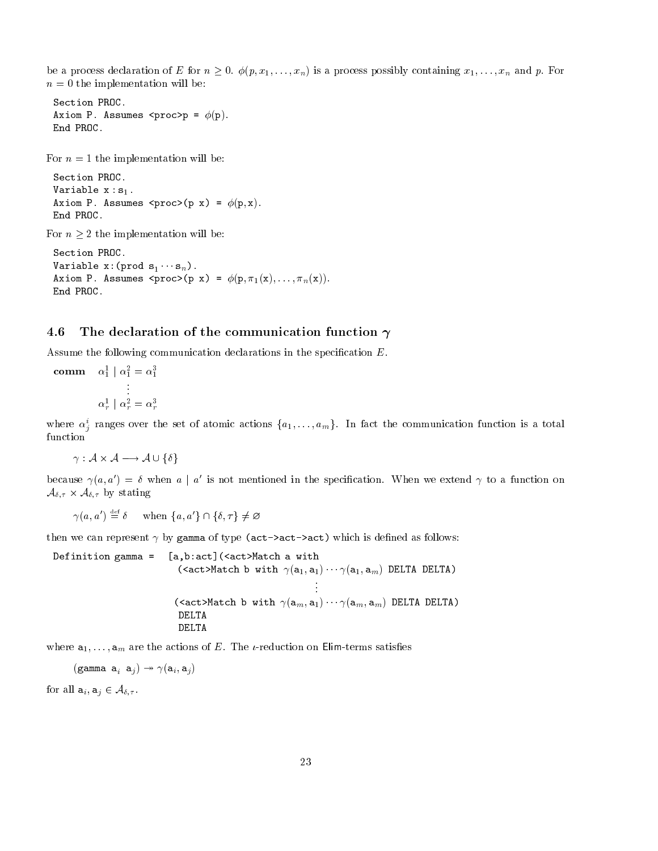r a p-a-and declaration of E for  $\alpha = \alpha$  , if  $\{p_1,\ldots,p_{n}\}$  is a p-a-and p-a-and p-a-and  $\alpha$  is  $\alpha$  is a p-a-and  $p$  . Hence  $n = 0$  the implementation will be:

```
Section PROC
Axiom P Assumes procp -

p End PROC
```
For  $n = 1$  the implementation will be:

```
Section PROC
Variable x 
 s-

Axiom P Assumes proc	p x
 -

p-
 x End PROC
```
For  $n \geq 2$  the implementation will be:

Section PROC  $\mathbf{v}$  are snow  $\mathbf{v}$  and  $\mathbf{v}$  are snow  $\mathbf{v}$  and  $\mathbf{v}$  are snow  $\mathbf{v}$  and  $\mathbf{v}$  are snow  $\mathbf{v}$ -Axiom P Assumes proc p x - p- -x--n
x End PROC

### 4.6 The declaration of the communication function  $\gamma$

 $\mathbf{A}$ sume the following communication declarations in the species in the species in the specie-

comm  $\alpha_1 \mid \alpha_1 = \alpha_1$  $\alpha_r \mid \alpha_r = \alpha_r$ 

where  $\alpha_j$  ranges over the set of atomic actions  $\{a_1,\ldots,a_m\}$ . In fact the communication function is a total function

armatic and the contract of the contract of the contract of the contract of the contract of the contract of the

because  $\gamma(a,a) \equiv v$  when  $a + a$  is not mentioned in the specification. When we extend  $\gamma$  to a function on A- A- by stating

 $\gamma(a,a') = \delta$  when  $\{a,a'\}\cap\{b,\tau\} \neq \varnothing$ 

the we can represent the  $\mu$  gamma of type  $\chi$  . The case  $\chi$  is defined as follows as follows:

Definition gamma -[a,b:act] (<act>Match a with  $\sim$  are all  $\sim$  and  $\sim$  and  $\sim$  and  $\sim$  and  $\sim$  and  $\sim$  and  $\sim$  and  $\sim$  actMatch b with am- a- --- am- am DELTA DELTA DELTA DELTA

where a<sub>r</sub> in the action of the actions of Elim the actions of Eliminate and Eliminate Street and Eliminate and

```
\zeta - \zeta - \zeta - \zeta - \zeta - \zeta - \zeta - \zeta - \zeta - \zeta - \zeta - \zeta - \zeta - \zeta - \zeta - \zeta - \zeta - \zeta - \zeta - \zeta - \zeta - \zeta - \zeta - \zeta - \zeta - \zeta - \zeta - \zeta
```
for all and  $\alpha$  -  $\alpha$  -  $\alpha$  -  $\alpha$  -  $\alpha$  -  $\alpha$  -  $\alpha$  -  $\alpha$  -  $\alpha$  -  $\alpha$  -  $\alpha$  -  $\alpha$  -  $\alpha$  -  $\alpha$  -  $\alpha$  -  $\alpha$  -  $\alpha$  -  $\alpha$  -  $\alpha$  -  $\alpha$  -  $\alpha$  -  $\alpha$  -  $\alpha$  -  $\alpha$  -  $\alpha$  -  $\alpha$  -  $\alpha$  -  $\alpha$  -  $\alpha$  -  $\alpha$  -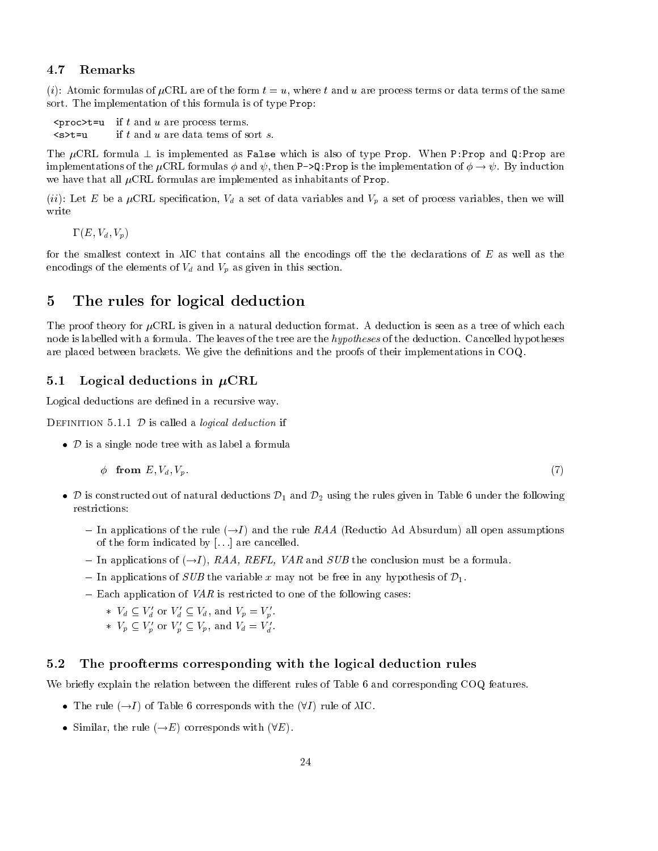### 4.7 Remarks

 $\cdots$  for the formulas of  $\mu$  where  $\cdots$  the form the form the form the same of the same of the same  $\cdots$ sort. The implementation of this formula is of type Prop:

process to an are process to an are process that are processed the process of the process of the process of the  $s>t=u$ if  $t$  and  $u$  are data tems of sort  $s$ .

The  $\mu$ CRL formula  $\perp$  is implemented as False which is also of type Prop. When P:Prop and Q:Prop are implementations of the  $\mu$ CRL formulas  $\phi$  and  $\psi$ , then P->Q:Prop is the implementation of  $\phi \to \psi$ . By induction we have that all  $\mu$ CRL formulas are implemented as inhabitants of Prop.

iii a cation variables are cation variables and variables and variables and variables the cation of  $\alpha$  and  $\alpha$ write

 $\cdots$   $\cdots$   $\cdots$ 

for the smallest context in  $\lambda$ IC that contains all the encodings off the the declarations of E as well as the encodings of the elements of  $V_d$  and  $V_p$  as given in this section.

### $\overline{5}$ The rules for logical deduction

The proof theory for  $\mu$ CRL is given in a natural deduction format. A deduction is seen as a tree of which each node is labelled with a formula. The leaves of the tree are the *hypotheses* of the deduction. Cancelled hypotheses are placed between brackets We give the de-nitions and the proofs of their implementations in COQ

### Logical deductions in -CRL

Logical deductions are de-ned in a recursive way

DEFINITION 5.1.1  $D$  is called a *logical deduction* if

 $\bullet$  D is a single node tree with as label a formula

$$
\phi \quad \textbf{from} \ \ E, V_d, V_p. \tag{7}
$$

- <sup>D</sup> is constructed out of natural deductions D- and D using the rules given in Table under the following restrictions
	- In applications of the rule 
	I  and the rule RAA Reductio Ad Absurdum all open assumptions of the form indicated by  $[...]$  are cancelled.
	- In applications of  $\mathcal{L} = \{1, 2, \ldots, n\}$  , where  $\mathcal{L} = \{1, 2, \ldots, n\}$  is a formulated must be a formulated must be a formulated must be a formulated must be a formulated must be a formulated must be a formulated mu
	- In applications of SUB the variable x may not be free in any hypothesis of D-
	- Each application of VAR is restricted to one of the following cases

\* 
$$
V_d \subseteq V'_d
$$
 or  $V'_d \subseteq V_d$ , and  $V_p = V'_p$ .

\* 
$$
V_p \subseteq V'_p
$$
 or  $V'_p \subseteq V_p$ , and  $V_d = V'_d$ .

#### $5.2$ The proofterms corresponding with the logical deduction rules

We briefly explain the relation between the different rules of Table 6 and corresponding COQ features.

- The rule  $(\rightarrow I)$  of Table 6 corresponds with the  $(\forall I)$  rule of  $\lambda$ IC.
- Similar, the rule  $(\rightarrow E)$  corresponds with  $(\forall E)$ .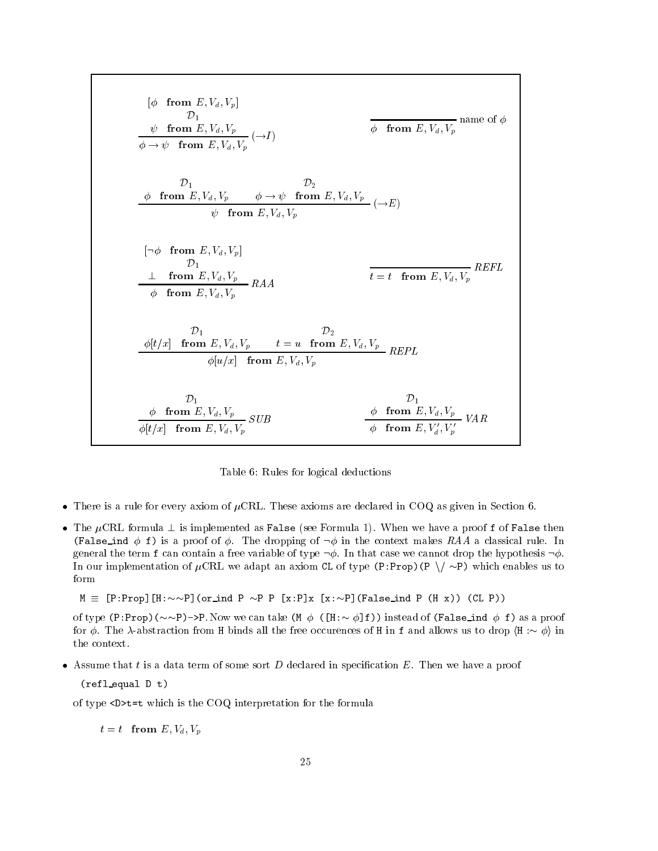$$
[\phi \text{ from } E, V_d, V_p]
$$
\n
$$
\frac{\psi \text{ from } E, V_d, V_p}{\phi \to \psi \text{ from } E, V_d, V_p} (\to I)
$$
\n
$$
\frac{\partial_1}{\phi \to \psi \text{ from } E, V_d, V_p} (\to I)
$$
\n
$$
\frac{\partial_1}{\phi \text{ from } E, V_d, V_p} \quad \phi \to \psi \text{ from } E, V_d, V_p
$$
\n
$$
[\neg \phi \text{ from } E, V_d, V_p]
$$
\n
$$
[\neg \phi \text{ from } E, V_d, V_p]
$$
\n
$$
\frac{\partial_1}{\partial_1} \text{ from } E, V_d, V_p
$$
\n
$$
\frac{\partial_2}{\partial_2} \text{ from } E, V_d, V_p
$$
\n
$$
\frac{\partial_1}{\partial_2} \text{ from } E, V_d, V_p \quad t = u \text{ from } E, V_d, V_p
$$
\n
$$
\frac{\partial_2}{\partial_2} \text{ for } E, V_d, V_p \quad t = u \text{ from } E, V_d, V_p
$$
\n
$$
\frac{\partial_1}{\partial_2} \text{ from } E, V_d, V_p \quad \text{SUB}
$$
\n
$$
\frac{\partial_1}{\partial_2} \text{ from } E, V_d, V_p \quad \text{SUB}
$$
\n
$$
\frac{\partial_2}{\partial_2} \text{ from } E, V_d, V_p \quad \text{SUB}
$$
\n
$$
\frac{\partial_2}{\partial_2} \text{ from } E, V_d, V_p \quad \text{SUB}
$$

<u>Table is a contracted by group and we contract</u>

- There is a rule for every axiom of  $\mu$ CRL. These axioms are declared in COQ as given in Section 6.
- The  $\mu$ CRL formula  $\perp$  is implemented as False (see Formula 1). When we have a proof f of False then  $\mathcal{F}$  a proof of  $\mathcal{F}$  is a proof of  $\mathcal{F}$  . The dropping of in the context makes  $\mathcal{F}$  and  $\mathcal{F}$  and  $\mathcal{F}$ general the term f can contain a free variable of type  $\neg \phi$ . In that case we cannot drop the hypothesis  $\neg \phi$ . In our implementation of CRL we adapt an axiom CL of type PProp P n P which enables us to form

 $\mathcal{P}$  . The property is the property in the property indicate  $\mathcal{P}$  . The property is the property of  $\mathcal{P}$ 

rection to the proof of the component of  $\mathcal{P}_\mathcal{P}$  in the false individual  $\mathcal{P}_\mathcal{P}$  in the false individual  $\mathcal{P}_\mathcal{P}$ for The abstraction from H binds all the free occurences of H in f and allows us to drop hH i in the context

Assume that t is a data term of some sort D declared in speci-cation E Then we have a proof

 $(refl$ -equal D t)

of type  $\mathbf{u}$  type Dt-Library for the formulation for the formulation for the formulation for the formulation for the formulation for the formulation for the formulation for the formulation for the formulation for the

t t from E- t from E-1 (1) and the U state of the U state of the U state of the U state of the U state of the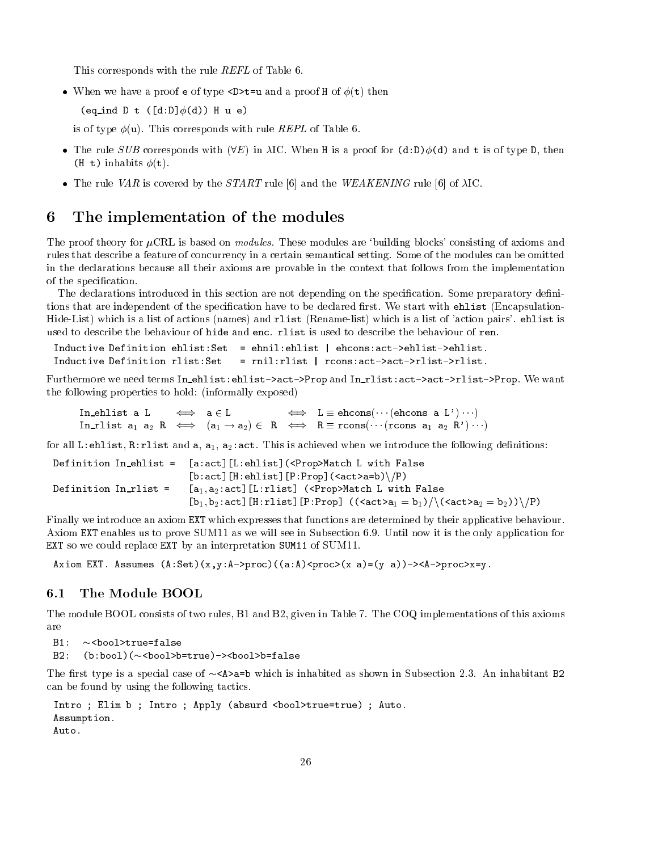This corresponds with the rule REFL of Table 6.

when we have a proof extra proof  $\mathcal{L}_i$  and a proof  $\mathcal{L}_i$  and a proof  $\mathcal{L}_i$  then the proof  $\mathcal{L}_i$ 

 $\mathbf{v}$  . The contract of  $\mathbf{v}$  and  $\mathbf{v}$  and  $\mathbf{v}$  are contract of  $\mathbf{v}$ 

is of type  $\phi(\mathbf{u})$ . This corresponds with rule *REPL* of Table 6.

- The rule SUB corresponds with  $\{1, \ldots, \, 1, \ldots, \, 1, \, 1, \ldots, \, 1, \, 0, \, 0, \, 0, \ldots, \, 0, \, 0, \, 0, \ldots, \, 0, \, 0, \, 0, \, 0, \ldots, \, 0, \, 0, \, 0, \, 0, \ldots, \, 0, \, 0, \, 0, \, 0, \ldots, \, 0, \, 0, \, 0, \, 0, \, 0, \, 0, \ldots, \, 0, \, 0, \$  $\lambda$  in the second contract  $\lambda$  in the second contract of  $\lambda$  in the second contract of  $\lambda$
- The rule VAR is covered by the  $START$  rule [6] and the WEAKENING rule [6] of  $\lambda$ IC.

### 6 The implementation of the modules

The proof theory for  $\mu$ CRL is based on *modules*. These modules are 'building blocks' consisting of axioms and rules that describe a feature of concurrency in a certain semantical setting. Some of the modules can be omitted in the declarations because all their axioms are provable in the context that follows from the implementation of the special control of the special control of the special control of the special control of the special control of the special control of the special control of the special control of the special control of the special

The declarations introduced in this section are not depending on the speci-cation Some preparatory de-ni tions that are independent of the speci-cation have to be declared -rst We start with ehlist Encapsulation Hide-List) which is a list of actions (names) and rlist (Rename-list) which is a list of 'action pairs'. ehlist is used to describe the behaviour of hide and enc. rlist is used to describe the behaviour of ren.

```
ehnille Definition ehlister - ehniloster - ehenilister - ehenilister - ehenilister - ehenilister - ehenilister
Inductive Definition rlist: Set
                                     = rni1:rlist | rcons:act->rlist->rlist.
```
Furthermore we need terms In\_ehlist:ehlist->act->Prop and In\_rlist:act->act->rlist->Prop. We want . It is the following properties to the following the strong properties  $\mu$ 

In ehlist a L a L L  ehcons
--- ehcons a L --- ا المعامل المستوجب المستوجب المستوجب المستوجب المستوجب المستوجب المستوجب المستوجب المستوجب المستوجب المستوجب ال

for all  $\mu$  and a set  $\mu$  is achieved when we introduce the following definition  $\Omega$ 

|                              | Definition In_ehlist = [a:act][L:ehlist] ( <prop>Match L with False</prop>                                    |
|------------------------------|---------------------------------------------------------------------------------------------------------------|
|                              | $[b:act][H:ehlist][P:Prop]$ $(\langle act \rangle a=b)\ \$                                                    |
| Definition $In-{\tt list}$ = | $[a_1, a_2:act]$ [L:rlist] ( <prop>Match L with False</prop>                                                  |
|                              | $[b_1, b_2:act]$ [H:rlist][P:Prop] $((\langle act \rangle a_1 = b_1)/\langle (act \rangle a_2 = b_2))\rangle$ |

Finally we introduce an axiom EXT which expresses that functions are determined by their applicative behaviour Axiom EXT enables us to prove SUM11 as we will see in Subsection 6.9. Until now it is the only application for EXT so we could replace EXT by an interpretation SUM11 of SUM11.

 $\lambda$  and  $\lambda$  and  $\lambda$  are  $\lambda$  and  $\lambda$  and  $\lambda$  and  $\lambda$  and  $\lambda$  are  $\lambda$  and  $\lambda$  and  $\lambda$  and  $\lambda$  and  $\lambda$  and  $\lambda$  and  $\lambda$  and  $\lambda$  and  $\lambda$  and  $\lambda$  and  $\lambda$  and  $\lambda$  and  $\lambda$  and  $\lambda$  and  $\lambda$  and  $\lambda$  and  $\lambda$ 

### The Module BOOL  $6.1$

The module BOOL consists of two rules, B1 and B2, given in Table 7. The COQ implementations of this axioms are

 $B2:$ s the state of the state of the state of the state of the state of the state of the state of the state of the s

The -rst type is a special case of Aa-b which is inhabited as shown in Subsection An inhabitant B can be found by using the following tactics

```
Intro  Elim b  Intro  Apply 	absurd booltrue-
true
  Auto
Assumption
Auto
```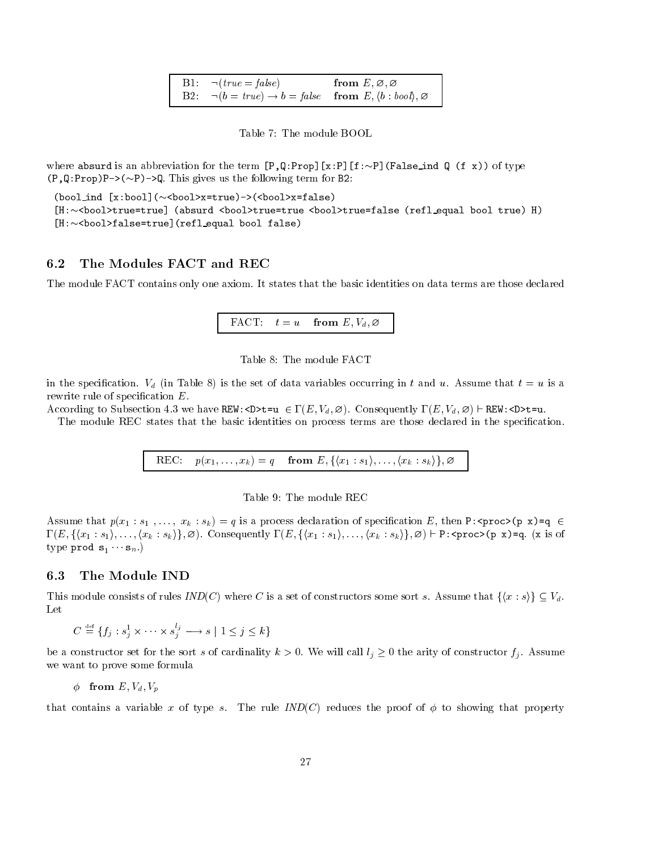| B1: $\neg (true = false)$                                                                     | $\hbox{from}\,\,E,\varnothing,\varnothing$ |  |
|-----------------------------------------------------------------------------------------------|--------------------------------------------|--|
| B2: $\neg(b = true) \rightarrow b = false$ from E, $\langle b : bool \rangle$ , $\varnothing$ |                                            |  |

Table 7: The module BOOL

where absurd is an abbreviation for the term PQ part of Palest in Apple 2012 and the type of type  $\mathcal{L}_\mathcal{P}$  $\mathcal{P}$  . Following the following term for  $\mathcal{P}$  and  $\mathcal{P}$  are following the following term for  $\mathcal{P}$ 

```
\alpha indicates the set of the set of the set of the set of the set of the set of the set of the set of the set of the set of the set of the set of the set of the set of the set of the set of the set of the set of the set 
H
booltrue-
true
 	absurd booltrue-
true booltrue-
false 	refl equal bool true
 H
H
boolfalse-
true
	refl equal bool false
```
#### 6.2 The Modules FACT and REC

The module FACT contains only one axiom It states that the basic identities on data terms are those declared



in the species  $\mathcal{O}$  in Table set of data variables occurring in the set of data variables occurring in the set of data variables occurring in the set of data variables of data variables occurring in the set of data va rewrite rule of special cations and cateor

according to Subsection Berger State of the Set (H) (W) and V we have discussed a finite for the set of the Uni

The module REC states that the basic identities on process terms are those declared in the speci-cation

REC p
x---xk  <sup>q</sup> from E - fhx- s-i-- hxk sk ig-



 $\mathbf{r}$  , and  $\mathbf{r}$  are the species of species of special contraction of species of species of species of species of species of species of species of species of species of species of species of species of species of s  $\tau$  , in the state of the state of the state of the state of the state of the state of the state of the state of the state of the state of the state of the state of the state of the state of the state of the state of the  $\mathbf{v}$  products the snaps shows that  $\mathbf{v}$  is snaps that  $\mathbf{v}$  is strong to the snaps of  $\mathbf{v}$ 

#### 6.3 The Module IND

This module construction is a set of construction in the construction in the construction in the construction of  $\mathcal{U}$ Let

 $C \equiv \{f_j : s_j^* \times \cdots \times s_j^* \longrightarrow s \mid 1 \leq j \leq k\}$ 

be a constructor set for the sort s of cardinality  $k > 0$ . We will call  $l_j \geq 0$  the arity of constructor  $f_j$ . Assume we want to prove some formula

from  $\alpha$  values of  $\alpha$ 

that contains a variable x of type s. The rule  $IND(C)$  reduces the proof of  $\phi$  to showing that property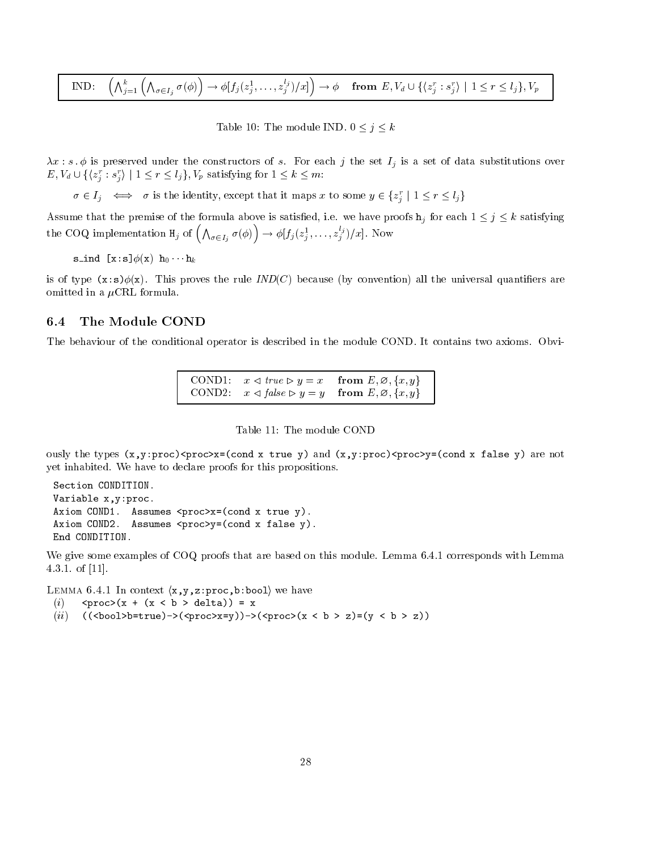$$
\text{IND:} \quad \left(\bigwedge_{j=1}^k \left(\bigwedge_{\sigma \in I_j} \sigma(\phi)\right) \to \phi[f_j(z_j^1, \dots, z_j^{l_j})/x]\right) \to \phi \quad \text{from } E, V_d \cup \{\langle z_j^r : s_j^r \rangle \mid 1 \leq r \leq l_j\}, V_p
$$

 $T$  , and the module  $T$  is a set of  $\mathcal{L}$  , and  $\mathcal{L}$  is a set of  $\mathcal{L}$ 

... . . . . preserved under the construction of state in the set I is a set of the set of data substitutions over  $E, V_d \cup \{ \langle z_j : s_j \rangle \mid 1 \leq r \leq i_j \}, V_p$  satisfying for  $1 \leq k \leq m$ .

 $\sigma \in I_j \iff \sigma$  is the identity, except that it maps x to some  $y \in \{z_j \mid 1 \leq r \leq t_j\}$ 

Assume that the premise of the formula above is satisfying is satisfying the formula above is satisfying the formula above is satisfying the formula above is satisfying the formula above is satisfying the formula above in the COQ implementation  $H_j$  of  $\left(\bigwedge_{\sigma\in I_j}\sigma(\phi)\right)\to \phi[f_j(z_j)]$  $\rightarrow \varphi |_{j}(z_j^{\dagger}, \ldots, z_j^{\dagger})/x]$ . Now

 $\sim$  -  $\sim$  -  $\sim$  -  $\sim$  -  $\sim$  -  $\sim$  -  $\sim$  -  $\sim$  -  $\sim$  -  $\sim$  -  $\sim$  -  $\sim$  -  $\sim$  -  $\sim$  -  $\sim$  -  $\sim$  -  $\sim$  -  $\sim$  -  $\sim$  -  $\sim$  -  $\sim$  -  $\sim$  -  $\sim$  -  $\sim$  -  $\sim$  -  $\sim$  -  $\sim$  -  $\sim$  -  $\sim$  -  $\sim$  -  $\sim$  -  $\sim$ 

is of type xs x This proves the rule IND
C because by convention all the universal quanti-ers are omitted in a  $\mu$ CRL formula.

### The Module COND  $6.4$

The behaviour of the conditional operator is described in the module COND. It contains two axioms. Obvi-

 $COND1$ :  $x \triangleleft true \triangleright y = x$  $\mathbf{v}$  from E - and E - and E - and E - and E - and E - and E - and E - and E - and E - and E - and E - and E - and E - and E - and E - and E - and E - and E - and E - and E - and E - and E - and E - and E - and E - and COND2:  $x \triangleleft false \triangleright y = y$ y y from E - - fx- yg

ously the types  $\{r\}$  process in (condition and  $\{r\}$  when  $\{r\}$  process  $\{r\}$  and  $\{r\}$  when  $\{r\}$ yet inhabited. We have to declare proofs for this propositions.

```
Section CONDITION
Variable x, y: proc.
 \mathcal{A} assumes processes processes processes processes processes processes processes processes processes \mathcal{A}\mathcal{A} assumes processes \mathcal{A} for \mathcal{A} false yields yields yields yields yields yields yields yields yields yields yields yields yields yields yields yields yields yields yields yields yields yields yields yield
End CONDITION
```
We give some examples of  $COQ$  proofs that are based on this module. Lemma  $6.4.1$  corresponds with Lemma 4.3.1. of  $[11]$ .

Lemma of the model (A, ), in process for  $\sim$  10 holds for  $\sim$ 

- $\mathbf{v}$  and  $\mathbf{v}$  b  $\mathbf{v}$  b  $\mathbf{v}$  b  $\mathbf{v}$  b  $\mathbf{v}$  b  $\mathbf{v}$  b  $\mathbf{v}$
- $\mathcal{L}$  is a boolb-boolb-boolb-boolb-boolb-boolb-boolb-boolb-boolb-boolb-boolb-boolb-boolb-boolb-boolb-boolb-boolb-boolb-boolb-boolb-boolb-boolb-boolb-boolb-boolb-boolb-boolb-boolb-boolb-boolb-boolb-boolb-boolb-boolb-boo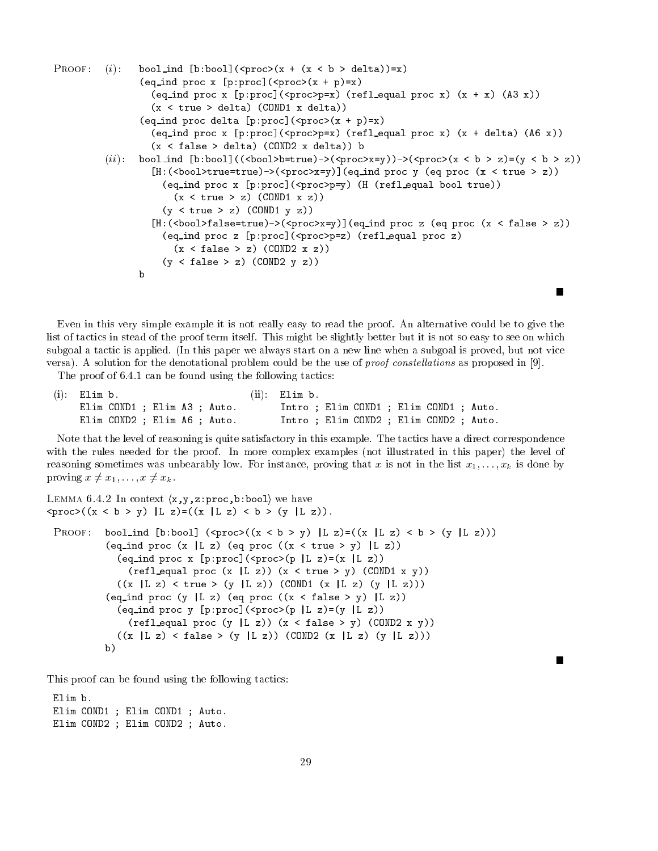```
reduced the contract of the contract of the contract of the contract of the contract of the contract of the con
                                           	eq ind proc x pproc
	proc	x  p
-
x
                                                \mathbf{x} , and process to proceed the process of the process of \mathbf{x} and \mathbf{x} and \mathbf{x} and \mathbf{x} and \mathbf{x} and \mathbf{x} and \mathbf{x} and \mathbf{x} and \mathbf{x} and \mathbf{x} and \mathbf{x} and \mathbf{x} and \mathbf{x} and \\mathcal{L} true delta \mathcal{L} delta \mathcal{L}\blacksquare . The processes of processes of the processes of the processes of the processes of the processes of the processes of the processes of the processes of the processes of the processes of the processes of the processe
                                                \mathbf{x} , a processed processed processed processed processed processed processed processed processed processed processed processed processed processed processed processed processed processed processed processed processed
                                                \mathbf{v} false \mathbf{v} and \mathbf{v} and \mathbf{v} and \mathbf{v} and \mathbf{v} and \mathbf{v} and \mathbf{v} and \mathbf{v} and \mathbf{v} and \mathbf{v} and \mathbf{v} and \mathbf{v} and \mathbf{v} and \mathbf{v} and \mathbf{v} and \mathbf{v} an
                          \mathcal{L}^{(1)} is the bool indicate the bool indicate \mathcal{L}^{(2)} in the bool indicate \mathcal{L}^{(3)} is the bool indicate \mathcal{L}^{(4)}where \alpha is the process of \alpha is the process of \alpha induced the process of \alphawhere the contract of the process of the contract of the contract of \mathcal{F}\lambda \lambda \lambda \lambda \lambda \lambda\mathcal{L} true \mathcal{L} \mathcal{L} \mathcal{L} \mathcal{L} \mathcal{L} \mathcal{L} \mathcal{L} \mathcal{L} \mathcal{L} \mathcal{L} \mathcal{L} \mathcal{L} \mathcal{L} \mathcal{L} \mathcal{L} \mathcal{L} \mathcal{L} \mathcal{L} \mathcal{L} \mathcal{L} \mathcal{L} \mathcal{L} \mathcal{L} 
                                                \blacksquare , true \blacksquare , then the processes in the processes in the processes in the processes in the processes in the processes in the processes in the processes in the processes in the processes in the processes in the pr
                                                      \mathbf{r} , and process processes are procedured by the process of \mathbf{r}\mathbf{x} factor \mathbf{y} \mathbf{y} \mathbf{y} \mathbf{y} \mathbf{y} \mathbf{y} \mathbf{y} \mathbf{y} \mathbf{y} \mathbf{y} \mathbf{y} \mathbf{y} \mathbf{y} \mathbf{y} \mathbf{y} \mathbf{y} \mathbf{y} \mathbf{y} \mathbf{y} \mathbf{y} \mathbf{y} \mathbf{y} \mathbf{y}	y  false  z
 	COND y z
```
Even in this very simple example it is not really easy to read the proof An alternative could be to give the list of tactics in stead of the proof term itself. This might be slightly better but it is not so easy to see on which subgoal a tactic is applied. (In this paper we always start on a new line when a subgoal is proved, but not vice versa). A solution for the denotational problem could be the use of *proof constellations* as proposed in [9].

Г

The proof of  $6.4.1$  can be found using the following tactics:

| $(i)$ : Elim b.              | $(ii)$ Elim b.                          |
|------------------------------|-----------------------------------------|
| Elim COND1 ; Elim A3 ; Auto. | Intro : Elim COND1 : Elim COND1 : Auto. |
| Elim COND2 ; Elim A6 ; Auto. | Intro : Elim COND2 : Elim COND2 : Auto. |

Note that the level of reasoning is quite satisfactory in this example. The tactics have a direct correspondence with the rules needed for the proof. In more complex examples (not illustrated in this paper) the level of reasoning that instance proving the low Forming that  $\alpha$  is not instance proving that  $\alpha$ proving x x---<sup>x</sup> xk

```
Lemma of the infraction (ii) ) (Let \mu be \mu and \mu we have the set of \mu\mathbf{p} and \mathbf{p} are the contract of the contract of the contract of the contract of the contract of the contract of the contract of the contract of the contract of the contract of the contract of the contract of the
  \mathcal{L} is a bool indicate the bool indicate \mathcal{L} and \mathcal{L} and \mathcal{L} is a bool indicate the bool indicate \mathcal{L}equal to be a contract of process of \mathcal{E} and \mathcal{E} true \mathcal{E} and \mathcal{E} are the set of \mathcal{E}\mathbf{v} is a procedure of process to procedure the process of \mathbf{v}\mathbf x , true \mathbf x and \mathbf x are the set of \mathbf x and \mathbf x are the set of \mathbf x and \mathbf x are the set of \mathbf x and \mathbf x are the set of \mathbf x and \mathbf x are the set of \mathbf x and \mathbf x are the set of \mathbf x an
                             		x L z
  true  	y L z

 	COND 	x L z
 	y L z

                        	eq ind proc y L z 	eq proc 		x  false  y
 L z

                             \mathcal{L} is a procedure of process to proceed the process of \mathcal{L} and \mathcal{L} is a process of \mathcal{L}\mathcal{L} , and \mathcal{L} is a set of \mathcal{L} and \mathcal{L} is a set of \mathcal{L} is a set of \mathcal{L} is a set of \mathcal{L}\mathcal{L} , and \mathcal{L} is the conduct of \mathcal{L} and \mathcal{L} and \mathcal{L} and \mathcal{L} and \mathcal{L} and \mathcal{L} and \mathcal{L} and \mathcal{L} and \mathcal{L} and \mathcal{L} and \mathcal{L} and \mathcal{L} and \mathcal{L} and \mathcal{L} a
                        b)
```
This proof can be found using the following tactics

Elim b. Elim COND1 ; Elim COND1 ; Auto. Elim COND2 ; Elim COND2 ; Auto.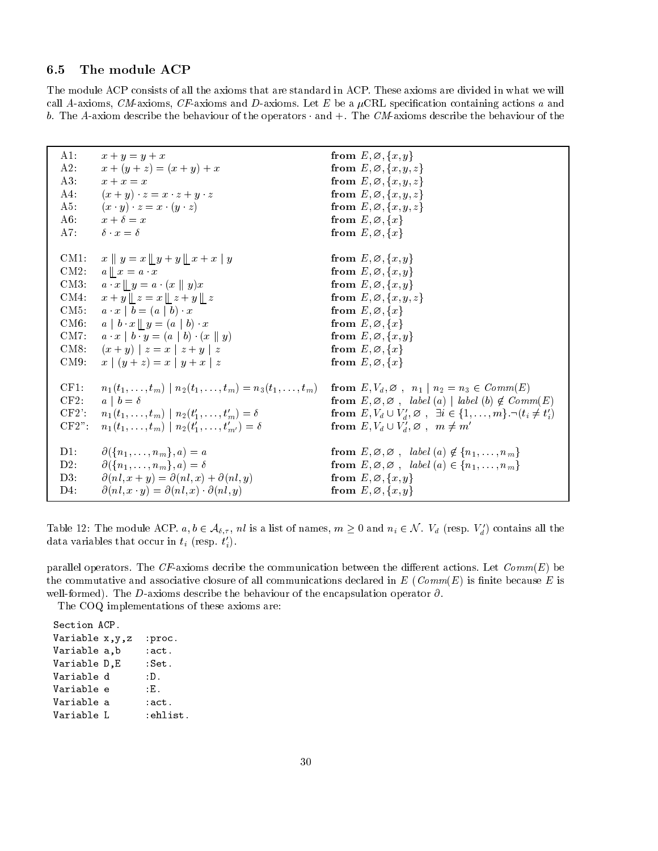#### 6.5 The module ACP

The module ACP consists of all the axioms that are standard in ACP These axioms are divided in what we will call a containing call and data containing completely and Data containing a containing actions a and a contain b The Aaxiom describe the behaviour of the operators - and The CMaxioms describe the behaviour of the

| $A1$ :                        | $x + y = y + x$                                                                                                                                                                                                                                                       | from $E, \emptyset, \{x, y\}$                                                                                                                                                                                                |
|-------------------------------|-----------------------------------------------------------------------------------------------------------------------------------------------------------------------------------------------------------------------------------------------------------------------|------------------------------------------------------------------------------------------------------------------------------------------------------------------------------------------------------------------------------|
| A2.                           | $x + (y + z) = (x + y) + x$                                                                                                                                                                                                                                           | from $E, \varnothing, \{x, y, z\}$                                                                                                                                                                                           |
| A3.                           | $x + x = x$                                                                                                                                                                                                                                                           | from $E, \varnothing, \{x, y, z\}$                                                                                                                                                                                           |
| A4.                           | $(x+y) \cdot z = x \cdot z + y \cdot z$                                                                                                                                                                                                                               | from $E, \varnothing, \{x, y, z\}$                                                                                                                                                                                           |
| $A5$ .                        | $(x \cdot y) \cdot z = x \cdot (y \cdot z)$                                                                                                                                                                                                                           | from $E, \varnothing, \{x, y, z\}$                                                                                                                                                                                           |
| A6                            | $x + \delta = x$                                                                                                                                                                                                                                                      | from $E, \emptyset, \{x\}$                                                                                                                                                                                                   |
| A7.                           | $\delta \cdot x = \delta$                                                                                                                                                                                                                                             | from $E, \varnothing, \{x\}$                                                                                                                                                                                                 |
| $CM1$ :                       | $x \parallel y = x \parallel y + y \parallel x + x \parallel y$                                                                                                                                                                                                       | from $E, \emptyset, \{x, y\}$                                                                                                                                                                                                |
| $CM2$ :                       | $a \parallel x = a \cdot x$                                                                                                                                                                                                                                           | from $E, \emptyset, \{x, y\}$                                                                                                                                                                                                |
| $CM3$ :                       | $a \cdot x \parallel y = a \cdot (x \parallel y)x$                                                                                                                                                                                                                    | from $E, \emptyset, \{x, y\}$                                                                                                                                                                                                |
| CM4                           | $x + y \  z = x \  z + y \  z$                                                                                                                                                                                                                                        | from $E, \varnothing, \{x, y, z\}$                                                                                                                                                                                           |
| CM5:                          | $a \cdot x \mid b = (a \mid b) \cdot x$                                                                                                                                                                                                                               | from $E, \varnothing, \{x\}$                                                                                                                                                                                                 |
| CM6.                          | $a \mid b \mid x \parallel y = (a \mid b) \mid x$                                                                                                                                                                                                                     | from $E, \emptyset, \{x\}$                                                                                                                                                                                                   |
| $CM7$ :                       | $a \cdot x \mid b \cdot y = (a \mid b) \cdot (x \parallel y)$                                                                                                                                                                                                         | from $E, \emptyset, \{x, y\}$                                                                                                                                                                                                |
| CM8:                          | $(x + y)   z = x   z + y   z$                                                                                                                                                                                                                                         | from $E, \emptyset, \{x\}$                                                                                                                                                                                                   |
| CM9                           | $x   (y + z) = x   y + x   z$                                                                                                                                                                                                                                         | from $E, \emptyset, \{x\}$                                                                                                                                                                                                   |
| CF1:<br>CF2<br>CF2<br>$CF2$ " | $n_1(t_1,\ldots,t_m)   n_2(t_1,\ldots,t_m) = n_3(t_1,\ldots,t_m)$ from $E, V_d, \emptyset, n_1   n_2 = n_3 \in Comm(E)$<br>$a \mid b = \delta$<br>$n_1(t_1,\ldots,t_m)   n_2(t'_1,\ldots,t'_m) = \delta$<br>$n_1(t_1,\ldots,t_m)   n_2(t'_1,\ldots,t'_{m'}) = \delta$ | from $E, \emptyset, \emptyset$ , label (a)   label (b) $\notin Comm(E)$<br>from $E, V_d \cup V_d, \varnothing$ , $\exists i \in \{1, \ldots, m\} \neg (t_i \neq t_i')$<br>from $E, V_d \cup V'_d, \varnothing$ , $m \neq m'$ |
| $D1$ :                        | $\partial$ ({ $n_1, \ldots, n_m$ }, a) = a                                                                                                                                                                                                                            | from $E, \emptyset, \emptyset$ , label $(a) \notin \{n_1, \ldots, n_m\}$                                                                                                                                                     |
| D2                            | $\partial$ ({ $n_1, \ldots, n_m$ }, a) = $\delta$                                                                                                                                                                                                                     | from $E, \emptyset, \emptyset$ , label $(a) \in \{n_1, \ldots, n_m\}$                                                                                                                                                        |
| D3                            | $\partial(nl, x + y) = \partial(nl, x) + \partial(nl, y)$                                                                                                                                                                                                             | from $E, \varnothing, \{x, y\}$                                                                                                                                                                                              |
| $D4$ :                        | $\partial(nl, x \cdot y) = \partial(nl, x) \cdot \partial(nl, y)$                                                                                                                                                                                                     | from $E, \emptyset, \{x, y\}$                                                                                                                                                                                                |

Table 12: The module ACP,  $a, v \in A_{\delta, \tau}$ , *m* is a list of names,  $m \geq 0$  and  $n_i \in \mathcal{N}$ .  $V_d$  (resp.  $V_d$ ) contains all the data variables that occur in  $\iota_i$  (resp.  $\iota_i$ ).

parallel operators. The CF-axioms decribe the communication between the different actions. Let  $Comm(E)$  be the commutative and associative closure of all commutations declared in  $\mathbf{r} = \mathbf{r}$  of all commutations declared in well-formed). The D-axioms describe the behaviour of the encapsulation operator  $\partial$ .

The COQ implementations of these axioms are

Section ACP Variable  $x, y, z$  : proc. Variable a, b : act. Variable D, E : Set. Variable d  $: D.$ Variable e : E. Variable a :act. Variable L : ehlist.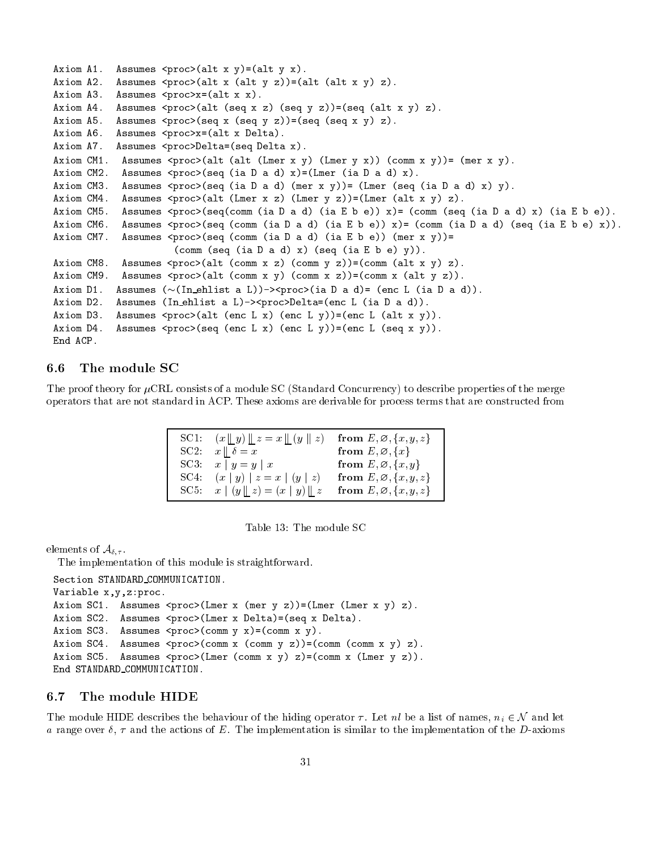```
Axiom A Assumes proc	alt x y
-
	alt y x
Axiom A Assumes proc	alt x 	alt y z

-
	alt 	alt x y
 z

\mathcal{A} and \mathcal{A} are alt \mathcal{A} and \mathcal{A} are alternative processes processes processes processes and \mathcal{A}Axiom A Assumes proc	alt 	seq x z
 	seq y z

-
	seq 	alt x y
 z

\mathcal{A} and \mathcal{A} are the sequence of \mathcal{A} and \mathcal{A} are the sequence of \mathcal{A} and \mathcal{A}Axiom A Assumes procx-
	alt x Delta

Axiom A Assumes procDelta-
	seq Delta x
Axiom CM Assumes proc	alt 	alt 	Lmer x y
 	Lmer y x

 	comm x y

-
 	mer x y

\mathcal{L} = \mathcal{L} \mathcal{L} = \mathcal{L} \mathcal{L}\mathcal{L} = \mathcal{L} \mathcal{L} = \mathcal{L} \mathcal{L}Axiom CM Assumes proc	alt 	Lmer x z
 	Lmer y z

-
	Lmer 	alt x y
 z

\alpha and \alpha and \alpha and \alpha and \alpha and \alpha and \alpha and \alpha and \alpha and \alpha and \alpha and \alpha and \alpha and \alpha and \alpha and \alpha and \alpha and \alpha and \alpha and \alpha and \alpha and \alpha and \alpha and \alpha and \alpha 
Axiom CM Assumes proc	seq 	comm 	ia D a d
 	ia E b e

 x
-
 	comm 	ia D a d
 	seq 	ia E b e
 x

Axiom CM Assumes proc	seq 	comm 	ia D a d
 	ia E b e

 	mer x y

-
                         	comm 	seq 	ia D a d
 x
 	seq 	ia E b e y

Axiom CM8.
Axiom CM Assumes proc	alt 	comm x z
 	comm y z

-
	comm 	alt x y
 z
\mathcal{L} and \mathcal{L} are \mathcal{L} is a summer processed of \mathcal{L} and \mathcal{L} and \mathcal{L} are \mathcal{L}Axiom D Assumes 	
	In ehlist a L

proc	ia D a d
-
 	enc L 	ia D a d

and a local contract a light and the contract a local contract and \mathcal{L}Axiom D Assumes proc	alt 	enc L x
 	enc L y

-
	enc L 	alt x y

\alpha and \alpha assumes the set of \alpha and \alpha and \alpha and \alpha and \alpha and \alpha and \alpha and \alpha and \alpha and \alphaEnd ACP.
```
### The module SC 6.6

The proof theory for  $\mu$ CRL consists of a module SC (Standard Concurrency) to describe properties of the merge operators that are not standard in ACP These axioms are derivable for process terms that are constructed from

| SC1: $(x \parallel y) \parallel z = x \parallel (y \parallel z)$ from $E, \emptyset, \{x, y, z\}$ |                                    |  |
|---------------------------------------------------------------------------------------------------|------------------------------------|--|
| SC2: $x \parallel \delta = x$                                                                     | from $E, \emptyset, \{x\}$         |  |
| SC3: $x   y = y   x$                                                                              | from $E, \varnothing, \{x, y\}$    |  |
| SC4: $(x   y)   z = x   (y   z)$                                                                  | from $E, \varnothing, \{x, y, z\}$ |  |
| SC5: $x \mid (y \mid z) = (x \mid y) \mid z$                                                      | from $E, \varnothing, \{x, y, z\}$ |  |

| Table 13: The module SC |  |  |  |
|-------------------------|--|--|--|
|-------------------------|--|--|--|

elements of A-

The implementation of this module is straightforward

```
Section STANDARD_COMMUNICATION.
```

```
Variable x, y, z:proc.
\mathcal{A} and \mathcal{A} and \mathcal{A} and \mathcal{A} are \mathcal{A} and \mathcal{A} and \mathcal{A} are \mathcal{A} and \mathcal{A} and \mathcal{A} and \mathcal{A} and \mathcal{A} and \mathcal{A} and \mathcal{A} and \mathcal{A} and \mathcal{A} and \mathcal{A} and 
Axiom SC Assumes proc	Lmer x Delta
-
	seq x Delta
Axiom SC Assumes proc	comm y x
-
	comm x y

Axiom SC Assumes proc	comm x 	comm y z

-
	comm 	comm x y
 z
Axiom SC Assumes proc	Lmer 	comm x y
 z
-
	comm x 	Lmer y z

End STANDARD COMMUNICATION
```
### 6.7 The module HIDE

The module HIDE describes the behaviour of the hiding operator  $\tau$ . Let nl be a list of names,  $n_i \in \mathcal{N}$  and let a range over  $\delta$ ,  $\tau$  and the actions of E. The implementation is similar to the implementation of the D-axioms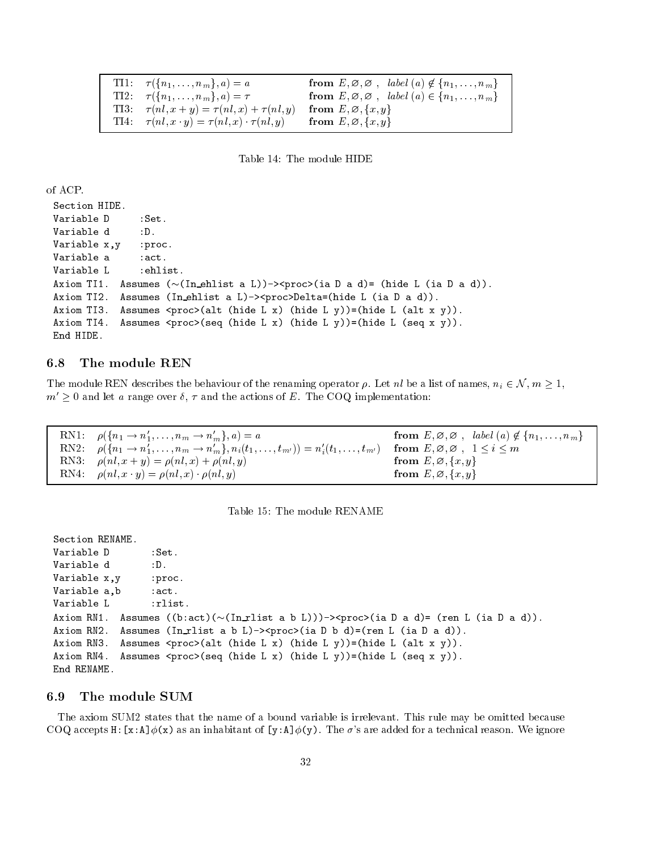```
TI1:
                                  a  a from E -
 -
  -
 label 
a  fn-
-
-
nmg

fn-
-
-
nmg-
T<sub>I2</sub>:

fn-
-
-
nmg-
                                 \alpha , and the contract of the contract \alpha is the contract of the contract of the contract of the contract of the contract of the contract of the contract of the contract of the contract of the contract of the contract 
T13: 	 
nl-
 x  y  	 
nl-
 x  	 
nl-
                                                       y from E -
 -
 fx-
 yg
TI4:

nl-
 x -
 y  	 
nl-
 x -

nl-
                                                   y from E -
 -
 fx-
 yg
```
Table 14: The module HIDE

of ACP

```
Section HIDE
Variable D : Set.
Variable d : D.
Variable x, y : proc.
Variable a : act.
Variable L : ehlist.
Axiom TI Assumes 	
	In ehlist a L
proc	ia D a d
-
 	hide L 	ia D a d

\lambda = \lambda is \lambda and \lambda and \lambda\mathbf{1} and \mathbf{1} are \mathbf{1} and \mathbf{1} and \mathbf{1} are \mathbf{1} and \mathbf{1} and \mathbf{1} and \mathbf{1} and \mathbf{1} and \mathbf{1} and \mathbf{1} and \mathbf{1} and \mathbf{1} and \mathbf{1} and \mathbf{1} and \mathbf{1} and 
\mathbf{1} assumes processes processes processes and \mathbf{1} assumes processes \mathbf{1} and \mathbf{1} and \mathbf{1} and \mathbf{1} and \mathbf{1} and \mathbf{1} and \mathbf{1} and \mathbf{1} and \mathbf{1} and \mathbf{1} and \mathbf{1} and 
End HIDE
```
### 6.8

The module REN describes the behaviour of the renaming operator  $\rho$ . Let nl be a list of names,  $n_i \in \mathcal{N}$ ,  $m \ge 1$ ,  $m\geq 0$  and let a range over  $v,\,\tau$  and the actions of  $E$  . The COQ implementation:

R<sub>N1</sub>:  $\rho(\lbrace n_1 \rightarrow n_1, \ldots, n_m \rightarrow n_m \rbrace, a) = a$  $\mathcal{L} = \{ \mathcal{L} = \{ \mathcal{L} = \mathcal{L} = \mathcal{L} = \mathcal{L} = \mathcal{L} = \mathcal{L} = \mathcal{L} = \mathcal{L} = \mathcal{L} = \mathcal{L} = \mathcal{L} = \mathcal{L} = \mathcal{L} = \mathcal{L} = \mathcal{L} = \mathcal{L} = \mathcal{L} = \mathcal{L} = \mathcal{L} = \mathcal{L} = \mathcal{L} = \mathcal{L} = \mathcal{L} = \mathcal{L} = \mathcal{L} = \mathcal{L} = \mathcal{L} = \mathcal{L} = \mathcal{L}$ R<sub>N2</sub>:  $p(\{n_1 \to n_1, \ldots, n_m \to n_m\}, n_i(t_1, \ldots, t_{m'})) = n_i(t_1, \ldots, t_m)$  $\mathcal{L}_{\text{ML}}$  , as we have the state of  $\mathcal{L}_{\text{ML}}$  . The state of  $\mathcal{L}_{\text{ML}}$ RN3: nl- x y nl- x nl- $\mathcal{F}$  from E -  $\mathcal{F}$  from E -  $\mathcal{F}$  from E -  $\mathcal{F}$  from E -  $\mathcal{F}$  from E -  $\mathcal{F}$ RN4: nl- x - y nl- x - nl- $\mathcal{F}$  from E - from E - from E - from E - from E - from E - from E - from E - from E - from E - from E - from E - from E - from E - from E - from E - from E - from E - from E - from E - from E - from E - from E - from

| Table 15: The module RENAME |
|-----------------------------|
|-----------------------------|

```
Section RENAME
Variable D : Set.
Variable d
Variable x, y : proc.
Variable a, b : act.
Variable L : rlist.
\mathcal{L} . The contract of \mathcal{L} and \mathcal{L} are contract as a defined of \mathcal{L} . The contract of \mathcal{L} and \mathcal{L} are contracted of \mathcal{L} . The contracted of \mathcal{L} and \mathcal{L} and \mathcal{L} are contract
Axiom RN Assumes 	In rlist a b L
proc	ia D b d
-
	ren L 	ia D a d

Axiom RN Assumes proc	alt 	hide L x
 	hide L y

-
	hide L 	alt x y

\mathcal{L} and \mathcal{L} are the contract \mathcal{L} , then the L \mathcal{L} and \mathcal{L} and \mathcal{L} are the contract of \mathcal{L} and \mathcal{L} are the contract of \mathcal{L} and \mathcal{L} and \mathcal{L} and \mathcal{L} are the contrac
End RENAME
```
### The module SUM

The axiom SUM2 states that the name of a bound variable is irrelevant. This rule may be omitted because  $\mathcal{L}$  as a in  $\mathcal{L}$  are added for a technical reason We ignore  $\mathcal{L}$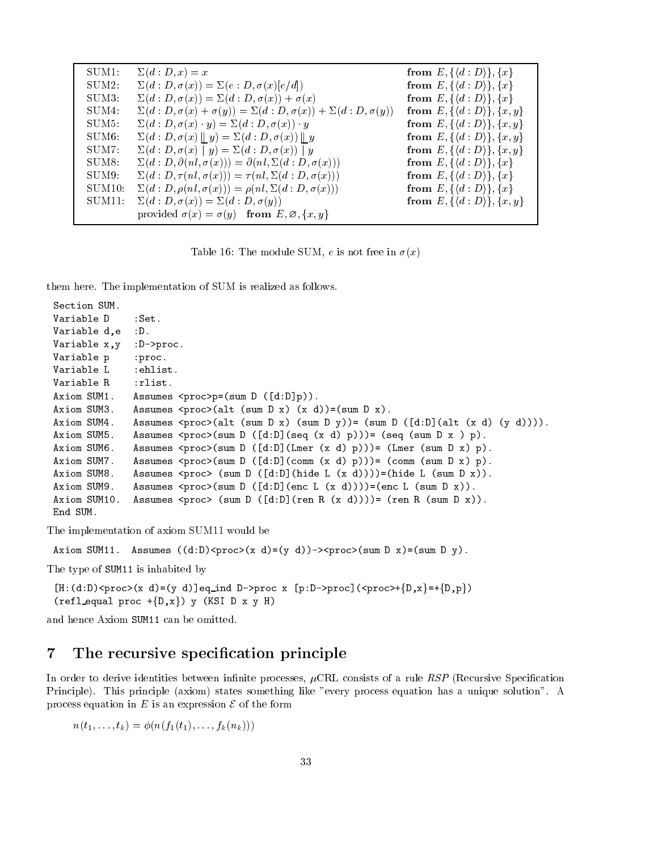| $\Sigma(d:D,x)=x$                                                               | from $E, \{\langle d : D \rangle\}, \{x\}$      |  |
|---------------------------------------------------------------------------------|-------------------------------------------------|--|
| $\Sigma(d:D,\sigma(x))=\Sigma(e:D,\sigma(x)[e/d])$                              | from $E, \{ \langle d : D \rangle \}, \{x\}$    |  |
| $\Sigma(d:D,\sigma(x))=\Sigma(d:D,\sigma(x))+\sigma(x)$                         | from $E, \{ \langle d : D \rangle \}, \{x\}$    |  |
| $\Sigma(d:D,\sigma(x)+\sigma(y))=\Sigma(d:D,\sigma(x))+\Sigma(d:D,\sigma(y))$   | from $E, \{ \langle d : D \rangle \}, \{x, y\}$ |  |
| $\Sigma(d:D,\sigma(x)\cdot y)=\Sigma(d:D,\sigma(x))\cdot y$                     | from $E, \{ \langle d : D \rangle \}, \{x, y\}$ |  |
| $\Sigma(d: D, \sigma(x) \parallel y) = \Sigma(d: D, \sigma(x)) \parallel y$     | from $E, \{ \langle d : D \rangle \}, \{x, y\}$ |  |
| $\Sigma(d:D,\sigma(x)\mid y)=\Sigma(d:D,\sigma(x))\mid y$                       | from $E, \{ \langle d : D \rangle \}, \{x, y\}$ |  |
| $\Sigma(d: D, \partial(nl, \sigma(x))) = \partial(nl, \Sigma(d: D, \sigma(x)))$ | from $E, \{ \langle d : D \rangle \}, \{x\}$    |  |
| $\Sigma(d:D,\tau(nl,\sigma(x)))=\tau(nl,\Sigma(d:D,\sigma(x)))$                 | from $E, \{ \langle d : D \rangle \}, \{x\}$    |  |
| $\Sigma(d: D, \rho(nl, \sigma(x))) = \rho(nl, \Sigma(d: D, \sigma(x)))$         | from $E, \{ \langle d : D \rangle \}, \{x\}$    |  |
| $\Sigma(d: D, \sigma(x)) = \Sigma(d: D, \sigma(y))$                             | from $E, \{ \langle d : D \rangle \}, \{x, y\}$ |  |
| provided $\sigma(x) = \sigma(y)$ from $E, \varnothing, \{x, y\}$                |                                                 |  |
|                                                                                 |                                                 |  |

Table  $\mathcal{X}$  is not free in the module  $\mathcal{X}$  is not free in the inner in the inner in the inner in the inner inner inner in the inner inner inner inner inner inner inner inner inner inner inner inner inner inner inne

them here. The implementation of SUM is realized as follows.

```
Section SUM
Variable D
                                       : Set.Variable d, e : D.
Variable x, y : D->proc.
Variable p : proc.
Variable L : ehlist.
Variable R : rlist.
 \blacksquare . The distribution of the summation of the summation of the summation of the summation of the summation of the summation of the summation of the summation of the summation of the summation of the summation of the s
 \overline{\phantom{a}} and \overline{\phantom{a}} and \overline{\phantom{a}} and \overline{\phantom{a}} and \overline{\phantom{a}} and \overline{\phantom{a}} and \overline{\phantom{a}} and \overline{\phantom{a}} and \overline{\phantom{a}} and \overline{\phantom{a}} and \overline{\phantom{a}} and \overline{\phantom{a}} and \overline{\phantom{a}} and \overline{\phantom{a}} a
 \sim . The sum D \sim sum D \sim sum D \sim sum D \sim sum D \sim sum D \sim sum D \sim sum D \sim sum D \sim\mathcal{L} = \mathcal{L} \mathcal{L} = \mathcal{L} \mathcal{L} \mathcal{L} . The contract of \mathcal{L} = \mathcal{L} \mathcal{L}\mathcal{L} = \mathcal{L} \mathcal{L} \mathcal{L} \mathcal{L} \mathcal{L} \mathcal{L} \mathcal{L} \mathcal{L} \mathcal{L} \mathcal{L} \mathcal{L} \mathcal{L} \mathcal{L} \mathcal{L} \mathcal{L} \mathcal{L} \mathcal{L} \mathcal{L} \mathcal{L} \mathcal{L} \mathcal{L} \mathcal{L} \mathcal{L} \mathcal{L} \mathcal{L} \mathcal{L} \mathcal{L} \mathcal{L} \mathcal{L} \mathcal{L} \mathcal{L} \mathcal{L} \mathcal{L} \mathcal{L} \mathcal{L} \mathcal\mathcal{L} . The sum assumes that \mathcal{L} is a proportional \mathcal{L} . The proportion of \mathcal{L} is a proportional \mathcal{L}\mathcal{L} = \{ \mathcal{L} \mid \mathcal{L} \text{ and } \mathcal{L} \text{ and } \mathcal{L} \text{ and } \mathcal{L} \text{ and } \mathcal{L} \text{ and } \mathcal{L} \text{ and } \mathcal{L} \text{ and } \mathcal{L} \text{ and } \mathcal{L} \text{ and } \mathcal{L} \text{ and } \mathcal{L} \text{ and } \mathcal{L} \text{ and } \mathcal{L} \text{ and } \mathcal{L} \text{ and } \mathcal{L} \text{ and } \mathcal{L} \text{ and } \mathcal{L} \text{ and } \mathcal{L} \text{ and } \mathcal{L\alpha . The sum distribution of \alpha and \alpha . If \alpha is a contribution of \alpha and \alpha and \alpha and \alpha and \alphaAxiom SUM Assumes proc 	sum D 	dD
	ren R 	x d

-
 	ren R 	sum D x

End SUM
```
The implementation of axiom SUM11 would be

Axiom SUM Assumes dD proc x d - y d proc sum D x - sum D y

The type of SUM11 is inhabited by

```
interaction and the process of the process of the process of the process of the process of the process of the p
	refl equal proc fDxg
 y 	KSI D x y H
```
and hence Axiom SUM11 can be omitted.

### 7 The recursive specification principle

In order to derive identities between in-nite processes CRL consists of a rule RSP Recursive Speci-cation Principle). This principle (axiom) states something like "every process equation has a unique solution". A process equation in E is an expression  $\mathcal E$  of the form

n ti with the term in the most of the second the second term in the second term of the second term in the second te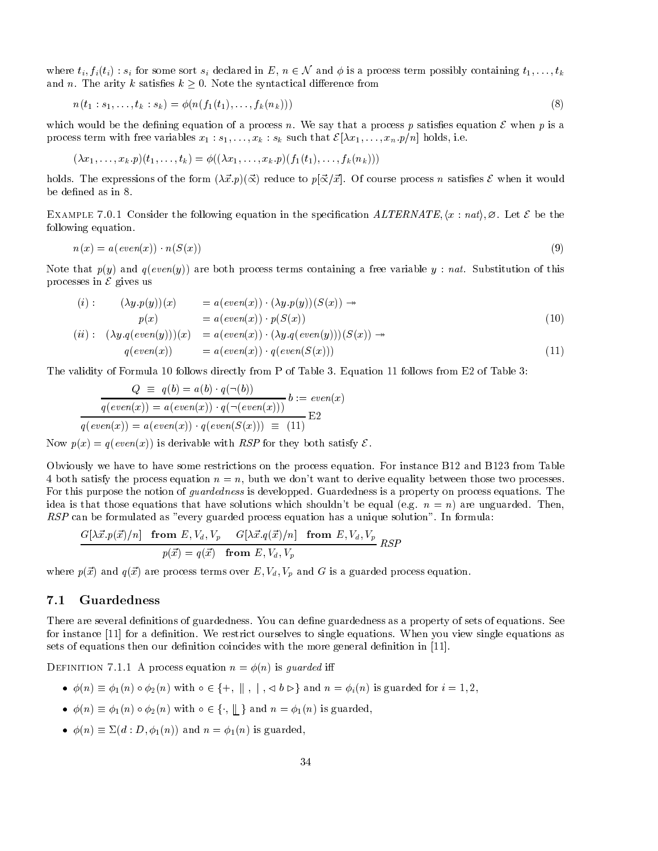where  $t_i, f_i(t_i)$  :  $s_i$  for some sort  $s_i$  declared in  $E, \ n \in \mathcal{N}$  and  $\phi$  is a process term possibly containing  $t_1, \ldots, t_k$ and  $n$ . The arity  $\kappa$  satisfies  $\kappa > 0$ . Typie the syntactical difference from

$$
n(t_1:s_1,\ldots,t_k:s_k) = \phi(n(f_1(t_1),\ldots,f_k(n_k)))
$$
\n(8)

which would be the defining equation of a process n. We say that a process p satisfies equation  $\mathcal E$  when p is a process term with free variables  $x_1, s_1, \ldots, x_k$  ,  $s_k$  such that  $\mathcal{L}[\lambda x_1, \ldots, x_n, p/n]$  holds, i.e.

$$
(\lambda x_1,\ldots,x_k.p)(t_1,\ldots,t_k)=\phi((\lambda x_1,\ldots,x_k.p)(f_1(t_1),\ldots,f_k(n_k)))
$$

holds. The expressions of the form  $(\Delta x, p)(\Delta)$  reduce to  $p(\Delta x, x)$ . Of course process *n* satisfies E when it would be defined as in 8.

EXAMPLE 1.0.1 CONSIDER THE FORD WHIS Equation in the specification  $ALLEUATE, \langle x \rangle$  and  $\langle x \rangle$ . Het  $C$  be the following equation

$$
n(x) = a(even(x)) \cdot n(S(x)) \tag{9}
$$

Note that p-y and q-even-y are both process terms containing a free variable <sup>y</sup> nat Substitution of this processes in  $\mathcal E$  gives us

$$
(i): \qquad (\lambda y. p(y))(x) = a(even(x)) \cdot (\lambda y. p(y))(S(x)) \rightarrow \n p(x) = a(even(x)) \cdot p(S(x)) \n(ii): \qquad (\lambda y. q(even(y)))(x) = a(even(x)) \cdot (\lambda y. q(even(y)))(S(x)) \rightarrow \n q(even(x)) = a(even(x)) \cdot q(even(S(x)))
$$
\n(11)

x -

The validity of Formula 10 follows directly from P of Table 3. Equation 11 follows from E2 of Table 3:

 $u_1$  event  $x_1$   $y_1$  event  $y_1$ 

$$
Q \equiv q(b) = a(b) \cdot q(\neg(b))
$$
  

$$
q(even(x)) = a(even(x)) \cdot q(\neg(even(x)))
$$
  

$$
q(even(x)) = a(even(x)) \cdot q(even(S(x))) \equiv (11)
$$
  
E2

 $\mathcal{A}$  , we can even a set of  $\mathcal{A}$ 

Now  $p(x) = q(eveu(x))$  is defivable with  $R\Omega$  for they both satisfy  $C$ .

Obviously we have to have some restrictions on the process equation. For instance  $B12$  and  $B123$  from Table . Both satisfy the process equation is an operator we do dont to derive equation, between those processes and For this purpose the notion of *quardedness* is developped. Guardedness is a property on process equations. The idea is the those equations that have solutions which should be equal the equal -  $\alpha$  -  $\alpha$  are unguarded Then  $RSP$  can be formulated as "every guarded process equation has a unique solution". In formula:

$$
\frac{G[\lambda \vec{x}.p(\vec{x})/n] \text{ from } E, V_d, V_p \quad G[\lambda \vec{x}.q(\vec{x})/n] \text{ from } E, V_d, V_p}{p(\vec{x}) = q(\vec{x}) \text{ from } E, V_d, V_p} RSP
$$

where  $p_{\rm t}$  and  $q_{\rm t}$  are process terms over  $E_{\rm t}$  ,  $y_{\rm t}$  ,  $y_{\rm t}$  and  $\alpha$  is a guarded process equation.

### $7.1$ Guardedness

There are several definitions of guardedness. You can define guardedness as a property of sets of equations. See for instance [11] for a definition. We restrict ourselves to single equations. When you view single equations as sets of equations then our definition coincides with the more general definition in  $[11]$ .

 $\mathcal{L}$  process equation  $n - \varphi(n)$  is guaracteristic in

- -n -n -n with f- <sup>k</sup> <sup>j</sup> <sup>b</sup> -g and <sup>n</sup> i -n is guarded for <sup>i</sup> -
- $\phi(n) = \phi_1(n) \circ \phi_2(n)$  with  $\circ \in \{+, \parallel, +, \parallel, \circ \circ \vee \}$  and  $n = \phi_1(n)$  is guarded,<br>•  $\phi(n) \equiv \phi_1(n) \circ \phi_2(n)$  with  $\circ \in \{., \parallel\}$  and  $n = \phi_1(n)$  is guarded,
- $\varphi(n) = \Delta(a \cdot D, \varphi_1(n))$  and  $n = \varphi_1(n)$  is guarded,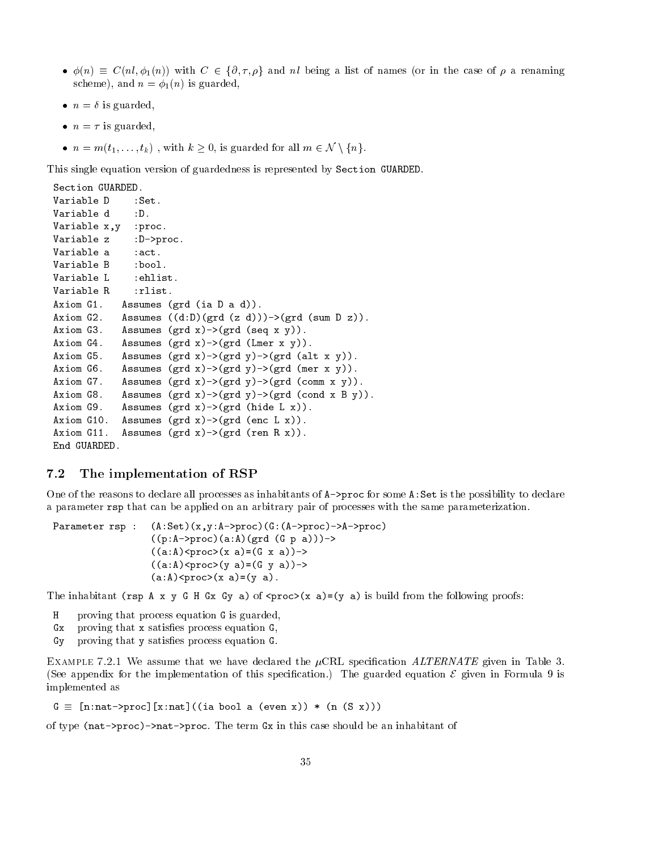- $\psi(n) = \psi(n, \varphi(n))$  with  $\psi \in \{0, 1, p\}$  and m being a nst of names (of in the case of p a renaming scheme and n is guarded and not an is guarded and not appear to the set of the set of the set of the set of th
- $\bullet$   $\mu$   $\rightleftharpoons$   $\upsilon$  is guaracu,
- $\bullet$   $\mu$   $\mu$  is guaracu,
- $n = 7$  is guarded,<br>•  $n = m(t_1, \ldots, t_k)$ , with  $k \geq 0$ , is guarded for all  $m \in \mathcal{N} \setminus \{n\}$ .

This single equation version of guardedness is represented by Section GUARDED

```
Section GUARDED.
Variable D : Set.
Variable d
                :D.Variable x,y : proc.
Variable z
               :D->proc.
Variable a :act.
Variable B : bool.
Variable L : ehlist.
Variable R : rlist.
             Assumes (\text{grd } (ia D a d)).
             Assumes ((d:D) (grad (z d))) - \frac{2}{d} (grad (sum D z)).Axiom G3.
             Assumes (grd x)->(grd (seq x y)).
Axiom G4.
             Assumes (grd x)->(grd (Lmer x y)).
Axiom G5.
             Assumes (grd x)->(grd y)->(grd (alt x y)).
Axiom G6.
             Assumes (grd x)->(grd y)->(grd (mer x y)).
Axiom G7.
             Assumes (grd x)->(grd y)->(grd (comm x y)).
Axiom G8.
              Assumes (grd x) \rightarrow (grd y) \rightarrow (grd (cond x B y)).
              Assumes (grd x) \rightarrow (grd (hide L x)).
Axiom G9.
Axiom G10.
             Assumes (grd x)->(grd (enc L x)).
Axiom G11.
             Assumes (\text{grd } x) \rightarrow (\text{grd } (\text{ren } R x)).
End GUARDED.
```
## The implementation of RSP

One of the reasons to declare all processes as inhabitants of  $A$ - $\gamma$ proc for some  $A$ : Set is the possibility to declare a parameter rsp that can be applied on an arbitrary pair of processes with the same parameterization

```
Parameter rsp : (A:Set)(x,y:A->proc)(G:(A->proc)->A->proc)((p:A-\text{space})(a:A)(\text{grd } (G p a)))\rightarrow((a:A)\langle \text{proc} \rangle(x \ a) = (G \ x \ a)) \rightarrow((a:A)\langle proc \rangle(y a)=(G y a))\rightarrow(a:A) < proc > (x \ a) = (y \ a).
```
The inhabitant (rsp A x y G H Gx Gy a) of  $\langle$ proc> $(x a) = (y a)$  is build from the following proofs:

- H proving that process equation G is guarded
- $Gx$  proving that x satisfies process equation  $G$ .
- $G_y$  proving that y satisfies process equation  $G$ .

 $E$  and the state  $\mathcal{H}$  assume that we have declared the  $\mu$  crips specification infrastruction in Table of (See appendix for the implementation of this specification.) The guarded equation  $\epsilon$  given in Formula  $\sigma$  is implemented as

 $G \equiv$  [n:nat->proc][x:nat]((ia bool a (even x)) \* (n (S x)))

of type  $(nat-)proc)$ ->nat->proc. The term  $Gx$  in this case should be an inhabitant of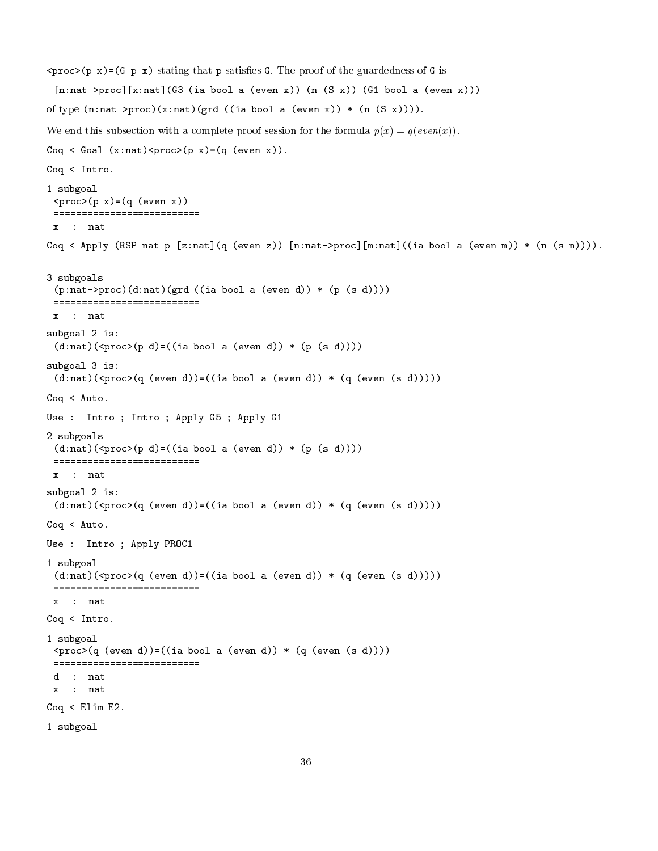```
\langle \text{proc}(\mathbf{p} \times \mathbf{x}) \rangle = (\mathbf{G} \times \mathbf{p} \times \mathbf{x}) stating that p satisfies G. The proof of the guardedness of G is
  [n:nat-)proc] [x:nat] (G3 (ia bool a (even x)) (n (S x)) (G1 bool a (even x)))of type (n \cdot nat - \text{proc})(x \cdot nat) (grd ((ia bool a (even x)) * (n (S x)))).
with a complete proof subsection with a complete proof session for the formula p-( \alpha ) \alpha ) \alphaCoq < Goal (x:nat) <proc> (p x) = (q (even x)).
Coq < Intro.1 subgoal
  \text{Cprox}(p \ x) = (q \ (\text{even} \ x))==========================
 \mathbf{x}: nat
Coq \leftarrow Apply (RSP nat p [z:nat](q (even z)) [n:nat->proc][m:nat] ((ia bool a (even m)) * (n (s m)))).
3 subgoals
  (p \cdot nat->proc) (d \cdot nat) (grd ((ia bool a (even d)) * (p (s d))))=========================
 x : nat
subgoal 
 is
  (d:nat)( \langle proc \rangle (p d) = ((ia bool a (even d)) * (p (s d))))subgoal 3 is:
  (d:nat)( <proc > (q (even d)) = ((ia bool a (even d)) * (q (even (s d))))Coq < Auto.
Use : Intro ; Intro ; Apply G5 ; Apply G1
subgoals are a strong to the contract of the contract of the contract of the contract of the contract of the contract of the contract of the contract of the contract of the contract of the contract of the contract of the c
  (d:nat)( <proc > (p d) = ((ia bool a (even d)) * (p (s d))))=========================
 x  nat
substitution in the contract of the contract of the contract of the contract of the contract of the contract of the contract of the contract of the contract of the contract of the contract of the contract of the contract o
  (d:nat)(\text{arcc}(q \text{ (even } d)) = ((ia \text{ bool a } (even \text{ d})) * (q \text{ (even } (s \text{ d}))))Coq < Auto.Use : Intro ; Apply PROC1
1 subgoal
  (d:nat)(\text{space}(q \text{ (even } d)) = ((ia \text{ bool a } (\text{even } d)) * (q \text{ (even } (s \text{ d}))))===========================
 x : nat
Coq < Intro.1 subgoal
  \text{Cprox}(q \text{ (even d)}) = ((ia bool a \text{ (even d)}) * (q \text{ (even (s d))}))==========================
 d : nat
 x : nat
Communication of the communication of the communication of the communication of the communication of the communication of the communication of the communication of the communication of the communication of the communicatio
 subgoal
```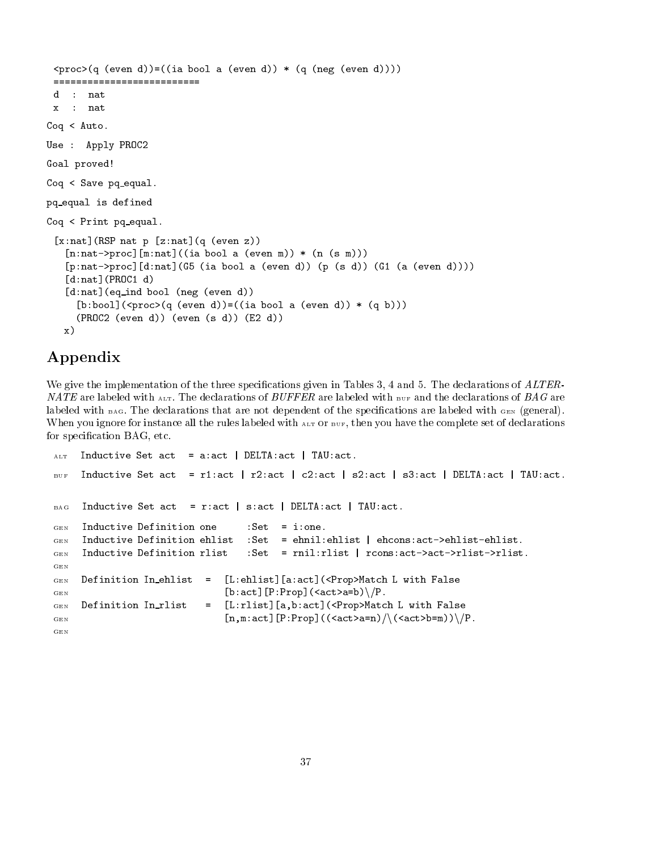```
\text{Cprox}(q \text{ (even d)}) = ((ia \text{ bool a (even d)}) * (q \text{ (neg (even d)})))d : nat
 x  nat
Coq < Auto.
Use : Apply PROC2
Goal proved
Coq < Save pq_equal.
pq equal is defined
Coq < Print pq equal.
 [x:nat] (RSP nat p [z:nat] (q (even z))
    [n:nat->proc][m:nat] ((ia bool a (even m)) * (n (s m)))[p:\texttt{nat->proc} [d:\texttt{nat}] (G5 (ia bool a (even d)) (p (s d)) (G1 (a (even d))))
    [d:nat] (PROC1 d)
    [d:nat] (eq_ind bool (neg (even d))
       [b:bool](\langle proc \rangle(q \text{ (even d)}) = ((ia bool a \text{ (even d)}) * (q b)))\mathcal{P}(P) . The domain state \mathcal{P}(P) and \mathcal{P}(P) are defined as \mathcal{P}(P) . The domain \mathcal{P}(P)\sim x
```
# Appendix

We give the implementation of the three specifications given in Tables 3, 4 and 5. The declarations of  $ALTER-$ NATE are labeled with  $_{\text{ALT}}$ . The declarations of BUFFER are labeled with BUF and the declarations of BAG are labeled with BAG The declarations that are not dependent of the specications are labeled with GEN -general When you ignore for instance all the rules labeled with  $_{\text{ALT}}$  or  $_{\text{BUF}}$ , then you have the complete set of declarations for specification BAG, etc.

```
_{\text{ALT}} Inductive Set act = a:act | DELTA:act | TAU:act.
BUF Inductive Set act  ract  r
act  c
act  s
act  sact  DELTAact  TAUact-
BAG Inductive Set act = r:act | s:act | DELTA:act | TAU:act.
    Inductive Definition one \qquad : Set = i:one.
GENInductive Definition ehlist
                                  :Set = ehnil: ehlist | ehcons: act->ehlist-ehlist.
GENGEN Inductive Definition ehlist Set  ehnilehlist  ehconsactehlistehlist-
GEN Inductive Definition rlist :Set = rnil:rlist | rcons:act->act->rlist->rlist.
    Definition In_ehlist
                              [L:ehlist][a:act] (<Prop>Match L with False
                          \equivGENGEN [b:act] [P:Prop] (\langle act \rangle_{a=b}) \setminus /P.Definition In_rlist
                              [L:rlist] [a,b:act] (<Prop>Match L with False
                          \equivGENGEN [n,m:act] [P:Prop] ((\text{cat} > a=n)/(\text{cat} > b=m)) /P.
```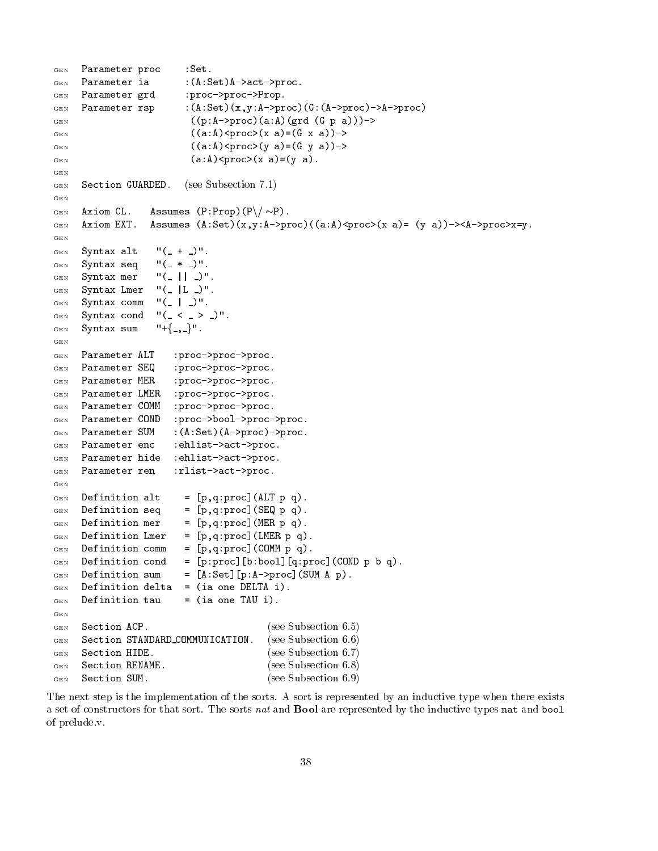```
GEN Parameter proc : Set.
GEN Parameter ia : (A:Set) A->act->proc.
GEN Parameter grd : proc->proc->Prop.
GEN Parameter rsp : (A:Set)(x,y:A->proc)(G:(A->proc)->-)proc)GEN ((p:A-\texttt{2proc})(a:A)(\text{grd } (G p a)))-\texttt{2}((a:A)\langle \text{proc} \rangle(x \ a) = (G \ x \ a)) \rightarrowGENGEN ((a : A) < proc > (y : A) = (G y : A) ->
                                   (a:A) < proc > (x a) = (y a).
GENGEN Section GUARDED.
GEN\sim see Subsection and \sim see Subsection and \simGENGEN Axiom CL.
                         Assumes (P: Prop) (P \setminus / \sim P).
       Axiom EXT.
                         Assumes (A:Set)(x, y:A->proc)((a:A)\n<math>\text{proc}((x, a) = (y, a)) \rightarrow \text{A}-\text{proc} \times x=y.GENGEN GEN Syntax alt "(- + )".GEN Syntax seq "(- * )".
GEN Syntax mer "(-|| -)".
       Syntax Lmer "(-|L|)".GENGEN Syntax comm "(-|_-)".Syntax cond ''(- \langle - \rangle )''.
GENGEN Syntax sum "+\{-,-\}".
CERGEN Parameter ALT : proc->proc->proc.
GEN Parameter SEQ : proc->proc->proc.
      Parameter MER
                               :proc->proc->proc.
GENParameter LMER : proc->proc->proc.
GENParameter COMM : proc->proc->proc.
GENParameter COND : proc->bool->proc->proc.
GENParameter SUM :(A:Set)(A->proc)\rightarrow proc.GENGEN Parameter enc : ehlist->act->proc.
      Parameter hide : ehlist->act->proc.
_{\rm GEN}GEN Parameter ren : rlist->act->proc.
GEN Definition alt = [p,q:proc](ALT p q).
GENGEN Definition seq = [p,q:proc] (SEQ p q).
_{\rm GEN}Definition mer = [p,q:proc] (MER p q).
      Definition Lmer = [p,q:proc] (LMER p q).
_{\rm GEN}GEN Definition comm = [p,q:proc] (COMM p q).
G_{\text{EN}} Definition cond = [p:proc][b:bool][q:proc](COND p b q).
G_{\text{EN}} Definition sum = [A:Set][p:A->proc] (SUM A p).
\Gamma definition definition definition definition definition definition definition \GammaGEN Definition tau = (ia one TAU i).
GEN Section ACP.
                                                       (see Subsection 6.5)the contract of the contract of the contract of the contract of the contract of the contract of the contract o
GEN Section STANDARD_COMMUNICATION.
                                                        -
see Subsection  - The contract of the contract of the contract of the contract of the contract of the contract of the contract of the contract of the contract of the contract of the contract of the contract of the contract of the contract
                                                         see see Subsection and Subsection and Subsection and Subsection and Subsection and Subsection and Subsection a
GEN Section RENAME.
                                                       (see Subsection 6.8)- The contract of the contract of the contract of the contract of the contract of the contract of the contract of the contract of the contract of the contract of the contract of the contract of the contract of the contract
       Section SUM.
                                                       (see Subsection 6.9)
GEN
```
The next step is the implementation of the sorts. A sort is represented by an inductive type when there exists a set of constructors for that sort. The sorts nat and **Bool** are represented by the inductive types nat and bool of prelude v.

- The contract of the contract of the contract of the contract of the contract of the contract of the contract of the contract of the contract of the contract of the contract of the contract of the contract of the contract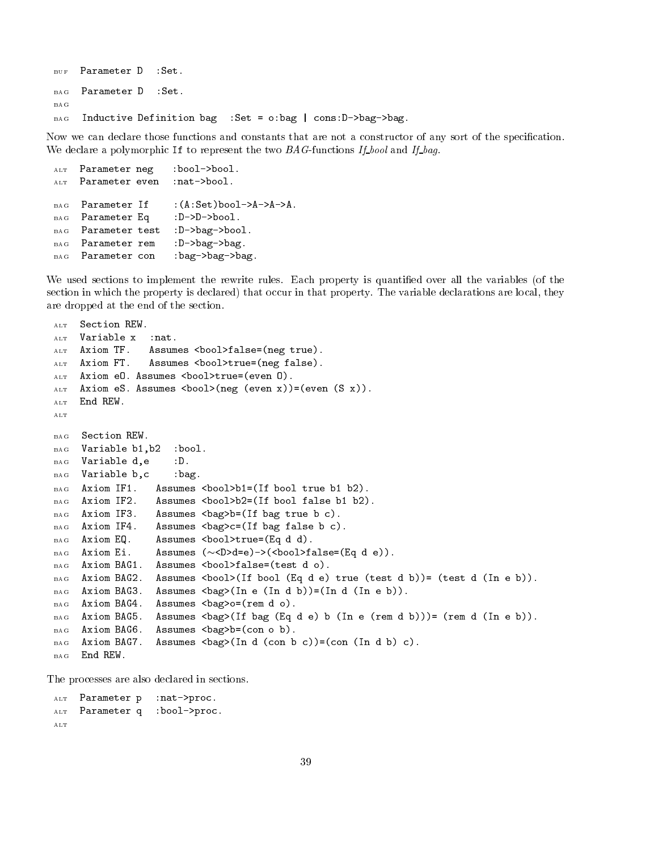```
BUF Parameter D : Set.
    Parameter D
                   : Set.BAGBAG
BAG Inductive Definition bag : Set = o: bag | cons: D->bag->bag.
```
Now we can declare those functions and constants that are not a constructor of any sort of the specification. We declare a polymorphic If to represent the two  $BAG$ -functions If-bool and If-bag.

```
A LT
    Parameter neg : bool->bool.
    Parameter even : nat->bool.
ALT
BAG
aars bagsameter In Asethory and a monocontrol
BAG Parameter Eq : D->D->bool.
BAG Parameter test : D->bag->bool.
BAG Parameter rem : D->bag->bag.
BAG Parameter con : bag->bag->bag.
```
We used sections to implement the rewrite rules Each property is quantied over all the variables -of the section in which the property is declared) that occur in that property. The variable declarations are local, they are dropped at the end of the section

```
Section REW.
A LT
       Variable x
A LT
                         :nat.
       Axiom TF.
                         Assumes \langle \text{bool} \ranglefalse=(\text{neg true}).
       Axiom FT.
                         Assumes \langle \text{bool} \rangletrue=(\text{neg false}).
A LT
alt and the contract of the contract of the contract of the contract of the contract of the contract of the co
A LT
\mathcal{A} = \mathcal{A} \mathcal{A}ALT End REW.
BAG Section REW.
BAG Variable b1, b2
                                :bool.
BAG Variable d, e : D.
      Variable b, c : bag.
BAG
      Axiom IF1.
B A G
                            \Lambda -contract boolet bools bool true boolet bools bool true bools bool true bools bool true bools bools bools bools bools bools bools bools bools bools bools bools bools bools bools bools bools bools bools bools bools bo
                            \mathcal{A} bool false booleans booleans booleans bool false bool false bool false booleans bool false bool false
BAG Axiom IF3.
                           Assumes \langle bag \rangle b = (If bag true b c).
BAG Axiom IF4.
                           Assumes \langlebag>c=(If bag false b c).
BAG Axiom EQ.
                           Assumes \text{Sboal}>\text{true}=(\text{Eq } d d).Assumes (\sim <D>d=e) -> (<br/>bool>false= (Eq d e)).
BAG Axiom Ei.
BAG Axiom BAG1.
                           Assumes \text{Nool}\text{-}\text{false}=(\text{test } d \ o).
                           Assumes \deltabool\{If\ bond\ (Eq\ d\ e\) \ true\ (test\ d\ b\) = \ (test\ d\ (In\ e\ b)).
BAGBAG Axiom BAG3.
                           Assumes \langle bag \rangle (In e (In d b)) = (In d (In e b)).Axiom BAG4.
                           Assumes \langle bag \rangle o = (rem d o).
BAGBAG Axiom BAG5.
                           Assumes \deltaag>(If bag (Eq d e) b (In e (rem d b)))= (rem d (In e b)).
                           Assumes \langlebag>b=(\text{con} \ o \ b).
BAG Axiom BAG6.
BAG Axiom BAG7.
                           Assumes \text{bag}(In d (con b c)) = (con (In d b) c).
BAG End REW.
```
The processes are also declared in sections

```
ALT Parameter p : nat->proc.
ALT Parameter q :bool->proc.
```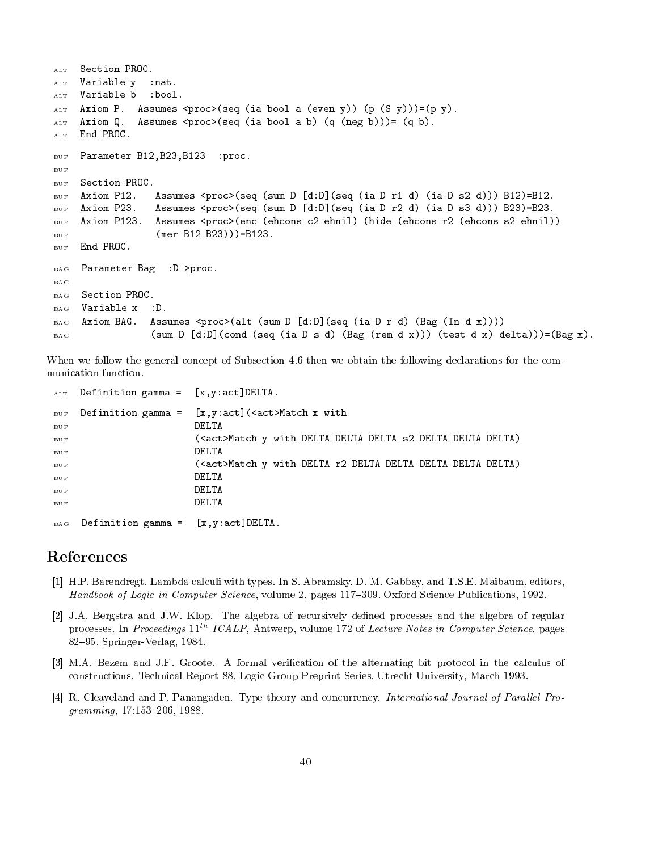```
ALT Section PROC.
ALT Variable y : nat.
ALT Variable b : bool.
\mathbb{R}^2 and \mathbb{R}^2 are \mathbb{R}^2 in the process process in the process of \mathbb{R}^2 , \mathbb{R}^2 and \mathbb{R}^2 are process in the process of \mathbb{R}^2 and \mathbb{R}^2 are process of \mathbb{R}^2 and \mathbb{R}^2 are
ALT Axiom Q.
                      Assumes \text{cpro}(seq \text{ (ia bool a b) } (q \text{ (neg b)})) = (q b).
ALT End PROC.
                                           proc.
BUF Parameter B
B
B
BUF BUF Section PROC.
                             Assumes procseq sum D dDseq ia D r d	 ia D s
 d			 B
	B
-
                             Assumes procseq sum D dDseq ia D r
 d	 ia D s d			 B
	B
-
BUF
                            assumes procence encomparison entry the entry the entry and the entry of the entry of the entry of the entry o
BUE
BUF mer B
 B
			B
-
       End PROC.
BUF
BAG Parameter Bag : D->proc.
       Section PROC.
BAGBAG Variable x
                          :D.
                          Assumes \text{Cprox}\left\{ \text{alt} \left( \text{sum } D \left[ d:D \right] \left( \text{seq} \left( \text{ia } D \text{ r } d \right) \left( \text{Bag} \left( \text{In } d \text{ x} \right) \right) \right) \right\}Axiom BAG.
BAG(\text{sum D } [d:D] (\text{cond } (\text{seq } (ia D s d) (\text{Bag } (\text{rem } d x))) (\text{test } d x) \text{ delta}))) = (\text{Bag } x).BAG
```
When we follow the general concept of Subsection 4.6 then we obtain the following declarations for the communication function

| $\Lambda$ LT                                       | Definition gamma = $[x, y:act]$ DELTA.                |                                                                   |
|----------------------------------------------------|-------------------------------------------------------|-------------------------------------------------------------------|
| $\operatorname{B}\operatorname{U}\operatorname{F}$ |                                                       | Definition gamma = $[x, y: act]$ ( <act>Match x with</act>        |
| BUF                                                |                                                       | DELTA                                                             |
| BUF                                                |                                                       | ( <act>Match y with DELTA DELTA DELTA s2 DELTA DELTA DELTA)</act> |
| BUF                                                |                                                       | DELTA                                                             |
| BUF                                                |                                                       | ( <act>Match y with DELTA r2 DELTA DELTA DELTA DELTA DELTA)</act> |
| BUF                                                |                                                       | DELTA                                                             |
| BUF                                                |                                                       | DELTA                                                             |
| BUF                                                |                                                       | DELTA                                                             |
|                                                    |                                                       |                                                                   |
|                                                    | $_{\text{BAG}}$ Definition gamma = $[x.y:act]$ DELTA. |                                                                   |

## References

BAG Definition gamma xyactDELTA-

- [1] H.P. Barendregt. Lambda calculi with types. In S. Abramsky, D. M. Gabbay, and T.S.E. Maibaum, editors, Handbook of Logic in Computer Science, volume 2, pages 117–309. Oxford Science Publications, 1992.
- [2] J.A. Bergstra and J.W. Klop. The algebra of recursively defined processes and the algebra of regular processes. In Proceedings 11<sup>th</sup> ICALP, Antwerp, volume 172 of Lecture Notes in Computer Science, pages  $82-95$ . Springer-Verlag, 1984.
- [3] M.A. Bezem and J.F. Groote. A formal verification of the alternating bit protocol in the calculus of constructions. Technical Report 88, Logic Group Preprint Series, Utrecht University, March 1993.
- [4] R. Cleaveland and P. Panangaden. Type theory and concurrency. International Journal of Parallel Pro $gramming, 17:153-206, 1988.$